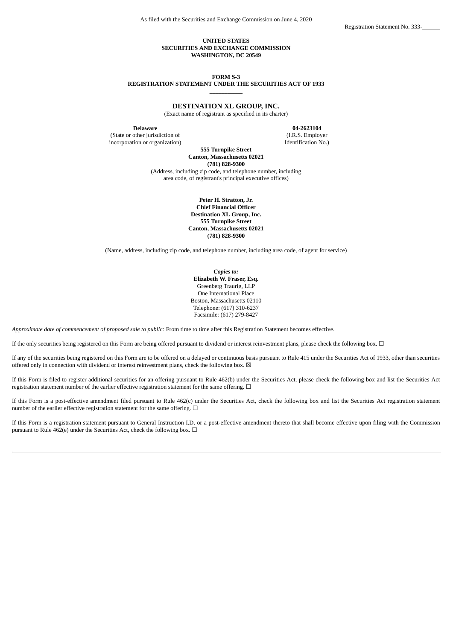### **UNITED STATES SECURITIES AND EXCHANGE COMMISSION WASHINGTON, DC 20549**

**\_\_\_\_\_\_\_\_\_\_\_ FORM S-3**

**REGISTRATION STATEMENT UNDER THE SECURITIES ACT OF 1933 \_\_\_\_\_\_\_\_\_\_\_**

## **DESTINATION XL GROUP, INC.**

(Exact name of registrant as specified in its charter)

**Delaware**

(State or other jurisdiction of incorporation or organization) **04‑2623104**

(I.R.S. Employer Identification No.)

**555 Turnpike Street Canton, Massachusetts 02021**

**(781) 828-9300**

(Address, including zip code, and telephone number, including area code, of registrant's principal executive offices)  $\overline{\phantom{a}}$ 

> **Peter H. Stratton, Jr. Chief Financial Officer Destination XL Group, Inc. 555 Turnpike Street Canton, Massachusetts 02021 (781) 828-9300**

(Name, address, including zip code, and telephone number, including area code, of agent for service)  $\overline{\phantom{a}}$ 

> *Copies to:* **Elizabeth W. Fraser, Esq.** Greenberg Traurig, LLP One International Place Boston, Massachusetts 02110 Telephone: (617) 310-6237 Facsimile: (617) 279-8427

*Approximate date of commencement of proposed sale to public:* From time to time after this Registration Statement becomes effective.

If the only securities being registered on this Form are being offered pursuant to dividend or interest reinvestment plans, please check the following box. ☐

If any of the securities being registered on this Form are to be offered on a delayed or continuous basis pursuant to Rule 415 under the Securities Act of 1933, other than securities offered only in connection with dividend or interest reinvestment plans, check the following box.  $\boxtimes$ 

If this Form is filed to register additional securities for an offering pursuant to Rule 462(b) under the Securities Act, please check the following box and list the Securities Act registration statement number of the earlier effective registration statement for the same offering. □

If this Form is a post-effective amendment filed pursuant to Rule 462(c) under the Securities Act, check the following box and list the Securities Act registration statement number of the earlier effective registration statement for the same offering.  $\Box$ 

If this Form is a registration statement pursuant to General Instruction I.D. or a post-effective amendment thereto that shall become effective upon filing with the Commission pursuant to Rule 462(e) under the Securities Act, check the following box.  $\Box$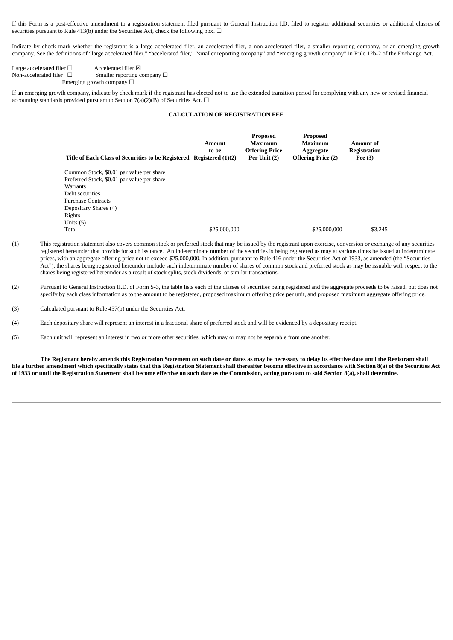If this Form is a post-effective amendment to a registration statement filed pursuant to General Instruction I.D. filed to register additional securities or additional classes of securities pursuant to Rule 413(b) under the Securities Act, check the following box.  $\Box$ 

Indicate by check mark whether the registrant is a large accelerated filer, an accelerated filer, a non-accelerated filer, a smaller reporting company, or an emerging growth company. See the definitions of "large accelerated filer," "accelerated filer," "smaller reporting company" and "emerging growth company" in Rule 12b-2 of the Exchange Act.

Large accelerated filer  $□$ <br>
Non-accelerated filer  $□$ <br>
Smaller reporting c Smaller reporting company  $\Box$ Emerging growth company  $\Box$ 

If an emerging growth company, indicate by check mark if the registrant has elected not to use the extended transition period for complying with any new or revised financial accounting standards provided pursuant to Section 7(a)(2)(B) of Securities Act.  $\Box$ 

## **CALCULATION OF REGISTRATION FEE**

| Title of Each Class of Securities to be Registered Registered (1)(2) | <b>Amount</b><br>to be | <b>Proposed</b><br><b>Maximum</b><br><b>Offering Price</b><br>Per Unit (2) | Proposed<br><b>Maximum</b><br>Aggregate<br><b>Offering Price (2)</b> | Amount of<br>Registration<br>Fee $(3)$ |
|----------------------------------------------------------------------|------------------------|----------------------------------------------------------------------------|----------------------------------------------------------------------|----------------------------------------|
| Common Stock, \$0.01 par value per share                             |                        |                                                                            |                                                                      |                                        |
| Preferred Stock, \$0.01 par value per share                          |                        |                                                                            |                                                                      |                                        |
| <b>Warrants</b>                                                      |                        |                                                                            |                                                                      |                                        |
| Debt securities                                                      |                        |                                                                            |                                                                      |                                        |
| <b>Purchase Contracts</b>                                            |                        |                                                                            |                                                                      |                                        |
| Depositary Shares (4)                                                |                        |                                                                            |                                                                      |                                        |
| Rights                                                               |                        |                                                                            |                                                                      |                                        |
| Units $(5)$                                                          |                        |                                                                            |                                                                      |                                        |
| Total                                                                | \$25,000,000           |                                                                            | \$25,000,000                                                         | \$3.245                                |

- (1) This registration statement also covers common stock or preferred stock that may be issued by the registrant upon exercise, conversion or exchange of any securities registered hereunder that provide for such issuance. An indeterminate number of the securities is being registered as may at various times be issued at indeterminate prices, with an aggregate offering price not to exceed \$25,000,000. In addition, pursuant to Rule 416 under the Securities Act of 1933, as amended (the "Securities Act"), the shares being registered hereunder include such indeterminate number of shares of common stock and preferred stock as may be issuable with respect to the shares being registered hereunder as a result of stock splits, stock dividends, or similar transactions.
- (2) Pursuant to General Instruction II.D. of Form S-3, the table lists each of the classes of securities being registered and the aggregate proceeds to be raised, but does not specify by each class information as to the amount to be registered, proposed maximum offering price per unit, and proposed maximum aggregate offering price.

(3) Calculated pursuant to Rule 457(o) under the Securities Act.

- (4) Each depositary share will represent an interest in a fractional share of preferred stock and will be evidenced by a depositary receipt.
- (5) Each unit will represent an interest in two or more other securities, which may or may not be separable from one another.

The Registrant hereby amends this Registration Statement on such date or dates as may be necessary to delay its effective date until the Registrant shall file a further amendment which specifically states that this Registration Statement shall thereafter become effective in accordance with Section 8(a) of the Securities Act of 1933 or until the Registration Statement shall become effective on such date as the Commission, acting pursuant to said Section 8(a), shall determine.

 $\overline{\phantom{a}}$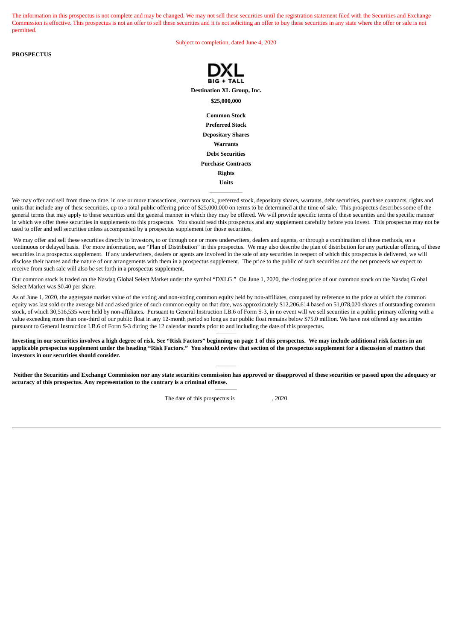The information in this prospectus is not complete and may be changed. We may not sell these securities until the registration statement filed with the Securities and Exchange Commission is effective. This prospectus is not an offer to sell these securities and it is not soliciting an offer to buy these securities in any state where the offer or sale is not permitted.

Subject to completion, dated June 4, 2020

**PROSPECTUS**



**Destination XL Group, Inc. \$25,000,000 Common Stock Preferred Stock**

> **Depositary Shares Warrants Debt Securities**

**Purchase Contracts**

**Rights**

**Units**  $\overline{\phantom{a}}$ 

We may offer and sell from time to time, in one or more transactions, common stock, preferred stock, depositary shares, warrants, debt securities, purchase contracts, rights and units that include any of these securities, up to a total public offering price of \$25,000,000 on terms to be determined at the time of sale. This prospectus describes some of the general terms that may apply to these securities and the general manner in which they may be offered. We will provide specific terms of these securities and the specific manner in which we offer these securities in supplements to this prospectus. You should read this prospectus and any supplement carefully before you invest. This prospectus may not be used to offer and sell securities unless accompanied by a prospectus supplement for those securities.

We may offer and sell these securities directly to investors, to or through one or more underwriters, dealers and agents, or through a combination of these methods, on a continuous or delayed basis. For more information, see "Plan of Distribution" in this prospectus. We may also describe the plan of distribution for any particular offering of these securities in a prospectus supplement. If any underwriters, dealers or agents are involved in the sale of any securities in respect of which this prospectus is delivered, we will disclose their names and the nature of our arrangements with them in a prospectus supplement. The price to the public of such securities and the net proceeds we expect to receive from such sale will also be set forth in a prospectus supplement.

Our common stock is traded on the Nasdaq Global Select Market under the symbol "DXLG." On June 1, 2020, the closing price of our common stock on the Nasdaq Global Select Market was \$0.40 per share.

As of June 1, 2020, the aggregate market value of the voting and non-voting common equity held by non-affiliates, computed by reference to the price at which the common equity was last sold or the average bid and asked price of such common equity on that date, was approximately \$12,206,614 based on 51,078,020 shares of outstanding common stock, of which 30,516,535 were held by non-affiliates. Pursuant to General Instruction I.B.6 of Form S-3, in no event will we sell securities in a public primary offering with a value exceeding more than one-third of our public float in any 12-month period so long as our public float remains below \$75.0 million. We have not offered any securities pursuant to General Instruction I.B.6 of Form S-3 during the 12 calendar months prior to and including the date of this prospectus.

 $\mathcal{L}=\mathcal{L}$ 

Investing in our securities involves a high degree of risk. See "Risk Factors" beginning on page 1 of this prospectus. We may include additional risk factors in an applicable prospectus supplement under the heading "Risk Factors." You should review that section of the prospectus supplement for a discussion of matters that **investors in our securities should consider.**

Neither the Securities and Exchange Commission nor any state securities commission has approved or disapproved of these securities or passed upon the adequacy or **accuracy of this prospectus. Any representation to the contrary is a criminal offense.**  $\mathcal{L}=\mathcal{L}$ 

 $\sim$ 

The date of this prospectus is  $, 2020$ .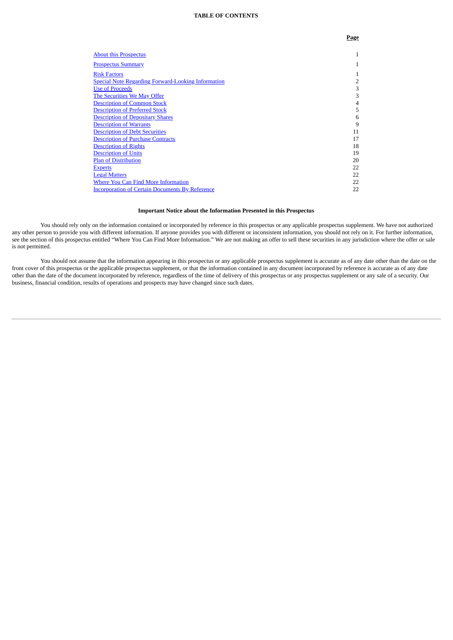## **TABLE OF CONTENTS**

**Page**

| <b>About this Prospectus</b>                              | 1  |
|-----------------------------------------------------------|----|
| <b>Prospectus Summary</b>                                 | 1  |
| <b>Risk Factors</b>                                       | 1  |
| <b>Special Note Regarding Forward-Looking Information</b> | 2  |
| <b>Use of Proceeds</b>                                    | 3  |
| The Securities We May Offer                               | 3  |
| <b>Description of Common Stock</b>                        | 4  |
| <b>Description of Preferred Stock</b>                     | 5  |
| <b>Description of Depositary Shares</b>                   | 6  |
| <b>Description of Warrants</b>                            | 9  |
| <b>Description of Debt Securities</b>                     | 11 |
| <b>Description of Purchase Contracts</b>                  | 17 |
| <b>Description of Rights</b>                              | 18 |
| <b>Description of Units</b>                               | 19 |
| <b>Plan of Distribution</b>                               | 20 |
| <b>Experts</b>                                            | 22 |
| <b>Legal Matters</b>                                      | 22 |
| <b>Where You Can Find More Information</b>                | 22 |
| <b>Incorporation of Certain Documents By Reference</b>    | 22 |

## **Important Notice about the Information Presented in this Prospectus**

You should rely only on the information contained or incorporated by reference in this prospectus or any applicable prospectus supplement. We have not authorized any other person to provide you with different information. If anyone provides you with different or inconsistent information, you should not rely on it. For further information, see the section of this prospectus entitled "Where You Can Find More Information." We are not making an offer to sell these securities in any jurisdiction where the offer or sale is not permitted.

You should not assume that the information appearing in this prospectus or any applicable prospectus supplement is accurate as of any date other than the date on the front cover of this prospectus or the applicable prospectus supplement, or that the information contained in any document incorporated by reference is accurate as of any date other than the date of the document incorporated by reference, regardless of the time of delivery of this prospectus or any prospectus supplement or any sale of a security. Our business, financial condition, results of operations and prospects may have changed since such dates.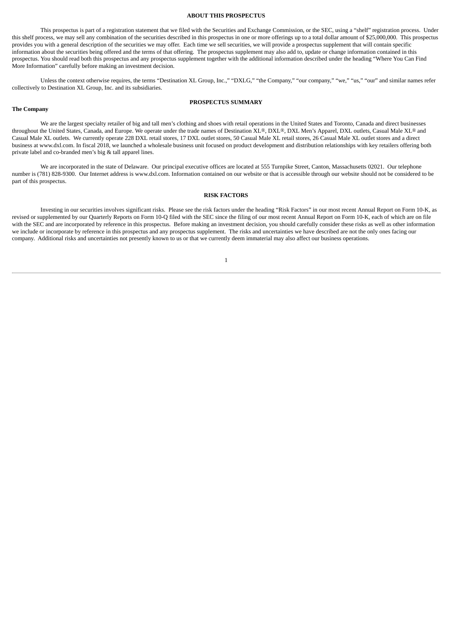### **ABOUT THIS PROSPECTUS**

<span id="page-4-0"></span>This prospectus is part of a registration statement that we filed with the Securities and Exchange Commission, or the SEC, using a "shelf" registration process. Under this shelf process, we may sell any combination of the securities described in this prospectus in one or more offerings up to a total dollar amount of \$25,000,000. This prospectus provides you with a general description of the securities we may offer. Each time we sell securities, we will provide a prospectus supplement that will contain specific information about the securities being offered and the terms of that offering. The prospectus supplement may also add to, update or change information contained in this prospectus. You should read both this prospectus and any prospectus supplement together with the additional information described under the heading "Where You Can Find More Information" carefully before making an investment decision.

Unless the context otherwise requires, the terms "Destination XL Group, Inc.," "DXLG," "the Company," "our company," "we," "us," "our" and similar names refer collectively to Destination XL Group, Inc. and its subsidiaries.

#### **PROSPECTUS SUMMARY**

## <span id="page-4-1"></span>**The Company**

We are the largest specialty retailer of big and tall men's clothing and shoes with retail operations in the United States and Toronto, Canada and direct businesses throughout the United States, Canada, and Europe. We operate under the trade names of Destination XL®, DXL®, DXL Men's Apparel, DXL outlets, Casual Male XL® and Casual Male XL outlets. We currently operate 228 DXL retail stores, 17 DXL outlet stores, 50 Casual Male XL retail stores, 26 Casual Male XL outlet stores and a direct business at www.dxl.com. In fiscal 2018, we launched a wholesale business unit focused on product development and distribution relationships with key retailers offering both private label and co-branded men's big & tall apparel lines.

We are incorporated in the state of Delaware. Our principal executive offices are located at 555 Turnpike Street, Canton, Massachusetts 02021. Our telephone number is (781) 828-9300. Our Internet address is www.dxl.com. Information contained on our website or that is accessible through our website should not be considered to be part of this prospectus.

#### **RISK FACTORS**

<span id="page-4-3"></span><span id="page-4-2"></span>Investing in our securities involves significant risks. Please see the risk factors under the heading "Risk Factors" in our most recent Annual Report on Form 10-K, as revised or supplemented by our Quarterly Reports on Form 10-Q filed with the SEC since the filing of our most recent Annual Report on Form 10-K, each of which are on file with the SEC and are incorporated by reference in this prospectus. Before making an investment decision, you should carefully consider these risks as well as other information we include or incorporate by reference in this prospectus and any prospectus supplement. The risks and uncertainties we have described are not the only ones facing our company. Additional risks and uncertainties not presently known to us or that we currently deem immaterial may also affect our business operations.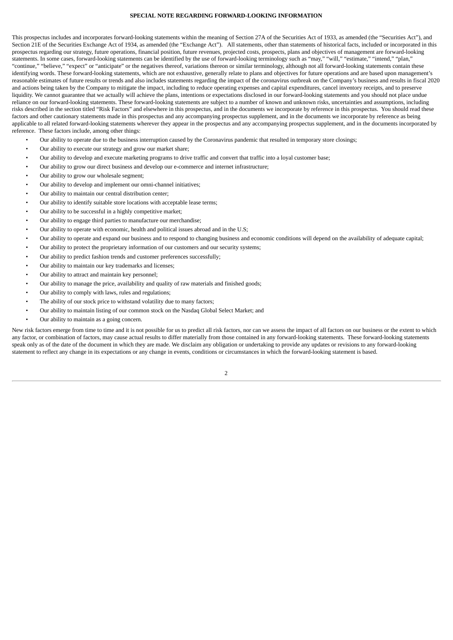## **SPECIAL NOTE REGARDING FORWARD‑LOOKING INFORMATION**

This prospectus includes and incorporates forward-looking statements within the meaning of Section 27A of the Securities Act of 1933, as amended (the "Securities Act"), and Section 21E of the Securities Exchange Act of 1934, as amended (the "Exchange Act"). All statements, other than statements of historical facts, included or incorporated in this prospectus regarding our strategy, future operations, financial position, future revenues, projected costs, prospects, plans and objectives of management are forward-looking statements. In some cases, forward-looking statements can be identified by the use of forward-looking terminology such as "may," "will," "estimate," "intend," "plan," "continue," "believe," "expect" or "anticipate" or the negatives thereof, variations thereon or similar terminology, although not all forward‑looking statements contain these identifying words. These forward-looking statements, which are not exhaustive, generally relate to plans and objectives for future operations and are based upon management's reasonable estimates of future results or trends and also includes statements regarding the impact of the coronavirus outbreak on the Company's business and results in fiscal 2020 and actions being taken by the Company to mitigate the impact, including to reduce operating expenses and capital expenditures, cancel inventory receipts, and to preserve liquidity. We cannot guarantee that we actually will achieve the plans, intentions or expectations disclosed in our forward-looking statements and you should not place undue reliance on our forward-looking statements. These forward-looking statements are subject to a number of known and unknown risks, uncertainties and assumptions, including risks described in the section titled "Risk Factors" and elsewhere in this prospectus, and in the documents we incorporate by reference in this prospectus. You should read these factors and other cautionary statements made in this prospectus and any accompanying prospectus supplement, and in the documents we incorporate by reference as being applicable to all related forward-looking statements wherever they appear in the prospectus and any accompanying prospectus supplement, and in the documents incorporated by reference. These factors include, among other things:

- Our ability to operate due to the business interruption caused by the Coronavirus pandemic that resulted in temporary store closings;
- Our ability to execute our strategy and grow our market share;
- Our ability to develop and execute marketing programs to drive traffic and convert that traffic into a loyal customer base;
- Our ability to grow our direct business and develop our e-commerce and internet infrastructure;
- Our ability to grow our wholesale segment;
- Our ability to develop and implement our omni-channel initiatives;
- Our ability to maintain our central distribution center;
- Our ability to identify suitable store locations with acceptable lease terms;
- Our ability to be successful in a highly competitive market;
- Our ability to engage third parties to manufacture our merchandise;
- Our ability to operate with economic, health and political issues abroad and in the U.S;
- Our ability to operate and expand our business and to respond to changing business and economic conditions will depend on the availability of adequate capital;
- Our ability to protect the proprietary information of our customers and our security systems;
- Our ability to predict fashion trends and customer preferences successfully;
- Our ability to maintain our key trademarks and licenses;
- Our ability to attract and maintain key personnel;
- Our ability to manage the price, availability and quality of raw materials and finished goods;
- Our ability to comply with laws, rules and regulations;
- The ability of our stock price to withstand volatility due to many factors;
- Our ability to maintain listing of our common stock on the Nasdaq Global Select Market; and
- Our ability to maintain as a going concern.

<span id="page-5-0"></span>New risk factors emerge from time to time and it is not possible for us to predict all risk factors, nor can we assess the impact of all factors on our business or the extent to which any factor, or combination of factors, may cause actual results to differ materially from those contained in any forward-looking statements. These forward-looking statements speak only as of the date of the document in which they are made. We disclaim any obligation or undertaking to provide any updates or revisions to any forward-looking statement to reflect any change in its expectations or any change in events, conditions or circumstances in which the forward-looking statement is based.

 $\overline{2}$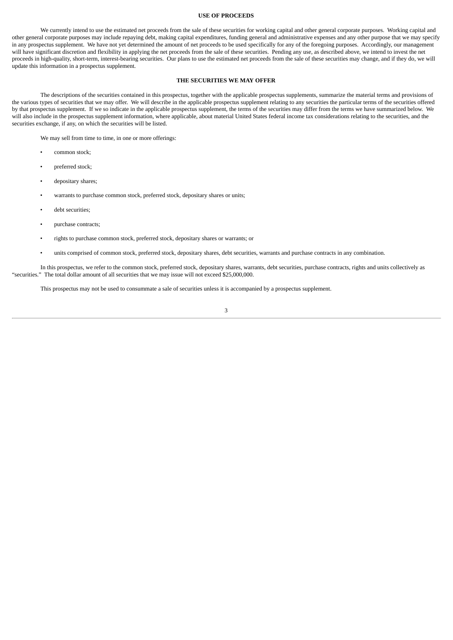### **USE OF PROCEEDS**

We currently intend to use the estimated net proceeds from the sale of these securities for working capital and other general corporate purposes. Working capital and other general corporate purposes may include repaying debt, making capital expenditures, funding general and administrative expenses and any other purpose that we may specify in any prospectus supplement. We have not yet determined the amount of net proceeds to be used specifically for any of the foregoing purposes. Accordingly, our management will have significant discretion and flexibility in applying the net proceeds from the sale of these securities. Pending any use, as described above, we intend to invest the net proceeds in high-quality, short-term, interest-bearing securities. Our plans to use the estimated net proceeds from the sale of these securities may change, and if they do, we will update this information in a prospectus supplement.

## **THE SECURITIES WE MAY OFFER**

<span id="page-6-0"></span>The descriptions of the securities contained in this prospectus, together with the applicable prospectus supplements, summarize the material terms and provisions of the various types of securities that we may offer. We will describe in the applicable prospectus supplement relating to any securities the particular terms of the securities offered by that prospectus supplement. If we so indicate in the applicable prospectus supplement, the terms of the securities may differ from the terms we have summarized below. We will also include in the prospectus supplement information, where applicable, about material United States federal income tax considerations relating to the securities, and the securities exchange, if any, on which the securities will be listed.

We may sell from time to time, in one or more offerings:

- common stock;
- preferred stock;
- depositary shares:
- warrants to purchase common stock, preferred stock, depositary shares or units;
- debt securities:
- purchase contracts;
- rights to purchase common stock, preferred stock, depositary shares or warrants; or
- units comprised of common stock, preferred stock, depositary shares, debt securities, warrants and purchase contracts in any combination.

<span id="page-6-1"></span>In this prospectus, we refer to the common stock, preferred stock, depositary shares, warrants, debt securities, purchase contracts, rights and units collectively as "securities." The total dollar amount of all securities that we may issue will not exceed \$25,000,000.

This prospectus may not be used to consummate a sale of securities unless it is accompanied by a prospectus supplement.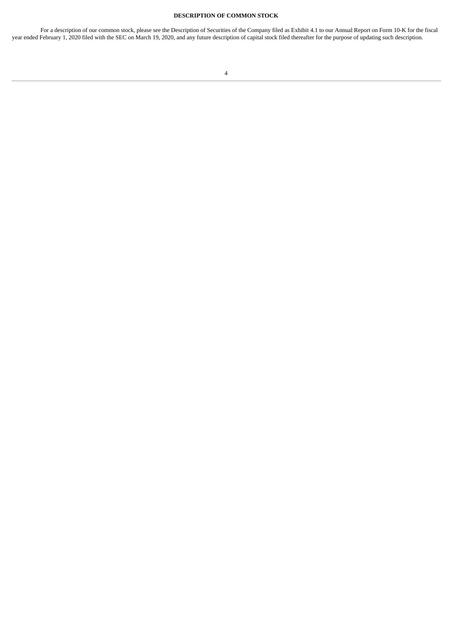# **DESCRIPTION OF COMMON STOCK**

<span id="page-7-0"></span>For a description of our common stock, please see the Description of Securities of the Company filed as Exhibit 4.1 to our Annual Report on Form 10-K for the fiscal year ended February 1, 2020 filed with the SEC on March 19, 2020, and any future description of capital stock filed thereafter for the purpose of updating such description.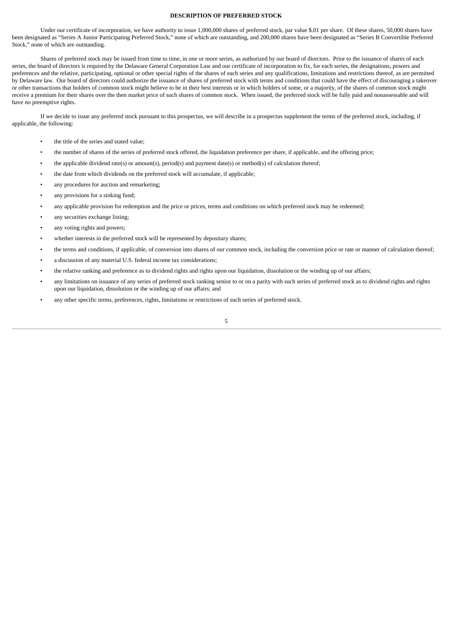## **DESCRIPTION OF PREFERRED STOCK**

Under our certificate of incorporation, we have authority to issue 1,000,000 shares of preferred stock, par value \$.01 per share. Of these shares, 50,000 shares have been designated as "Series A Junior Participating Preferred Stock," none of which are outstanding, and 200,000 shares have been designated as "Series B Convertible Preferred Stock," none of which are outstanding.

Shares of preferred stock may be issued from time to time, in one or more series, as authorized by our board of directors. Prior to the issuance of shares of each series, the board of directors is required by the Delaware General Corporation Law and our certificate of incorporation to fix, for each series, the designations, powers and preferences and the relative, participating, optional or other special rights of the shares of each series and any qualifications, limitations and restrictions thereof, as are permitted by Delaware law. Our board of directors could authorize the issuance of shares of preferred stock with terms and conditions that could have the effect of discouraging a takeover or other transactions that holders of common stock might believe to be in their best interests or in which holders of some, or a majority, of the shares of common stock might receive a premium for their shares over the then market price of such shares of common stock. When issued, the preferred stock will be fully paid and nonassessable and will have no preemptive rights.

If we decide to issue any preferred stock pursuant to this prospectus, we will describe in a prospectus supplement the terms of the preferred stock, including, if applicable, the following:

- the title of the series and stated value;
- the number of shares of the series of preferred stock offered, the liquidation preference per share, if applicable, and the offering price;
- the applicable dividend rate(s) or amount(s), period(s) and payment date(s) or method(s) of calculation thereof;
- the date from which dividends on the preferred stock will accumulate, if applicable;
- any procedures for auction and remarketing;
- any provisions for a sinking fund;
- any applicable provision for redemption and the price or prices, terms and conditions on which preferred stock may be redeemed;
- any securities exchange listing;
- any voting rights and powers;
- whether interests in the preferred stock will be represented by depositary shares;
- the terms and conditions, if applicable, of conversion into shares of our common stock, including the conversion price or rate or manner of calculation thereof;
- a discussion of any material U.S. federal income tax considerations;
- the relative ranking and preference as to dividend rights and rights upon our liquidation, dissolution or the winding up of our affairs;
- any limitations on issuance of any series of preferred stock ranking senior to or on a parity with such series of preferred stock as to dividend rights and rights upon our liquidation, dissolution or the winding up of our affairs; and
- <span id="page-8-0"></span>• any other specific terms, preferences, rights, limitations or restrictions of such series of preferred stock.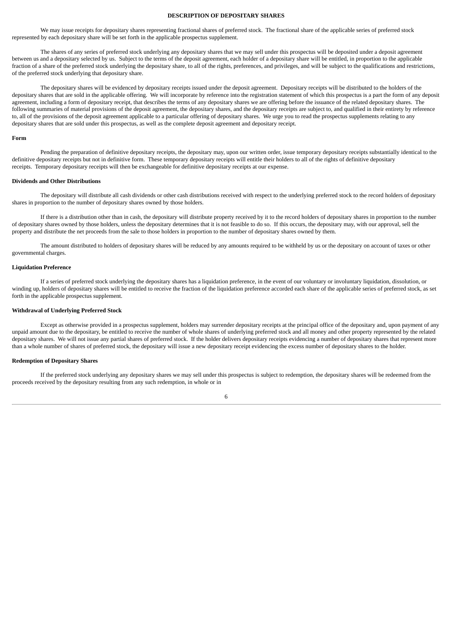## **DESCRIPTION OF DEPOSITARY SHARES**

We may issue receipts for depositary shares representing fractional shares of preferred stock. The fractional share of the applicable series of preferred stock represented by each depositary share will be set forth in the applicable prospectus supplement.

The shares of any series of preferred stock underlying any depositary shares that we may sell under this prospectus will be deposited under a deposit agreement between us and a depositary selected by us. Subject to the terms of the deposit agreement, each holder of a depositary share will be entitled, in proportion to the applicable fraction of a share of the preferred stock underlying the depositary share, to all of the rights, preferences, and privileges, and will be subject to the qualifications and restrictions, of the preferred stock underlying that depositary share.

The depositary shares will be evidenced by depositary receipts issued under the deposit agreement. Depositary receipts will be distributed to the holders of the depositary shares that are sold in the applicable offering. We will incorporate by reference into the registration statement of which this prospectus is a part the form of any deposit agreement, including a form of depositary receipt, that describes the terms of any depositary shares we are offering before the issuance of the related depositary shares. The following summaries of material provisions of the deposit agreement, the depositary shares, and the depositary receipts are subject to, and qualified in their entirety by reference to, all of the provisions of the deposit agreement applicable to a particular offering of depositary shares. We urge you to read the prospectus supplements relating to any depositary shares that are sold under this prospectus, as well as the complete deposit agreement and depositary receipt.

#### **Form**

Pending the preparation of definitive depositary receipts, the depositary may, upon our written order, issue temporary depositary receipts substantially identical to the definitive depositary receipts but not in definitive form. These temporary depositary receipts will entitle their holders to all of the rights of definitive depositary receipts. Temporary depositary receipts will then be exchangeable for definitive depositary receipts at our expense.

#### **Dividends and Other Distributions**

The depositary will distribute all cash dividends or other cash distributions received with respect to the underlying preferred stock to the record holders of depositary shares in proportion to the number of depositary shares owned by those holders.

If there is a distribution other than in cash, the depositary will distribute property received by it to the record holders of depositary shares in proportion to the number of depositary shares owned by those holders, unless the depositary determines that it is not feasible to do so. If this occurs, the depositary may, with our approval, sell the property and distribute the net proceeds from the sale to those holders in proportion to the number of depositary shares owned by them.

The amount distributed to holders of depositary shares will be reduced by any amounts required to be withheld by us or the depositary on account of taxes or other governmental charges.

#### **Liquidation Preference**

If a series of preferred stock underlying the depositary shares has a liquidation preference, in the event of our voluntary or involuntary liquidation, dissolution, or winding up, holders of depositary shares will be entitled to receive the fraction of the liquidation preference accorded each share of the applicable series of preferred stock, as set forth in the applicable prospectus supplement.

# **Withdrawal of Underlying Preferred Stock**

Except as otherwise provided in a prospectus supplement, holders may surrender depositary receipts at the principal office of the depositary and, upon payment of any unpaid amount due to the depositary, be entitled to receive the number of whole shares of underlying preferred stock and all money and other property represented by the related depositary shares. We will not issue any partial shares of preferred stock. If the holder delivers depositary receipts evidencing a number of depositary shares that represent more than a whole number of shares of preferred stock, the depositary will issue a new depositary receipt evidencing the excess number of depositary shares to the holder.

## **Redemption of Depositary Shares**

If the preferred stock underlying any depositary shares we may sell under this prospectus is subject to redemption, the depositary shares will be redeemed from the proceeds received by the depositary resulting from any such redemption, in whole or in

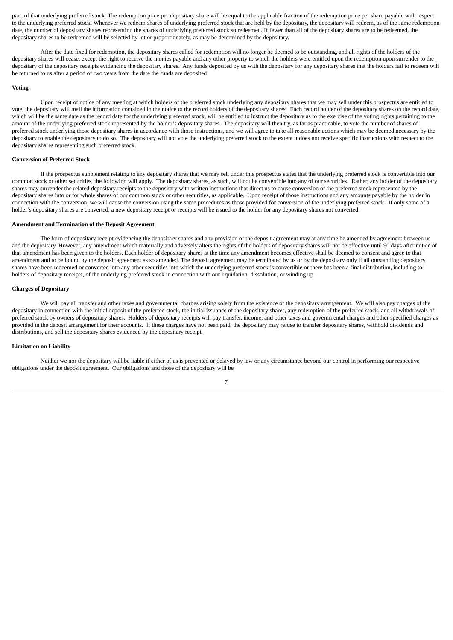part, of that underlying preferred stock. The redemption price per depositary share will be equal to the applicable fraction of the redemption price per share payable with respect to the underlying preferred stock. Whenever we redeem shares of underlying preferred stock that are held by the depositary, the depositary will redeem, as of the same redemption date, the number of depositary shares representing the shares of underlying preferred stock so redeemed. If fewer than all of the depositary shares are to be redeemed, the depositary shares to be redeemed will be selected by lot or proportionately, as may be determined by the depositary.

After the date fixed for redemption, the depositary shares called for redemption will no longer be deemed to be outstanding, and all rights of the holders of the depositary shares will cease, except the right to receive the monies payable and any other property to which the holders were entitled upon the redemption upon surrender to the depositary of the depositary receipts evidencing the depositary shares. Any funds deposited by us with the depositary for any depositary shares that the holders fail to redeem will be returned to us after a period of two years from the date the funds are deposited.

## **Voting**

Upon receipt of notice of any meeting at which holders of the preferred stock underlying any depositary shares that we may sell under this prospectus are entitled to vote, the depositary will mail the information contained in the notice to the record holders of the depositary shares. Each record holder of the depositary shares on the record date, which will be the same date as the record date for the underlying preferred stock, will be entitled to instruct the depositary as to the exercise of the voting rights pertaining to the amount of the underlying preferred stock represented by the holder's depositary shares. The depositary will then try, as far as practicable, to vote the number of shares of preferred stock underlying those depositary shares in accordance with those instructions, and we will agree to take all reasonable actions which may be deemed necessary by the depositary to enable the depositary to do so. The depositary will not vote the underlying preferred stock to the extent it does not receive specific instructions with respect to the depositary shares representing such preferred stock.

### **Conversion of Preferred Stock**

If the prospectus supplement relating to any depositary shares that we may sell under this prospectus states that the underlying preferred stock is convertible into our common stock or other securities, the following will apply. The depositary shares, as such, will not be convertible into any of our securities. Rather, any holder of the depositary shares may surrender the related depositary receipts to the depositary with written instructions that direct us to cause conversion of the preferred stock represented by the depositary shares into or for whole shares of our common stock or other securities, as applicable. Upon receipt of those instructions and any amounts payable by the holder in connection with the conversion, we will cause the conversion using the same procedures as those provided for conversion of the underlying preferred stock. If only some of a holder's depositary shares are converted, a new depositary receipt or receipts will be issued to the holder for any depositary shares not converted.

#### **Amendment and Termination of the Deposit Agreement**

The form of depositary receipt evidencing the depositary shares and any provision of the deposit agreement may at any time be amended by agreement between us and the depositary. However, any amendment which materially and adversely alters the rights of the holders of depositary shares will not be effective until 90 days after notice of that amendment has been given to the holders. Each holder of depositary shares at the time any amendment becomes effective shall be deemed to consent and agree to that amendment and to be bound by the deposit agreement as so amended. The deposit agreement may be terminated by us or by the depositary only if all outstanding depositary shares have been redeemed or converted into any other securities into which the underlying preferred stock is convertible or there has been a final distribution, including to holders of depositary receipts, of the underlying preferred stock in connection with our liquidation, dissolution, or winding up.

### **Charges of Depositary**

We will pay all transfer and other taxes and governmental charges arising solely from the existence of the depositary arrangement. We will also pay charges of the depositary in connection with the initial deposit of the preferred stock, the initial issuance of the depositary shares, any redemption of the preferred stock, and all withdrawals of preferred stock by owners of depositary shares. Holders of depositary receipts will pay transfer, income, and other taxes and governmental charges and other specified charges as provided in the deposit arrangement for their accounts. If these charges have not been paid, the depositary may refuse to transfer depositary shares, withhold dividends and distributions, and sell the depositary shares evidenced by the depositary receipt.

## **Limitation on Liability**

Neither we nor the depositary will be liable if either of us is prevented or delayed by law or any circumstance beyond our control in performing our respective obligations under the deposit agreement. Our obligations and those of the depositary will be

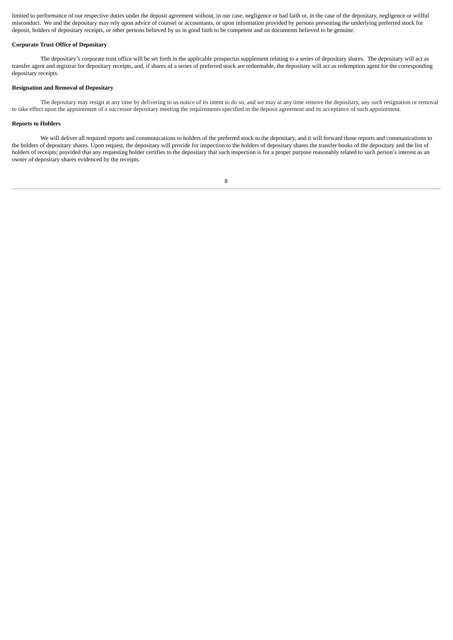limited to performance of our respective duties under the deposit agreement without, in our case, negligence or bad faith or, in the case of the depositary, negligence or willful misconduct. We and the depositary may rely upon advice of counsel or accountants, or upon information provided by persons presenting the underlying preferred stock for deposit, holders of depositary receipts, or other persons believed by us in good faith to be competent and on documents believed to be genuine.

## **Corporate Trust Office of Depositary**

The depositary's corporate trust office will be set forth in the applicable prospectus supplement relating to a series of depositary shares. The depositary will act as transfer agent and registrar for depositary receipts, and, if shares of a series of preferred stock are redeemable, the depositary will act as redemption agent for the corresponding depositary receipts.

## **Resignation and Removal of Depositary**

The depositary may resign at any time by delivering to us notice of its intent to do so, and we may at any time remove the depositary, any such resignation or removal to take effect upon the appointment of a successor depositary meeting the requirements specified in the deposit agreement and its acceptance of such appointment.

### **Reports to Holders**

<span id="page-11-0"></span>We will deliver all required reports and communications to holders of the preferred stock to the depositary, and it will forward those reports and communications to the holders of depositary shares. Upon request, the depositary will provide for inspection to the holders of depositary shares the transfer books of the depositary and the list of holders of receipts; provided that any requesting holder certifies to the depositary that such inspection is for a proper purpose reasonably related to such person's interest as an owner of depositary shares evidenced by the receipts.

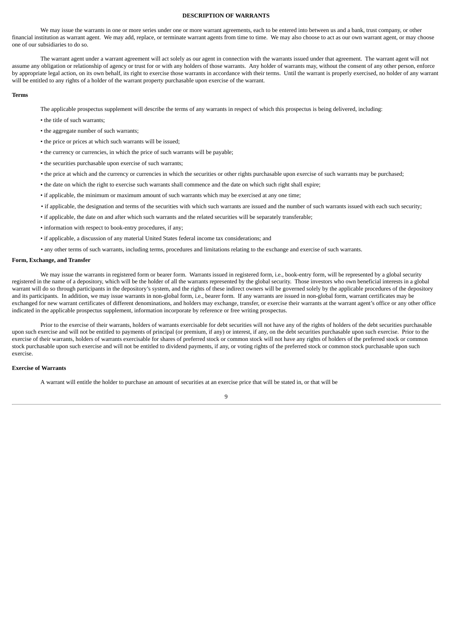#### **DESCRIPTION OF WARRANTS**

We may issue the warrants in one or more series under one or more warrant agreements, each to be entered into between us and a bank, trust company, or other financial institution as warrant agent. We may add, replace, or terminate warrant agents from time to time. We may also choose to act as our own warrant agent, or may choose one of our subsidiaries to do so.

The warrant agent under a warrant agreement will act solely as our agent in connection with the warrants issued under that agreement. The warrant agent will not assume any obligation or relationship of agency or trust for or with any holders of those warrants. Any holder of warrants may, without the consent of any other person, enforce by appropriate legal action, on its own behalf, its right to exercise those warrants in accordance with their terms. Until the warrant is properly exercised, no holder of any warrant will be entitled to any rights of a holder of the warrant property purchasable upon exercise of the warrant.

#### **Terms**

The applicable prospectus supplement will describe the terms of any warrants in respect of which this prospectus is being delivered, including:

- the title of such warrants;
- the aggregate number of such warrants;
- the price or prices at which such warrants will be issued;
- the currency or currencies, in which the price of such warrants will be payable;
- the securities purchasable upon exercise of such warrants;
- the price at which and the currency or currencies in which the securities or other rights purchasable upon exercise of such warrants may be purchased;
- the date on which the right to exercise such warrants shall commence and the date on which such right shall expire;
- if applicable, the minimum or maximum amount of such warrants which may be exercised at any one time;
- if applicable, the designation and terms of the securities with which such warrants are issued and the number of such warrants issued with each such security;
- if applicable, the date on and after which such warrants and the related securities will be separately transferable;
- information with respect to book-entry procedures, if any;
- if applicable, a discussion of any material United States federal income tax considerations; and
- any other terms of such warrants, including terms, procedures and limitations relating to the exchange and exercise of such warrants.

### **Form, Exchange, and Transfer**

We may issue the warrants in registered form or bearer form. Warrants issued in registered form, i.e., book-entry form, will be represented by a global security registered in the name of a depository, which will be the holder of all the warrants represented by the global security. Those investors who own beneficial interests in a global warrant will do so through participants in the depository's system, and the rights of these indirect owners will be governed solely by the applicable procedures of the depository and its participants. In addition, we may issue warrants in non-global form, i.e., bearer form. If any warrants are issued in non-global form, warrant certificates may be exchanged for new warrant certificates of different denominations, and holders may exchange, transfer, or exercise their warrants at the warrant agent's office or any other office indicated in the applicable prospectus supplement, information incorporate by reference or free writing prospectus.

Prior to the exercise of their warrants, holders of warrants exercisable for debt securities will not have any of the rights of holders of the debt securities purchasable upon such exercise and will not be entitled to payments of principal (or premium, if any) or interest, if any, on the debt securities purchasable upon such exercise. Prior to the exercise of their warrants, holders of warrants exercisable for shares of preferred stock or common stock will not have any rights of holders of the preferred stock or common stock purchasable upon such exercise and will not be entitled to dividend payments, if any, or voting rights of the preferred stock or common stock purchasable upon such exercise.

### **Exercise of Warrants**

A warrant will entitle the holder to purchase an amount of securities at an exercise price that will be stated in, or that will be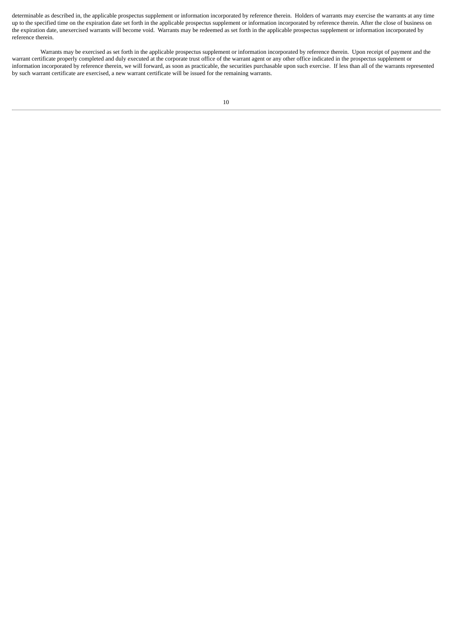determinable as described in, the applicable prospectus supplement or information incorporated by reference therein. Holders of warrants may exercise the warrants at any time up to the specified time on the expiration date set forth in the applicable prospectus supplement or information incorporated by reference therein. After the close of business on the expiration date, unexercised warrants will become void. Warrants may be redeemed as set forth in the applicable prospectus supplement or information incorporated by reference therein.

<span id="page-13-0"></span>Warrants may be exercised as set forth in the applicable prospectus supplement or information incorporated by reference therein. Upon receipt of payment and the warrant certificate properly completed and duly executed at the corporate trust office of the warrant agent or any other office indicated in the prospectus supplement or information incorporated by reference therein, we will forward, as soon as practicable, the securities purchasable upon such exercise. If less than all of the warrants represented by such warrant certificate are exercised, a new warrant certificate will be issued for the remaining warrants.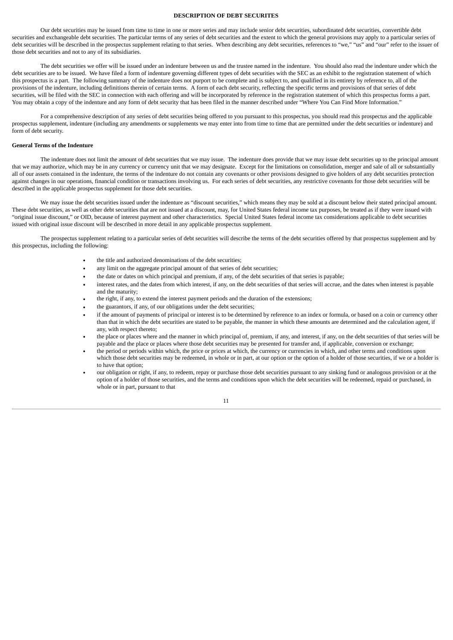### **DESCRIPTION OF DEBT SECURITES**

Our debt securities may be issued from time to time in one or more series and may include senior debt securities, subordinated debt securities, convertible debt securities and exchangeable debt securities. The particular terms of any series of debt securities and the extent to which the general provisions may apply to a particular series of debt securities will be described in the prospectus supplement relating to that series. When describing any debt securities, references to "we," "us" and "our" refer to the issuer of those debt securities and not to any of its subsidiaries.

The debt securities we offer will be issued under an indenture between us and the trustee named in the indenture. You should also read the indenture under which the debt securities are to be issued. We have filed a form of indenture governing different types of debt securities with the SEC as an exhibit to the registration statement of which this prospectus is a part. The following summary of the indenture does not purport to be complete and is subject to, and qualified in its entirety by reference to, all of the provisions of the indenture, including definitions therein of certain terms. A form of each debt security, reflecting the specific terms and provisions of that series of debt securities, will be filed with the SEC in connection with each offering and will be incorporated by reference in the registration statement of which this prospectus forms a part. You may obtain a copy of the indenture and any form of debt security that has been filed in the manner described under "Where You Can Find More Information."

For a comprehensive description of any series of debt securities being offered to you pursuant to this prospectus, you should read this prospectus and the applicable prospectus supplement, indenture (including any amendments or supplements we may enter into from time to time that are permitted under the debt securities or indenture) and form of debt security.

## **General Terms of the Indenture**

The indenture does not limit the amount of debt securities that we may issue. The indenture does provide that we may issue debt securities up to the principal amount that we may authorize, which may be in any currency or currency unit that we may designate. Except for the limitations on consolidation, merger and sale of all or substantially all of our assets contained in the indenture, the terms of the indenture do not contain any covenants or other provisions designed to give holders of any debt securities protection against changes in our operations, financial condition or transactions involving us. For each series of debt securities, any restrictive covenants for those debt securities will be described in the applicable prospectus supplement for those debt securities.

We may issue the debt securities issued under the indenture as "discount securities," which means they may be sold at a discount below their stated principal amount. These debt securities, as well as other debt securities that are not issued at a discount, may, for United States federal income tax purposes, be treated as if they were issued with "original issue discount," or OID, because of interest payment and other characteristics. Special United States federal income tax considerations applicable to debt securities issued with original issue discount will be described in more detail in any applicable prospectus supplement.

The prospectus supplement relating to a particular series of debt securities will describe the terms of the debt securities offered by that prospectus supplement and by this prospectus, including the following:

- the title and authorized denominations of the debt securities;
- any limit on the aggregate principal amount of that series of debt securities;
- the date or dates on which principal and premium, if any, of the debt securities of that series is payable;
- interest rates, and the dates from which interest, if any, on the debt securities of that series will accrue, and the dates when interest is payable and the maturity;
- the right, if any, to extend the interest payment periods and the duration of the extensions;
- the guarantors, if any, of our obligations under the debt securities;
- if the amount of payments of principal or interest is to be determined by reference to an index or formula, or based on a coin or currency other than that in which the debt securities are stated to be payable, the manner in which these amounts are determined and the calculation agent, if any, with respect thereto;
- the place or places where and the manner in which principal of, premium, if any, and interest, if any, on the debt securities of that series will be payable and the place or places where those debt securities may be presented for transfer and, if applicable, conversion or exchange;
- the period or periods within which, the price or prices at which, the currency or currencies in which, and other terms and conditions upon which those debt securities may be redeemed, in whole or in part, at our option or the option of a holder of those securities, if we or a holder is to have that option;
- our obligation or right, if any, to redeem, repay or purchase those debt securities pursuant to any sinking fund or analogous provision or at the option of a holder of those securities, and the terms and conditions upon which the debt securities will be redeemed, repaid or purchased, in whole or in part, pursuant to that

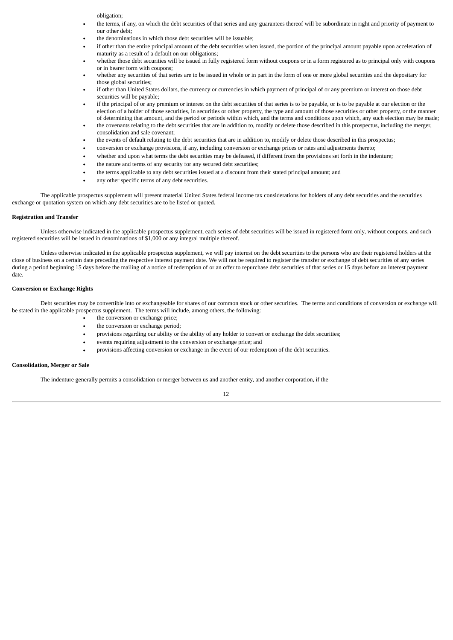obligation;

- the terms, if any, on which the debt securities of that series and any guarantees thereof will be subordinate in right and priority of payment to our other debt;
- the denominations in which those debt securities will be issuable;
- if other than the entire principal amount of the debt securities when issued, the portion of the principal amount payable upon acceleration of maturity as a result of a default on our obligations;
- whether those debt securities will be issued in fully registered form without coupons or in a form registered as to principal only with coupons or in bearer form with coupons;
- whether any securities of that series are to be issued in whole or in part in the form of one or more global securities and the depositary for those global securities;
- if other than United States dollars, the currency or currencies in which payment of principal of or any premium or interest on those debt securities will be payable;
- if the principal of or any premium or interest on the debt securities of that series is to be payable, or is to be payable at our election or the election of a holder of those securities, in securities or other property, the type and amount of those securities or other property, or the manner of determining that amount, and the period or periods within which, and the terms and conditions upon which, any such election may be made;
- the covenants relating to the debt securities that are in addition to, modify or delete those described in this prospectus, including the merger, consolidation and sale covenant;
- the events of default relating to the debt securities that are in addition to, modify or delete those described in this prospectus;
- conversion or exchange provisions, if any, including conversion or exchange prices or rates and adjustments thereto;
- whether and upon what terms the debt securities may be defeased, if different from the provisions set forth in the indenture;
- the nature and terms of any security for any secured debt securities;
- the terms applicable to any debt securities issued at a discount from their stated principal amount; and
- any other specific terms of any debt securities.

The applicable prospectus supplement will present material United States federal income tax considerations for holders of any debt securities and the securities exchange or quotation system on which any debt securities are to be listed or quoted.

#### **Registration and Transfer**

Unless otherwise indicated in the applicable prospectus supplement, each series of debt securities will be issued in registered form only, without coupons, and such registered securities will be issued in denominations of \$1,000 or any integral multiple thereof.

Unless otherwise indicated in the applicable prospectus supplement, we will pay interest on the debt securities to the persons who are their registered holders at the close of business on a certain date preceding the respective interest payment date. We will not be required to register the transfer or exchange of debt securities of any series during a period beginning 15 days before the mailing of a notice of redemption of or an offer to repurchase debt securities of that series or 15 days before an interest payment date.

## **Conversion or Exchange Rights**

Debt securities may be convertible into or exchangeable for shares of our common stock or other securities. The terms and conditions of conversion or exchange will be stated in the applicable prospectus supplement. The terms will include, among others, the following:

- the conversion or exchange price;
- the conversion or exchange period;
- provisions regarding our ability or the ability of any holder to convert or exchange the debt securities;
- events requiring adjustment to the conversion or exchange price; and
- provisions affecting conversion or exchange in the event of our redemption of the debt securities.

### **Consolidation, Merger or Sale**

The indenture generally permits a consolidation or merger between us and another entity, and another corporation, if the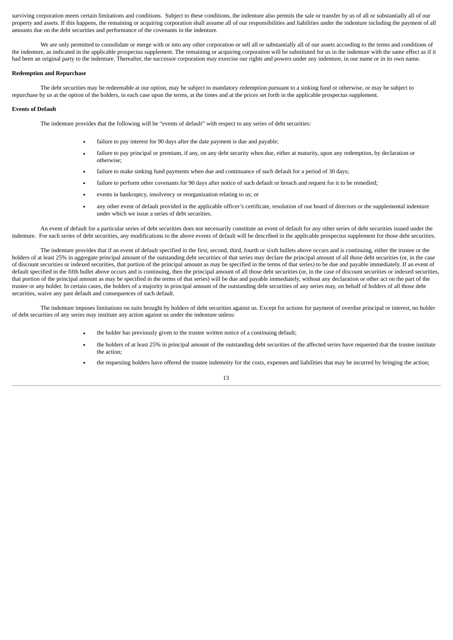surviving corporation meets certain limitations and conditions. Subject to these conditions, the indenture also permits the sale or transfer by us of all or substantially all of our property and assets. If this happens, the remaining or acquiring corporation shall assume all of our responsibilities and liabilities under the indenture including the payment of all amounts due on the debt securities and performance of the covenants in the indenture.

We are only permitted to consolidate or merge with or into any other corporation or sell all or substantially all of our assets according to the terms and conditions of the indenture, as indicated in the applicable prospectus supplement. The remaining or acquiring corporation will be substituted for us in the indenture with the same effect as if it had been an original party to the indenture. Thereafter, the successor corporation may exercise our rights and powers under any indenture, in our name or in its own name.

## **Redemption and Repurchase**

The debt securities may be redeemable at our option, may be subject to mandatory redemption pursuant to a sinking fund or otherwise, or may be subject to repurchase by us at the option of the holders, in each case upon the terms, at the times and at the prices set forth in the applicable prospectus supplement.

### **Events of Default**

The indenture provides that the following will be "events of default" with respect to any series of debt securities:

- failure to pay interest for 90 days after the date payment is due and payable;
- failure to pay principal or premium, if any, on any debt security when due, either at maturity, upon any redemption, by declaration or otherwise;
- failure to make sinking fund payments when due and continuance of such default for a period of 30 days;
- failure to perform other covenants for 90 days after notice of such default or breach and request for it to be remedied;
- events in bankruptcy, insolvency or reorganization relating to us; or
- any other event of default provided in the applicable officer's certificate, resolution of our board of directors or the supplemental indenture under which we issue a series of debt securities.

An event of default for a particular series of debt securities does not necessarily constitute an event of default for any other series of debt securities issued under the indenture. For each series of debt securities, any modifications to the above events of default will be described in the applicable prospectus supplement for those debt securities.

The indenture provides that if an event of default specified in the first, second, third, fourth or sixth bullets above occurs and is continuing, either the trustee or the holders of at least 25% in aggregate principal amount of the outstanding debt securities of that series may declare the principal amount of all those debt securities (or, in the case of discount securities or indexed securities, that portion of the principal amount as may be specified in the terms of that series) to be due and payable immediately. If an event of default specified in the fifth bullet above occurs and is continuing, then the principal amount of all those debt securities (or, in the case of discount securities or indexed securities, that portion of the principal amount as may be specified in the terms of that series) will be due and payable immediately, without any declaration or other act on the part of the trustee or any holder. In certain cases, the holders of a majority in principal amount of the outstanding debt securities of any series may, on behalf of holders of all those debt securities, waive any past default and consequences of such default.

The indenture imposes limitations on suits brought by holders of debt securities against us. Except for actions for payment of overdue principal or interest, no holder of debt securities of any series may institute any action against us under the indenture unless:

- the holder has previously given to the trustee written notice of a continuing default;
- the holders of at least 25% in principal amount of the outstanding debt securities of the affected series have requested that the trustee institute the action;
- the requesting holders have offered the trustee indemnity for the costs, expenses and liabilities that may be incurred by bringing the action;

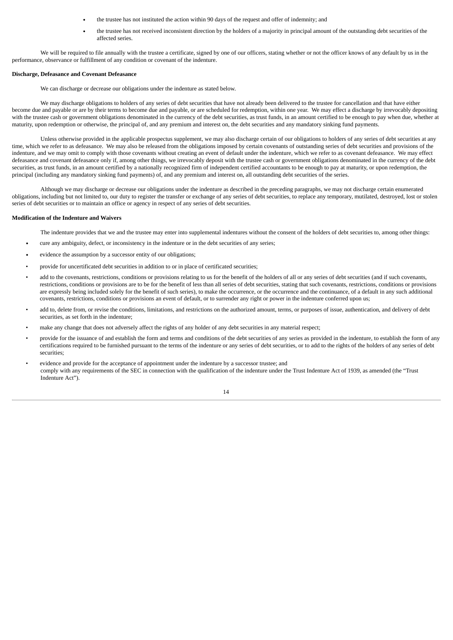- the trustee has not instituted the action within 90 days of the request and offer of indemnity; and
- the trustee has not received inconsistent direction by the holders of a majority in principal amount of the outstanding debt securities of the affected series.

We will be required to file annually with the trustee a certificate, signed by one of our officers, stating whether or not the officer knows of any default by us in the performance, observance or fulfillment of any condition or covenant of the indenture.

### **Discharge, Defeasance and Covenant Defeasance**

We can discharge or decrease our obligations under the indenture as stated below.

We may discharge obligations to holders of any series of debt securities that have not already been delivered to the trustee for cancellation and that have either become due and payable or are by their terms to become due and payable, or are scheduled for redemption, within one year. We may effect a discharge by irrevocably depositing with the trustee cash or government obligations denominated in the currency of the debt securities, as trust funds, in an amount certified to be enough to pay when due, whether at maturity, upon redemption or otherwise, the principal of, and any premium and interest on, the debt securities and any mandatory sinking fund payments.

Unless otherwise provided in the applicable prospectus supplement, we may also discharge certain of our obligations to holders of any series of debt securities at any time, which we refer to as defeasance. We may also be released from the obligations imposed by certain covenants of outstanding series of debt securities and provisions of the indenture, and we may omit to comply with those covenants without creating an event of default under the indenture, which we refer to as covenant defeasance. We may effect defeasance and covenant defeasance only if, among other things, we irrevocably deposit with the trustee cash or government obligations denominated in the currency of the debt securities, as trust funds, in an amount certified by a nationally recognized firm of independent certified accountants to be enough to pay at maturity, or upon redemption, the principal (including any mandatory sinking fund payments) of, and any premium and interest on, all outstanding debt securities of the series.

Although we may discharge or decrease our obligations under the indenture as described in the preceding paragraphs, we may not discharge certain enumerated obligations, including but not limited to, our duty to register the transfer or exchange of any series of debt securities, to replace any temporary, mutilated, destroyed, lost or stolen series of debt securities or to maintain an office or agency in respect of any series of debt securities.

### **Modification of the Indenture and Waivers**

The indenture provides that we and the trustee may enter into supplemental indentures without the consent of the holders of debt securities to, among other things:

- cure any ambiguity, defect, or inconsistency in the indenture or in the debt securities of any series;
- evidence the assumption by a successor entity of our obligations;
- provide for uncertificated debt securities in addition to or in place of certificated securities;
- add to the covenants, restrictions, conditions or provisions relating to us for the benefit of the holders of all or any series of debt securities (and if such covenants, restrictions, conditions or provisions are to be for the benefit of less than all series of debt securities, stating that such covenants, restrictions, conditions or provisions are expressly being included solely for the benefit of such series), to make the occurrence, or the occurrence and the continuance, of a default in any such additional covenants, restrictions, conditions or provisions an event of default, or to surrender any right or power in the indenture conferred upon us;
- add to, delete from, or revise the conditions, limitations, and restrictions on the authorized amount, terms, or purposes of issue, authentication, and delivery of debt securities, as set forth in the indenture;
- make any change that does not adversely affect the rights of any holder of any debt securities in any material respect;
- provide for the issuance of and establish the form and terms and conditions of the debt securities of any series as provided in the indenture, to establish the form of any certifications required to be furnished pursuant to the terms of the indenture or any series of debt securities, or to add to the rights of the holders of any series of debt securities<sup>.</sup>
- evidence and provide for the acceptance of appointment under the indenture by a successor trustee; and comply with any requirements of the SEC in connection with the qualification of the indenture under the Trust Indenture Act of 1939, as amended (the "Trust Indenture Act").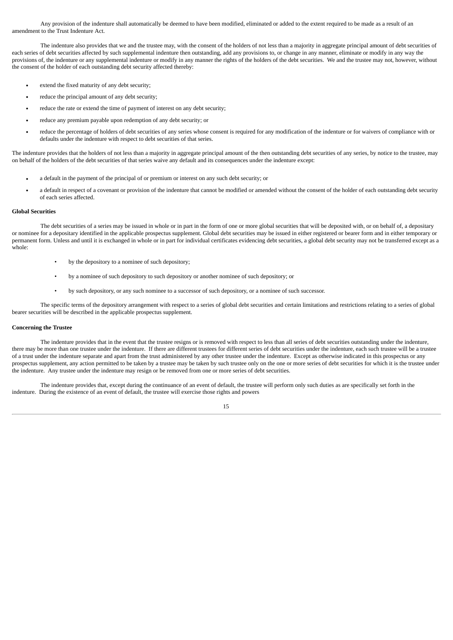Any provision of the indenture shall automatically be deemed to have been modified, eliminated or added to the extent required to be made as a result of an amendment to the Trust Indenture Act.

The indenture also provides that we and the trustee may, with the consent of the holders of not less than a majority in aggregate principal amount of debt securities of each series of debt securities affected by such supplemental indenture then outstanding, add any provisions to, or change in any manner, eliminate or modify in any way the provisions of, the indenture or any supplemental indenture or modify in any manner the rights of the holders of the debt securities. We and the trustee may not, however, without the consent of the holder of each outstanding debt security affected thereby:

- extend the fixed maturity of any debt security;
- reduce the principal amount of any debt security;
- reduce the rate or extend the time of payment of interest on any debt security;
- reduce any premium payable upon redemption of any debt security; or
- reduce the percentage of holders of debt securities of any series whose consent is required for any modification of the indenture or for waivers of compliance with or defaults under the indenture with respect to debt securities of that series.

The indenture provides that the holders of not less than a majority in aggregate principal amount of the then outstanding debt securities of any series, by notice to the trustee, may on behalf of the holders of the debt securities of that series waive any default and its consequences under the indenture except:

- a default in the payment of the principal of or premium or interest on any such debt security; or
- a default in respect of a covenant or provision of the indenture that cannot be modified or amended without the consent of the holder of each outstanding debt security of each series affected.

## **Global Securities**

The debt securities of a series may be issued in whole or in part in the form of one or more global securities that will be deposited with, or on behalf of, a depositary or nominee for a depositary identified in the applicable prospectus supplement. Global debt securities may be issued in either registered or bearer form and in either temporary or permanent form. Unless and until it is exchanged in whole or in part for individual certificates evidencing debt securities, a global debt security may not be transferred except as a whole:

- by the depository to a nominee of such depository;
- by a nominee of such depository to such depository or another nominee of such depository; or
- by such depository, or any such nominee to a successor of such depository, or a nominee of such successor.

The specific terms of the depository arrangement with respect to a series of global debt securities and certain limitations and restrictions relating to a series of global bearer securities will be described in the applicable prospectus supplement.

#### **Concerning the Trustee**

The indenture provides that in the event that the trustee resigns or is removed with respect to less than all series of debt securities outstanding under the indenture, there may be more than one trustee under the indenture. If there are different trustees for different series of debt securities under the indenture, each such trustee will be a trustee of a trust under the indenture separate and apart from the trust administered by any other trustee under the indenture. Except as otherwise indicated in this prospectus or any prospectus supplement, any action permitted to be taken by a trustee may be taken by such trustee only on the one or more series of debt securities for which it is the trustee under the indenture. Any trustee under the indenture may resign or be removed from one or more series of debt securities.

The indenture provides that, except during the continuance of an event of default, the trustee will perform only such duties as are specifically set forth in the indenture. During the existence of an event of default, the trustee will exercise those rights and powers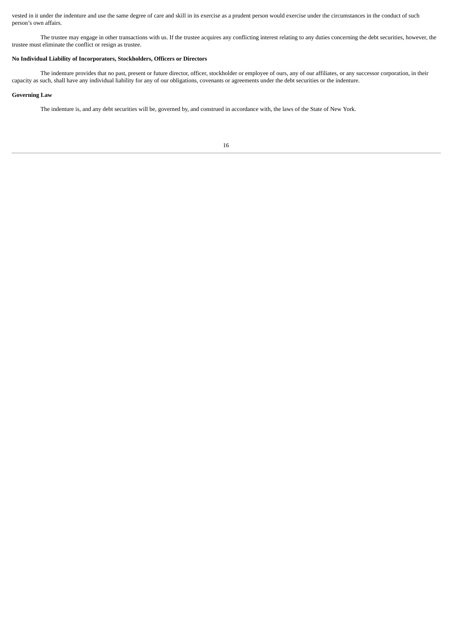vested in it under the indenture and use the same degree of care and skill in its exercise as a prudent person would exercise under the circumstances in the conduct of such person's own affairs.

The trustee may engage in other transactions with us. If the trustee acquires any conflicting interest relating to any duties concerning the debt securities, however, the trustee must eliminate the conflict or resign as trustee.

## **No Individual Liability of Incorporators, Stockholders, Officers or Directors**

The indenture provides that no past, present or future director, officer, stockholder or employee of ours, any of our affiliates, or any successor corporation, in their capacity as such, shall have any individual liability for any of our obligations, covenants or agreements under the debt securities or the indenture.

## **Governing Law**

The indenture is, and any debt securities will be, governed by, and construed in accordance with, the laws of the State of New York.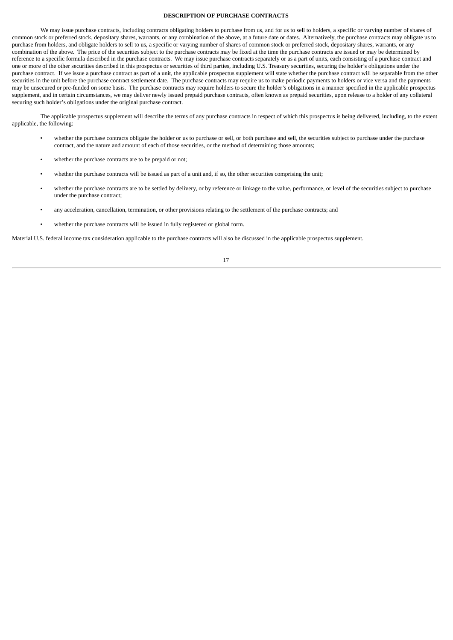## **DESCRIPTION OF PURCHASE CONTRACTS**

<span id="page-20-0"></span>We may issue purchase contracts, including contracts obligating holders to purchase from us, and for us to sell to holders, a specific or varying number of shares of common stock or preferred stock, depositary shares, warrants, or any combination of the above, at a future date or dates. Alternatively, the purchase contracts may obligate us to purchase from holders, and obligate holders to sell to us, a specific or varying number of shares of common stock or preferred stock, depositary shares, warrants, or any combination of the above. The price of the securities subject to the purchase contracts may be fixed at the time the purchase contracts are issued or may be determined by reference to a specific formula described in the purchase contracts. We may issue purchase contracts separately or as a part of units, each consisting of a purchase contract and one or more of the other securities described in this prospectus or securities of third parties, including U.S. Treasury securities, securing the holder's obligations under the purchase contract. If we issue a purchase contract as part of a unit, the applicable prospectus supplement will state whether the purchase contract will be separable from the other securities in the unit before the purchase contract settlement date. The purchase contracts may require us to make periodic payments to holders or vice versa and the payments may be unsecured or pre-funded on some basis. The purchase contracts may require holders to secure the holder's obligations in a manner specified in the applicable prospectus supplement, and in certain circumstances, we may deliver newly issued prepaid purchase contracts, often known as prepaid securities, upon release to a holder of any collateral securing such holder's obligations under the original purchase contract.

The applicable prospectus supplement will describe the terms of any purchase contracts in respect of which this prospectus is being delivered, including, to the extent applicable, the following:

- whether the purchase contracts obligate the holder or us to purchase or sell, or both purchase and sell, the securities subject to purchase under the purchase contract, and the nature and amount of each of those securities, or the method of determining those amounts;
- whether the purchase contracts are to be prepaid or not;
- whether the purchase contracts will be issued as part of a unit and, if so, the other securities comprising the unit;
- whether the purchase contracts are to be settled by delivery, or by reference or linkage to the value, performance, or level of the securities subject to purchase under the purchase contract;
- any acceleration, cancellation, termination, or other provisions relating to the settlement of the purchase contracts; and
- whether the purchase contracts will be issued in fully registered or global form.

<span id="page-20-1"></span>Material U.S. federal income tax consideration applicable to the purchase contracts will also be discussed in the applicable prospectus supplement.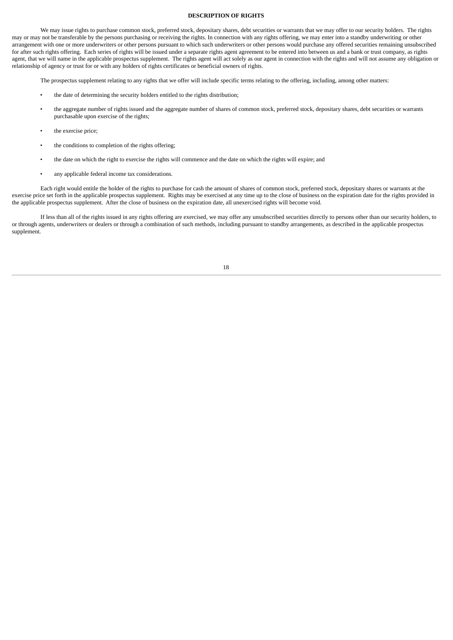## **DESCRIPTION OF RIGHTS**

We may issue rights to purchase common stock, preferred stock, depositary shares, debt securities or warrants that we may offer to our security holders. The rights may or may not be transferable by the persons purchasing or receiving the rights. In connection with any rights offering, we may enter into a standby underwriting or other arrangement with one or more underwriters or other persons pursuant to which such underwriters or other persons would purchase any offered securities remaining unsubscribed for after such rights offering. Each series of rights will be issued under a separate rights agent agreement to be entered into between us and a bank or trust company, as rights agent, that we will name in the applicable prospectus supplement. The rights agent will act solely as our agent in connection with the rights and will not assume any obligation or relationship of agency or trust for or with any holders of rights certificates or beneficial owners of rights.

The prospectus supplement relating to any rights that we offer will include specific terms relating to the offering, including, among other matters:

- the date of determining the security holders entitled to the rights distribution;
- the aggregate number of rights issued and the aggregate number of shares of common stock, preferred stock, depositary shares, debt securities or warrants purchasable upon exercise of the rights;
- the exercise price;
- the conditions to completion of the rights offering;
- the date on which the right to exercise the rights will commence and the date on which the rights will expire; and
- any applicable federal income tax considerations.

Each right would entitle the holder of the rights to purchase for cash the amount of shares of common stock, preferred stock, depositary shares or warrants at the exercise price set forth in the applicable prospectus supplement. Rights may be exercised at any time up to the close of business on the expiration date for the rights provided in the applicable prospectus supplement. After the close of business on the expiration date, all unexercised rights will become void.

<span id="page-21-0"></span>If less than all of the rights issued in any rights offering are exercised, we may offer any unsubscribed securities directly to persons other than our security holders, to or through agents, underwriters or dealers or through a combination of such methods, including pursuant to standby arrangements, as described in the applicable prospectus supplement.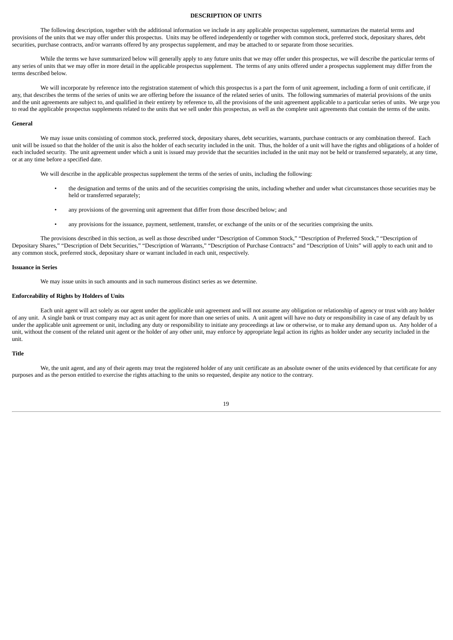## **DESCRIPTION OF UNITS**

The following description, together with the additional information we include in any applicable prospectus supplement, summarizes the material terms and provisions of the units that we may offer under this prospectus. Units may be offered independently or together with common stock, preferred stock, depositary shares, debt securities, purchase contracts, and/or warrants offered by any prospectus supplement, and may be attached to or separate from those securities.

While the terms we have summarized below will generally apply to any future units that we may offer under this prospectus, we will describe the particular terms of any series of units that we may offer in more detail in the applicable prospectus supplement. The terms of any units offered under a prospectus supplement may differ from the terms described below.

We will incorporate by reference into the registration statement of which this prospectus is a part the form of unit agreement, including a form of unit certificate, if any, that describes the terms of the series of units we are offering before the issuance of the related series of units. The following summaries of material provisions of the units and the unit agreements are subject to, and qualified in their entirety by reference to, all the provisions of the unit agreement applicable to a particular series of units. We urge you to read the applicable prospectus supplements related to the units that we sell under this prospectus, as well as the complete unit agreements that contain the terms of the units.

#### **General**

We may issue units consisting of common stock, preferred stock, depositary shares, debt securities, warrants, purchase contracts or any combination thereof. Each unit will be issued so that the holder of the unit is also the holder of each security included in the unit. Thus, the holder of a unit will have the rights and obligations of a holder of each included security. The unit agreement under which a unit is issued may provide that the securities included in the unit may not be held or transferred separately, at any time, or at any time before a specified date.

We will describe in the applicable prospectus supplement the terms of the series of units, including the following:

- the designation and terms of the units and of the securities comprising the units, including whether and under what circumstances those securities may be held or transferred separately;
- any provisions of the governing unit agreement that differ from those described below; and
- any provisions for the issuance, payment, settlement, transfer, or exchange of the units or of the securities comprising the units.

The provisions described in this section, as well as those described under "Description of Common Stock," "Description of Preferred Stock," "Description of Depositary Shares," "Description of Debt Securities," "Description of Warrants," "Description of Purchase Contracts" and "Description of Units" will apply to each unit and to any common stock, preferred stock, depositary share or warrant included in each unit, respectively.

#### **Issuance in Series**

We may issue units in such amounts and in such numerous distinct series as we determine.

### **Enforceability of Rights by Holders of Units**

Each unit agent will act solely as our agent under the applicable unit agreement and will not assume any obligation or relationship of agency or trust with any holder of any unit. A single bank or trust company may act as unit agent for more than one series of units. A unit agent will have no duty or responsibility in case of any default by us under the applicable unit agreement or unit, including any duty or responsibility to initiate any proceedings at law or otherwise, or to make any demand upon us. Any holder of a unit, without the consent of the related unit agent or the holder of any other unit, may enforce by appropriate legal action its rights as holder under any security included in the unit.

#### **Title**

<span id="page-22-0"></span>We, the unit agent, and any of their agents may treat the registered holder of any unit certificate as an absolute owner of the units evidenced by that certificate for any purposes and as the person entitled to exercise the rights attaching to the units so requested, despite any notice to the contrary.

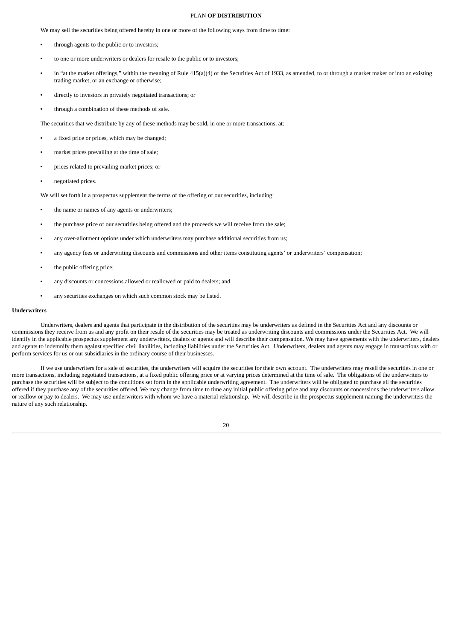## PLAN **OF DISTRIBUTION**

We may sell the securities being offered hereby in one or more of the following ways from time to time:

- through agents to the public or to investors;
- to one or more underwriters or dealers for resale to the public or to investors;
- in "at the market offerings," within the meaning of Rule 415(a)(4) of the Securities Act of 1933, as amended, to or through a market maker or into an existing trading market, or an exchange or otherwise;
- directly to investors in privately negotiated transactions; or
- through a combination of these methods of sale.

The securities that we distribute by any of these methods may be sold, in one or more transactions, at:

- a fixed price or prices, which may be changed;
- market prices prevailing at the time of sale;
- prices related to prevailing market prices; or
- negotiated prices.

We will set forth in a prospectus supplement the terms of the offering of our securities, including:

- the name or names of any agents or underwriters;
- the purchase price of our securities being offered and the proceeds we will receive from the sale;
- any over-allotment options under which underwriters may purchase additional securities from us;
- any agency fees or underwriting discounts and commissions and other items constituting agents' or underwriters' compensation;
- the public offering price;
- any discounts or concessions allowed or reallowed or paid to dealers; and
- any securities exchanges on which such common stock may be listed.

### **Underwriters**

Underwriters, dealers and agents that participate in the distribution of the securities may be underwriters as defined in the Securities Act and any discounts or commissions they receive from us and any profit on their resale of the securities may be treated as underwriting discounts and commissions under the Securities Act. We will identify in the applicable prospectus supplement any underwriters, dealers or agents and will describe their compensation. We may have agreements with the underwriters, dealers and agents to indemnify them against specified civil liabilities, including liabilities under the Securities Act. Underwriters, dealers and agents may engage in transactions with or perform services for us or our subsidiaries in the ordinary course of their businesses.

If we use underwriters for a sale of securities, the underwriters will acquire the securities for their own account. The underwriters may resell the securities in one or more transactions, including negotiated transactions, at a fixed public offering price or at varying prices determined at the time of sale. The obligations of the underwriters to purchase the securities will be subject to the conditions set forth in the applicable underwriting agreement. The underwriters will be obligated to purchase all the securities offered if they purchase any of the securities offered. We may change from time to time any initial public offering price and any discounts or concessions the underwriters allow or reallow or pay to dealers. We may use underwriters with whom we have a material relationship. We will describe in the prospectus supplement naming the underwriters the nature of any such relationship.

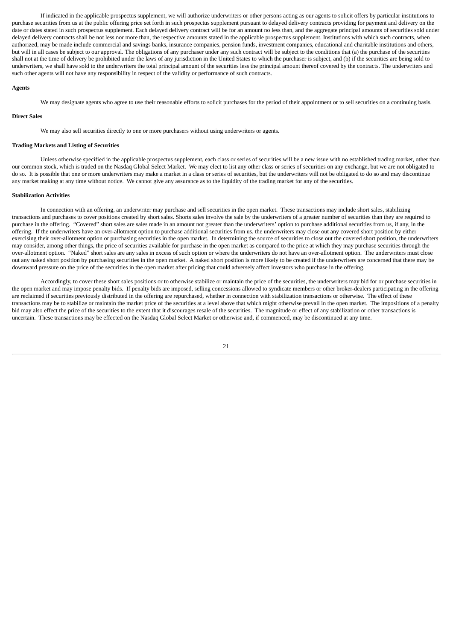If indicated in the applicable prospectus supplement, we will authorize underwriters or other persons acting as our agents to solicit offers by particular institutions to purchase securities from us at the public offering price set forth in such prospectus supplement pursuant to delayed delivery contracts providing for payment and delivery on the date or dates stated in such prospectus supplement. Each delayed delivery contract will be for an amount no less than, and the aggregate principal amounts of securities sold under delayed delivery contracts shall be not less nor more than, the respective amounts stated in the applicable prospectus supplement. Institutions with which such contracts, when authorized, may be made include commercial and savings banks, insurance companies, pension funds, investment companies, educational and charitable institutions and others, but will in all cases be subject to our approval. The obligations of any purchaser under any such contract will be subject to the conditions that (a) the purchase of the securities shall not at the time of delivery be prohibited under the laws of any jurisdiction in the United States to which the purchaser is subject, and (b) if the securities are being sold to underwriters, we shall have sold to the underwriters the total principal amount of the securities less the principal amount thereof covered by the contracts. The underwriters and such other agents will not have any responsibility in respect of the validity or performance of such contracts.

## **Agents**

We may designate agents who agree to use their reasonable efforts to solicit purchases for the period of their appointment or to sell securities on a continuing basis.

#### **Direct Sales**

We may also sell securities directly to one or more purchasers without using underwriters or agents.

## **Trading Markets and Listing of Securities**

Unless otherwise specified in the applicable prospectus supplement, each class or series of securities will be a new issue with no established trading market, other than our common stock, which is traded on the Nasdaq Global Select Market. We may elect to list any other class or series of securities on any exchange, but we are not obligated to do so. It is possible that one or more underwriters may make a market in a class or series of securities, but the underwriters will not be obligated to do so and may discontinue any market making at any time without notice. We cannot give any assurance as to the liquidity of the trading market for any of the securities.

#### **Stabilization Activities**

In connection with an offering, an underwriter may purchase and sell securities in the open market. These transactions may include short sales, stabilizing transactions and purchases to cover positions created by short sales. Shorts sales involve the sale by the underwriters of a greater number of securities than they are required to purchase in the offering. "Covered" short sales are sales made in an amount not greater than the underwriters' option to purchase additional securities from us, if any, in the offering. If the underwriters have an over-allotment option to purchase additional securities from us, the underwriters may close out any covered short position by either exercising their over-allotment option or purchasing securities in the open market. In determining the source of securities to close out the covered short position, the underwriters may consider, among other things, the price of securities available for purchase in the open market as compared to the price at which they may purchase securities through the over-allotment option. "Naked" short sales are any sales in excess of such option or where the underwriters do not have an over-allotment option. The underwriters must close out any naked short position by purchasing securities in the open market. A naked short position is more likely to be created if the underwriters are concerned that there may be downward pressure on the price of the securities in the open market after pricing that could adversely affect investors who purchase in the offering.

<span id="page-24-0"></span>Accordingly, to cover these short sales positions or to otherwise stabilize or maintain the price of the securities, the underwriters may bid for or purchase securities in the open market and may impose penalty bids. If penalty bids are imposed, selling concessions allowed to syndicate members or other broker-dealers participating in the offering are reclaimed if securities previously distributed in the offering are repurchased, whether in connection with stabilization transactions or otherwise. The effect of these transactions may be to stabilize or maintain the market price of the securities at a level above that which might otherwise prevail in the open market. The impositions of a penalty bid may also effect the price of the securities to the extent that it discourages resale of the securities. The magnitude or effect of any stabilization or other transactions is uncertain. These transactions may be effected on the Nasdaq Global Select Market or otherwise and, if commenced, may be discontinued at any time.

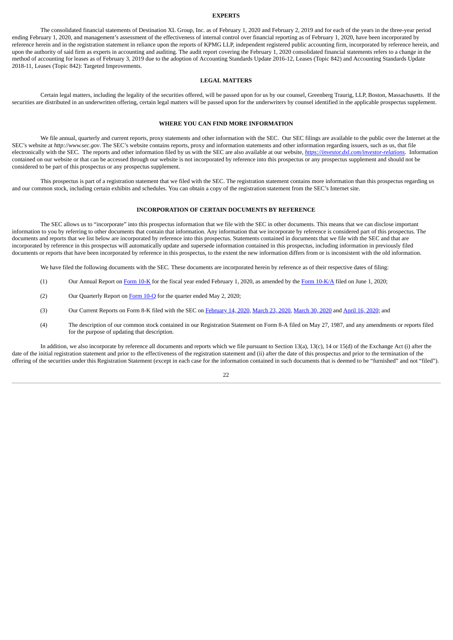## **EXPERTS**

The consolidated financial statements of Destination XL Group, Inc. as of February 1, 2020 and February 2, 2019 and for each of the years in the three-year period ending February 1, 2020, and management's assessment of the effectiveness of internal control over financial reporting as of February 1, 2020, have been incorporated by reference herein and in the registration statement in reliance upon the reports of KPMG LLP, independent registered public accounting firm, incorporated by reference herein, and upon the authority of said firm as experts in accounting and auditing. The audit report covering the February 1, 2020 consolidated financial statements refers to a change in the method of accounting for leases as of February 3, 2019 due to the adoption of Accounting Standards Update 2016-12, Leases (Topic 842) and Accounting Standards Update 2018-11, Leases (Topic 842): Targeted Improvements.

#### **LEGAL MATTERS**

<span id="page-25-0"></span>Certain legal matters, including the legality of the securities offered, will be passed upon for us by our counsel, Greenberg Traurig, LLP, Boston, Massachusetts. If the securities are distributed in an underwritten offering, certain legal matters will be passed upon for the underwriters by counsel identified in the applicable prospectus supplement.

## **WHERE YOU CAN FIND MORE INFORMATION**

<span id="page-25-1"></span>We file annual, quarterly and current reports, proxy statements and other information with the SEC. Our SEC filings are available to the public over the Internet at the SEC's website at *http://www.sec.gov*. The SEC's website contains reports, proxy and information statements and other information regarding issuers, such as us, that file electronically with the SEC. The reports and other information filed by us with the SEC are also available at our website, *https://investor.dxl.com/investor-relations.* Information contained on our website or that can be accessed through our website is not incorporated by reference into this prospectus or any prospectus supplement and should not be considered to be part of this prospectus or any prospectus supplement.

This prospectus is part of a registration statement that we filed with the SEC. The registration statement contains more information than this prospectus regarding us and our common stock, including certain exhibits and schedules. You can obtain a copy of the registration statement from the SEC's Internet site.

## **INCORPORATION OF CERTAIN DOCUMENTS BY REFERENCE**

<span id="page-25-2"></span>The SEC allows us to "incorporate" into this prospectus information that we file with the SEC in other documents. This means that we can disclose important information to you by referring to other documents that contain that information. Any information that we incorporate by reference is considered part of this prospectus. The documents and reports that we list below are incorporated by reference into this prospectus. Statements contained in documents that we file with the SEC and that are incorporated by reference in this prospectus will automatically update and supersede information contained in this prospectus, including information in previously filed documents or reports that have been incorporated by reference in this prospectus, to the extent the new information differs from or is inconsistent with the old information.

We have filed the following documents with the SEC. These documents are incorporated herein by reference as of their respective dates of filing:

- (1) Our Annual Report on [Form](http://www.sec.gov/Archives/edgar/data/813298/000156459020011796/dxlg-10k_20200201.htm) 10-K for the fiscal year ended February 1, 2020, as amended by the Form [10-K/A](http://www.sec.gov/Archives/edgar/data/813298/000156459020027797/dxlg-10ka_20200201.htm) filed on June 1, 2020;
- (2) Our Quarterly Report on [Form](http://www.sec.gov/Archives/edgar/data/813298/000156459020028350/dxlg-10q_20200502.htm) 10-Q for the quarter ended May 2, 2020;
- (3) Our Current Reports on Form 8-K filed with the SEC on [February](http://www.sec.gov/Archives/edgar/data/813298/000156459020004694/dxlg-8k_20200213.htm) 14, 2020, [March](http://www.sec.gov/Archives/edgar/data/0000813298/000156459020014091/dxlg-8k_20200327.htm) 23, 2020, March 30, 2020 and [April](http://www.sec.gov/Archives/edgar/data/0000813298/000156459020016963/dxlg-8k_20200409.htm) 16, 2020; and
- (4) The description of our common stock contained in our Registration Statement on Form 8-A filed on May 27, 1987, and any amendments or reports filed for the purpose of updating that description.

In addition, we also incorporate by reference all documents and reports which we file pursuant to Section 13(a), 13(c), 14 or 15(d) of the Exchange Act (i) after the date of the initial registration statement and prior to the effectiveness of the registration statement and (ii) after the date of this prospectus and prior to the termination of the offering of the securities under this Registration Statement (except in each case for the information contained in such documents that is deemed to be "furnished" and not "filed").

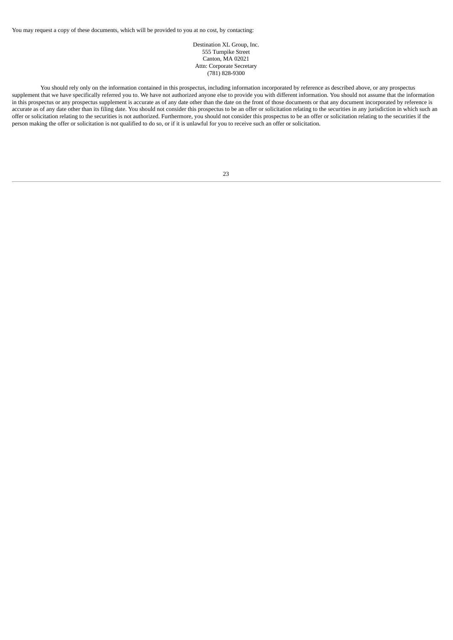You may request a copy of these documents, which will be provided to you at no cost, by contacting:

### Destination XL Group, Inc. 555 Turnpike Street Canton, MA 02021 Attn: Corporate Secretary (781) 828-9300

You should rely only on the information contained in this prospectus, including information incorporated by reference as described above, or any prospectus supplement that we have specifically referred you to. We have not authorized anyone else to provide you with different information. You should not assume that the information in this prospectus or any prospectus supplement is accurate as of any date other than the date on the front of those documents or that any document incorporated by reference is accurate as of any date other than its filing date. You should not consider this prospectus to be an offer or solicitation relating to the securities in any jurisdiction in which such an offer or solicitation relating to the securities is not authorized. Furthermore, you should not consider this prospectus to be an offer or solicitation relating to the securities if the person making the offer or solicitation is not qualified to do so, or if it is unlawful for you to receive such an offer or solicitation.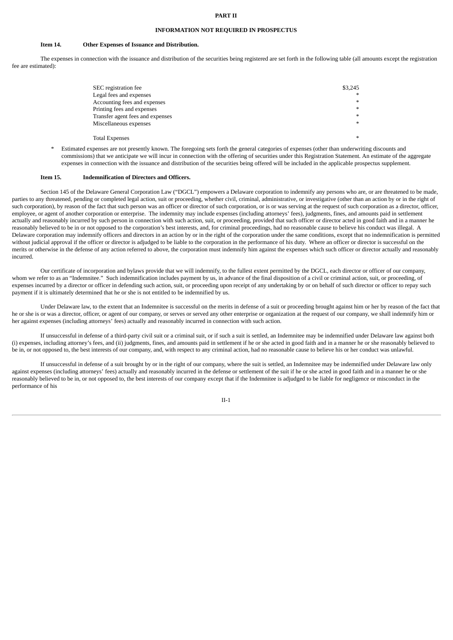## **PART II**

## **INFORMATION NOT REQUIRED IN PROSPECTUS**

## **Item 14. Other Expenses of Issuance and Distribution.**

The expenses in connection with the issuance and distribution of the securities being registered are set forth in the following table (all amounts except the registration fee are estimated):

| SEC registration fee             | \$3,245 |
|----------------------------------|---------|
| Legal fees and expenses          | *       |
| Accounting fees and expenses     | $*$     |
| Printing fees and expenses       | $*$     |
| Transfer agent fees and expenses | *       |
| Miscellaneous expenses           | $*$     |
|                                  |         |
| <b>Total Expenses</b>            | $*$     |

\* Estimated expenses are not presently known. The foregoing sets forth the general categories of expenses (other than underwriting discounts and commissions) that we anticipate we will incur in connection with the offering of securities under this Registration Statement. An estimate of the aggregate expenses in connection with the issuance and distribution of the securities being offered will be included in the applicable prospectus supplement.

#### **Item 15. Indemnification of Directors and Officers.**

Section 145 of the Delaware General Corporation Law ("DGCL") empowers a Delaware corporation to indemnify any persons who are, or are threatened to be made, parties to any threatened, pending or completed legal action, suit or proceeding, whether civil, criminal, administrative, or investigative (other than an action by or in the right of such corporation), by reason of the fact that such person was an officer or director of such corporation, or is or was serving at the request of such corporation as a director, officer, employee, or agent of another corporation or enterprise. The indemnity may include expenses (including attorneys' fees), judgments, fines, and amounts paid in settlement actually and reasonably incurred by such person in connection with such action, suit, or proceeding, provided that such officer or director acted in good faith and in a manner he reasonably believed to be in or not opposed to the corporation's best interests, and, for criminal proceedings, had no reasonable cause to believe his conduct was illegal. A Delaware corporation may indemnify officers and directors in an action by or in the right of the corporation under the same conditions, except that no indemnification is permitted without judicial approval if the officer or director is adjudged to be liable to the corporation in the performance of his duty. Where an officer or director is successful on the merits or otherwise in the defense of any action referred to above, the corporation must indemnify him against the expenses which such officer or director actually and reasonably incurred.

Our certificate of incorporation and bylaws provide that we will indemnify, to the fullest extent permitted by the DGCL, each director or officer of our company, whom we refer to as an "Indemnitee." Such indemnification includes payment by us, in advance of the final disposition of a civil or criminal action, suit, or proceeding, of expenses incurred by a director or officer in defending such action, suit, or proceeding upon receipt of any undertaking by or on behalf of such director or officer to repay such payment if it is ultimately determined that he or she is not entitled to be indemnified by us.

Under Delaware law, to the extent that an Indemnitee is successful on the merits in defense of a suit or proceeding brought against him or her by reason of the fact that he or she is or was a director, officer, or agent of our company, or serves or served any other enterprise or organization at the request of our company, we shall indemnify him or her against expenses (including attorneys' fees) actually and reasonably incurred in connection with such action.

If unsuccessful in defense of a third-party civil suit or a criminal suit, or if such a suit is settled, an Indemnitee may be indemnified under Delaware law against both (i) expenses, including attorney's fees, and (ii) judgments, fines, and amounts paid in settlement if he or she acted in good faith and in a manner he or she reasonably believed to be in, or not opposed to, the best interests of our company, and, with respect to any criminal action, had no reasonable cause to believe his or her conduct was unlawful.

If unsuccessful in defense of a suit brought by or in the right of our company, where the suit is settled, an Indemnitee may be indemnified under Delaware law only against expenses (including attorneys' fees) actually and reasonably incurred in the defense or settlement of the suit if he or she acted in good faith and in a manner he or she reasonably believed to be in, or not opposed to, the best interests of our company except that if the Indemnitee is adjudged to be liable for negligence or misconduct in the performance of his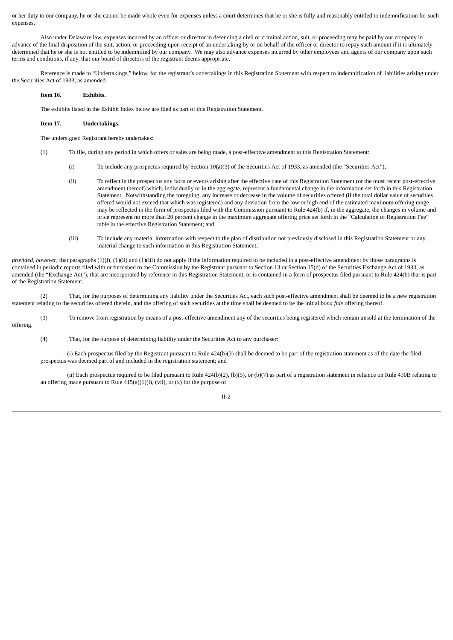or her duty to our company, he or she cannot be made whole even for expenses unless a court determines that he or she is fully and reasonably entitled to indemnification for such expenses.

Also under Delaware law, expenses incurred by an officer or director in defending a civil or criminal action, suit, or proceeding may be paid by our company in advance of the final disposition of the suit, action, or proceeding upon receipt of an undertaking by or on behalf of the officer or director to repay such amount if it is ultimately determined that he or she is not entitled to be indemnified by our company. We may also advance expenses incurred by other employees and agents of our company upon such terms and conditions, if any, that our board of directors of the registrant deems appropriate.

Reference is made to "Undertakings," below, for the registrant's undertakings in this Registration Statement with respect to indemnification of liabilities arising under the Securities Act of 1933, as amended.

## **Item 16. Exhibits.**

The exhibits listed in the Exhibit Index below are filed as part of this Registration Statement.

### **Item 17. Undertakings.**

The undersigned Registrant hereby undertakes:

- (1) To file, during any period in which offers or sales are being made, a post-effective amendment to this Registration Statement:
	- (i) To include any prospectus required by Section 10(a)(3) of the Securities Act of 1933, as amended (the "Securities Act");
	- (ii) To reflect in the prospectus any facts or events arising after the effective date of this Registration Statement (or the most recent post-effective amendment thereof) which, individually or in the aggregate, represent a fundamental change in the information set forth in this Registration Statement. Notwithstanding the foregoing, any increase or decrease in the volume of securities offered (if the total dollar value of securities offered would not exceed that which was registered) and any deviation from the low or high end of the estimated maximum offering range may be reflected in the form of prospectus filed with the Commission pursuant to Rule 424(b) if, in the aggregate, the changes in volume and price represent no more than 20 percent change in the maximum aggregate offering price set forth in the "Calculation of Registration Fee" table in the effective Registration Statement; and
	- (iii) To include any material information with respect to the plan of distribution not previously disclosed in this Registration Statement or any material change to such information in this Registration Statement;

*provided, however*, that paragraphs (1)(i), (1)(ii) and (1)(iii) do not apply if the information required to be included in a post-effective amendment by those paragraphs is contained in periodic reports filed with or furnished to the Commission by the Registrant pursuant to Section 13 or Section 15(d) of the Securities Exchange Act of 1934, as amended (the "Exchange Act"), that are incorporated by reference in this Registration Statement, or is contained in a form of prospectus filed pursuant to Rule 424(b) that is part of the Registration Statement.

(2) That, for the purposes of determining any liability under the Securities Act, each such post-effective amendment shall be deemed to be a new registration statement relating to the securities offered therein, and the offering of such securities at the time shall be deemed to be the initial *bona fide* offering thereof.

(3) To remove from registration by means of a post-effective amendment any of the securities being registered which remain unsold at the termination of the offering.

(4) That, for the purpose of determining liability under the Securities Act to any purchaser:

(i) Each prospectus filed by the Registrant pursuant to Rule 424(b)(3) shall be deemed to be part of the registration statement as of the date the filed prospectus was deemed part of and included in the registration statement; and

(ii) Each prospectus required to be filed pursuant to Rule 424(b)(2), (b)(5), or (b)(7) as part of a registration statement in reliance on Rule 430B relating to an offering made pursuant to Rule  $415(a)(1)(i)$ , (vii), or (x) for the purpose of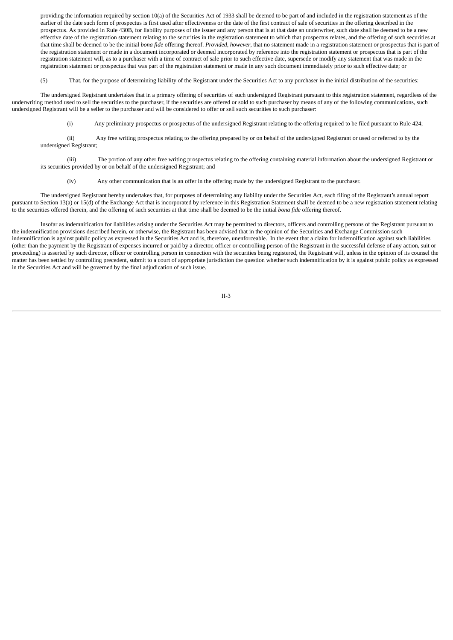providing the information required by section 10(a) of the Securities Act of 1933 shall be deemed to be part of and included in the registration statement as of the earlier of the date such form of prospectus is first used after effectiveness or the date of the first contract of sale of securities in the offering described in the prospectus. As provided in Rule 430B, for liability purposes of the issuer and any person that is at that date an underwriter, such date shall be deemed to be a new effective date of the registration statement relating to the securities in the registration statement to which that prospectus relates, and the offering of such securities at that time shall be deemed to be the initial *bona fide* offering thereof. *Provided, however*, that no statement made in a registration statement or prospectus that is part of the registration statement or made in a document incorporated or deemed incorporated by reference into the registration statement or prospectus that is part of the registration statement will, as to a purchaser with a time of contract of sale prior to such effective date, supersede or modify any statement that was made in the registration statement or prospectus that was part of the registration statement or made in any such document immediately prior to such effective date; or

(5) That, for the purpose of determining liability of the Registrant under the Securities Act to any purchaser in the initial distribution of the securities:

The undersigned Registrant undertakes that in a primary offering of securities of such undersigned Registrant pursuant to this registration statement, regardless of the underwriting method used to sell the securities to the purchaser, if the securities are offered or sold to such purchaser by means of any of the following communications, such undersigned Registrant will be a seller to the purchaser and will be considered to offer or sell such securities to such purchaser:

(i) Any preliminary prospectus or prospectus of the undersigned Registrant relating to the offering required to be filed pursuant to Rule 424;

(ii) Any free writing prospectus relating to the offering prepared by or on behalf of the undersigned Registrant or used or referred to by the undersigned Registrant;

(iii) The portion of any other free writing prospectus relating to the offering containing material information about the undersigned Registrant or its securities provided by or on behalf of the undersigned Registrant; and

(iv) Any other communication that is an offer in the offering made by the undersigned Registrant to the purchaser.

The undersigned Registrant hereby undertakes that, for purposes of determining any liability under the Securities Act, each filing of the Registrant's annual report pursuant to Section 13(a) or 15(d) of the Exchange Act that is incorporated by reference in this Registration Statement shall be deemed to be a new registration statement relating to the securities offered therein, and the offering of such securities at that time shall be deemed to be the initial *bona fide* offering thereof.

Insofar as indemnification for liabilities arising under the Securities Act may be permitted to directors, officers and controlling persons of the Registrant pursuant to the indemnification provisions described herein, or otherwise, the Registrant has been advised that in the opinion of the Securities and Exchange Commission such indemnification is against public policy as expressed in the Securities Act and is, therefore, unenforceable. In the event that a claim for indemnification against such liabilities (other than the payment by the Registrant of expenses incurred or paid by a director, officer or controlling person of the Registrant in the successful defense of any action, suit or proceeding) is asserted by such director, officer or controlling person in connection with the securities being registered, the Registrant will, unless in the opinion of its counsel the matter has been settled by controlling precedent, submit to a court of appropriate jurisdiction the question whether such indemnification by it is against public policy as expressed in the Securities Act and will be governed by the final adjudication of such issue.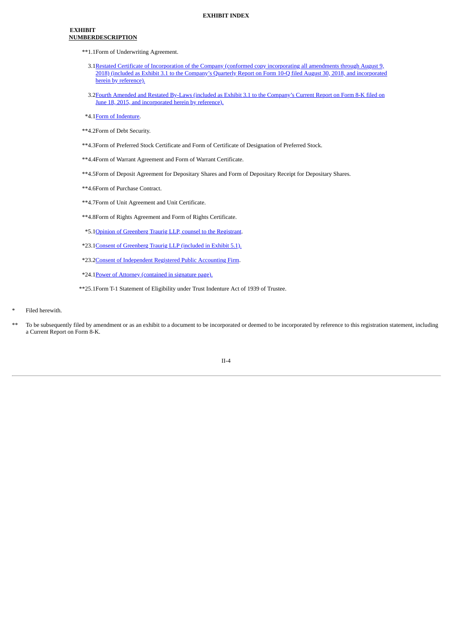## **EXHIBIT NUMBERDESCRIPTION**

- \*\*1.1Form of Underwriting Agreement.
- 3.1Restated Certificate of [Incorporation](http://www.sec.gov/Archives/edgar/data/813298/000156459017004804/dxlg-ex31_385.htm) of the Company (conformed copy incorporating all amendments through August 9, 2018) (included as Exhibit 3.1 to the Company's Quarterly Report on Form 10-Q filed August 30, 2018, and incorporated herein by reference).
- 3.2Fourth Amended and Restated By-Laws (included as Exhibit 3.1 to the Company's Current Report on Form 8-K filed on June 18, 2015, and [incorporated](http://www.sec.gov/Archives/edgar/data/813298/000156459015005139/dxlg-ex31_2015061621.htm) herein by reference).
- \*4.1Form of [Indenture](#page-33-0).
- \*\*4.2Form of Debt Security.
- \*\*4.3Form of Preferred Stock Certificate and Form of Certificate of Designation of Preferred Stock.
- \*\*4.4Form of Warrant Agreement and Form of Warrant Certificate.
- \*\*4.5Form of Deposit Agreement for Depositary Shares and Form of Depositary Receipt for Depositary Shares.
- \*\*4.6Form of Purchase Contract.
- \*\*4.7Form of Unit Agreement and Unit Certificate.
- \*\*4.8Form of Rights Agreement and Form of Rights Certificate.
- \*5.1Opinion of [Greenberg](#page-86-0) Traurig LLP, counsel to the Registrant.
- \*23.1Consent of [Greenberg](#page-86-0) Traurig LLP (included in Exhibit 5.1).
- \*23.2Consent of [Independent](#page-92-0) Registered Public Accounting Firm.
- \*24.1Power of Attorney [\(contained](#page-31-0) in signature page).
- \*\*25.1Form T-1 Statement of Eligibility under Trust Indenture Act of 1939 of Trustee.
- Filed herewith.
- To be subsequently filed by amendment or as an exhibit to a document to be incorporated or deemed to be incorporated by reference to this registration statement, including a Current Report on Form 8-K.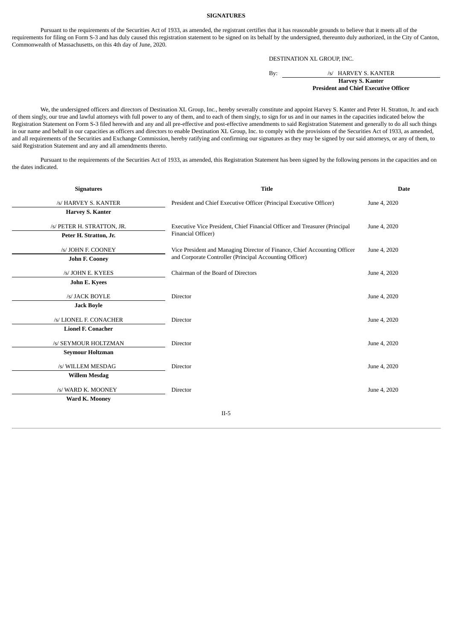### **SIGNATURES**

<span id="page-31-0"></span>Pursuant to the requirements of the Securities Act of 1933, as amended, the registrant certifies that it has reasonable grounds to believe that it meets all of the requirements for filing on Form S-3 and has duly caused this registration statement to be signed on its behalf by the undersigned, thereunto duly authorized, in the City of Canton, Commonwealth of Massachusetts, on this 4th day of June, 2020.

DESTINATION XL GROUP, INC.

By: /s/ HARVEY S. KANTER

**Harvey S. Kanter President and Chief Executive Officer**

We, the undersigned officers and directors of Destination XL Group, Inc., hereby severally constitute and appoint Harvey S. Kanter and Peter H. Stratton, Jr. and each of them singly, our true and lawful attorneys with full power to any of them, and to each of them singly, to sign for us and in our names in the capacities indicated below the Registration Statement on Form S-3 filed herewith and any and all pre-effective and post-effective amendments to said Registration Statement and generally to do all such things in our name and behalf in our capacities as officers and directors to enable Destination XL Group, Inc. to comply with the provisions of the Securities Act of 1933, as amended, and all requirements of the Securities and Exchange Commission, hereby ratifying and confirming our signatures as they may be signed by our said attorneys, or any of them, to said Registration Statement and any and all amendments thereto.

Pursuant to the requirements of the Securities Act of 1933, as amended, this Registration Statement has been signed by the following persons in the capacities and on the dates indicated.

| <b>Signatures</b>          | <b>Title</b>                                                               |              |  |
|----------------------------|----------------------------------------------------------------------------|--------------|--|
| /s/ HARVEY S. KANTER       | President and Chief Executive Officer (Principal Executive Officer)        | June 4, 2020 |  |
| Harvey S. Kanter           |                                                                            |              |  |
| /s/ PETER H. STRATTON, JR. | Executive Vice President, Chief Financial Officer and Treasurer (Principal | June 4, 2020 |  |
| Peter H. Stratton, Jr.     | Financial Officer)                                                         |              |  |
| /s/ JOHN F. COONEY         | Vice President and Managing Director of Finance, Chief Accounting Officer  | June 4, 2020 |  |
| <b>John F. Cooney</b>      | and Corporate Controller (Principal Accounting Officer)                    |              |  |
| /s/ JOHN E. KYEES          | Chairman of the Board of Directors                                         | June 4, 2020 |  |
| <b>John E. Kyees</b>       |                                                                            |              |  |
| /s/ JACK BOYLE             | Director                                                                   | June 4, 2020 |  |
| <b>Jack Boyle</b>          |                                                                            |              |  |
| /s/ LIONEL F. CONACHER     | Director                                                                   | June 4, 2020 |  |
| <b>Lionel F. Conacher</b>  |                                                                            |              |  |
| /s/ SEYMOUR HOLTZMAN       | Director                                                                   | June 4, 2020 |  |
| <b>Seymour Holtzman</b>    |                                                                            |              |  |
| /s/ WILLEM MESDAG          | Director                                                                   | June 4, 2020 |  |
| <b>Willem Mesdag</b>       |                                                                            |              |  |
| /s/ WARD K. MOONEY         | Director                                                                   | June 4, 2020 |  |
| Ward K. Mooney             |                                                                            |              |  |
|                            |                                                                            |              |  |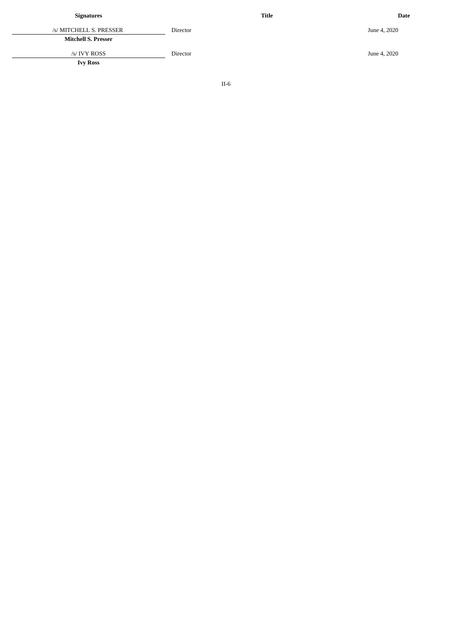**T it l e**

| /s/ MITCHELL S. PRESSER    | Director | June 4, 2020 |
|----------------------------|----------|--------------|
| <b>Mitchell S. Presser</b> |          |              |
| /s/ IVY ROSS               | Director | June 4, 2020 |
| <b>Ivy Ross</b>            |          |              |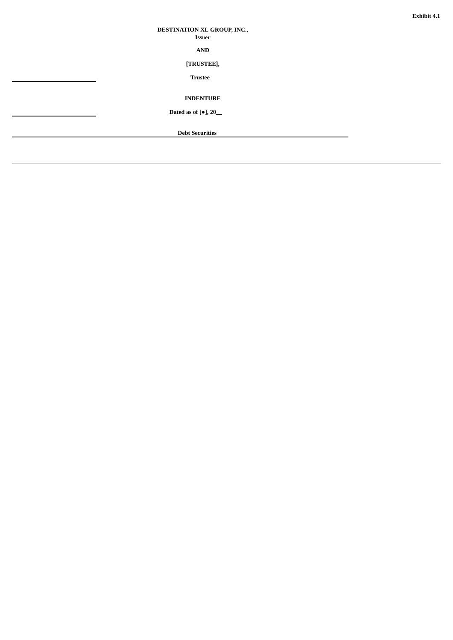## <span id="page-33-0"></span>**DESTINATION XL GROUP, INC., Iss**u**er**

**AND**

# **[TRUSTEE],**

**Trustee**

**INDENTURE**

**Dated as of [●], 20\_\_**

**Debt Securities**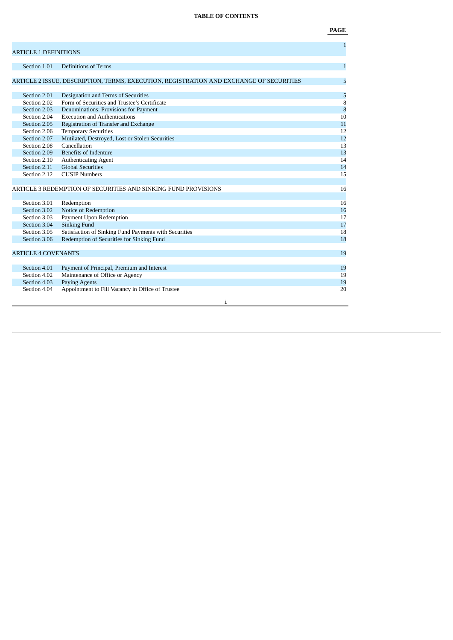# **TABLE OF CONTENTS**

**PAGE**

| <b>ARTICLE 1 DEFINITIONS</b> |                                                                                         | $\mathbf 1$        |
|------------------------------|-----------------------------------------------------------------------------------------|--------------------|
| Section 1.01                 | Definitions of Terms                                                                    | $\mathbf{1}$       |
|                              | ARTICLE 2 ISSUE, DESCRIPTION, TERMS, EXECUTION, REGISTRATION AND EXCHANGE OF SECURITIES | 5                  |
|                              |                                                                                         |                    |
| Section 2.01                 | Designation and Terms of Securities                                                     | 5                  |
| Section 2.02                 | Form of Securities and Trustee's Certificate                                            | 8                  |
| Section 2.03                 | Denominations: Provisions for Payment                                                   | $\overline{\bf 8}$ |
| Section 2.04                 | <b>Execution and Authentications</b>                                                    | 10                 |
| Section 2.05                 | Registration of Transfer and Exchange                                                   | 11                 |
| Section 2.06                 | <b>Temporary Securities</b>                                                             | 12                 |
| Section 2.07                 | Mutilated, Destroyed, Lost or Stolen Securities                                         | 12                 |
| Section 2.08                 | Cancellation                                                                            | 13                 |
| Section 2.09                 | <b>Benefits of Indenture</b>                                                            | 13                 |
| Section 2.10                 | <b>Authenticating Agent</b>                                                             | 14                 |
| Section 2.11                 | <b>Global Securities</b>                                                                | 14                 |
| Section 2.12                 | <b>CUSIP Numbers</b>                                                                    | 15                 |
|                              | ARTICLE 3 REDEMPTION OF SECURITIES AND SINKING FUND PROVISIONS                          | 16                 |
| Section 3.01                 | Redemption                                                                              | 16                 |
| Section 3.02                 | Notice of Redemption                                                                    | 16                 |
| Section 3.03                 | Payment Upon Redemption                                                                 | 17                 |
| Section 3.04                 | <b>Sinking Fund</b>                                                                     | 17                 |
| Section 3.05                 | Satisfaction of Sinking Fund Payments with Securities                                   | 18                 |
| Section 3.06                 | Redemption of Securities for Sinking Fund                                               | 18                 |
| <b>ARTICLE 4 COVENANTS</b>   |                                                                                         | 19                 |
| Section 4.01                 | Payment of Principal, Premium and Interest                                              | 19                 |
| Section 4.02                 | Maintenance of Office or Agency                                                         | 19                 |
| Section 4.03                 | <b>Paying Agents</b>                                                                    | 19                 |
| Section 4.04                 | Appointment to Fill Vacancy in Office of Trustee                                        | 20                 |
|                              | i.                                                                                      |                    |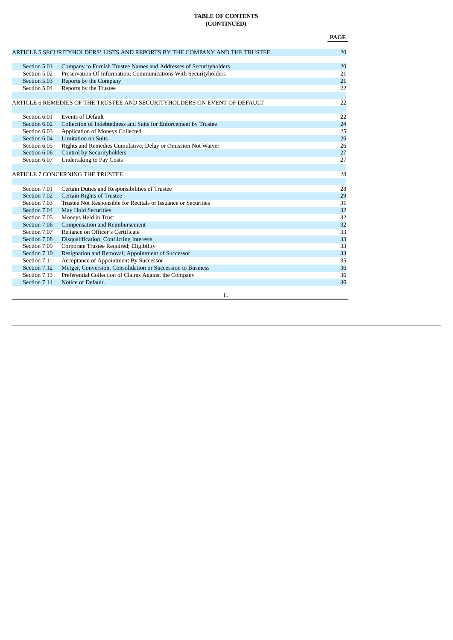# **TABLE OF CONTENTS (CONTINUED)**

**PAGE**

|              | ARTICLE 5 SECURITYHOLDERS' LISTS AND REPORTS BY THE COMPANY AND THE TRUSTEE | 20 |
|--------------|-----------------------------------------------------------------------------|----|
|              |                                                                             |    |
| Section 5.01 | Company to Furnish Trustee Names and Addresses of Securityholders           | 20 |
| Section 5.02 | Preservation Of Information; Communications With Securityholders            | 21 |
| Section 5.03 | Reports by the Company                                                      | 21 |
| Section 5.04 | Reports by the Trustee                                                      | 22 |
|              | ARTICLE 6 REMEDIES OF THE TRUSTEE AND SECURITYHOLDERS ON EVENT OF DEFAULT   | 22 |
|              |                                                                             |    |
| Section 6.01 | <b>Events of Default</b>                                                    | 22 |
| Section 6.02 | Collection of Indebtedness and Suits for Enforcement by Trustee             | 24 |
| Section 6.03 | <b>Application of Moneys Collected</b>                                      | 25 |
| Section 6.04 | Limitation on Suits                                                         | 26 |
| Section 6.05 | Rights and Remedies Cumulative; Delay or Omission Not Waiver                | 26 |
| Section 6.06 | <b>Control by Securityholders</b>                                           | 27 |
| Section 6.07 | <b>Undertaking to Pay Costs</b>                                             | 27 |
|              |                                                                             |    |
|              | ARTICLE 7 CONCERNING THE TRUSTEE                                            | 28 |
|              |                                                                             |    |
| Section 7.01 | Certain Duties and Responsibilities of Trustee                              | 28 |
| Section 7.02 | Certain Rights of Trustee                                                   | 29 |
| Section 7.03 | Trustee Not Responsible for Recitals or Issuance or Securities              | 31 |
| Section 7.04 | <b>May Hold Securities</b>                                                  | 32 |
| Section 7.05 | Moneys Held in Trust                                                        | 32 |
| Section 7.06 | <b>Compensation and Reimbursement</b>                                       | 32 |
| Section 7.07 | Reliance on Officer's Certificate                                           | 33 |
| Section 7.08 | Disqualification; Conflicting Interests                                     | 33 |
| Section 7.09 | Corporate Trustee Required; Eligibility                                     | 33 |
| Section 7.10 | Resignation and Removal; Appointment of Successor                           | 33 |
| Section 7.11 | Acceptance of Appointment By Successor                                      | 35 |
| Section 7.12 | Merger, Conversion, Consolidation or Succession to Business                 | 36 |
| Section 7.13 | Preferential Collection of Claims Against the Company                       | 36 |
| Section 7.14 | Notice of Default.                                                          | 36 |
|              |                                                                             |    |

ii.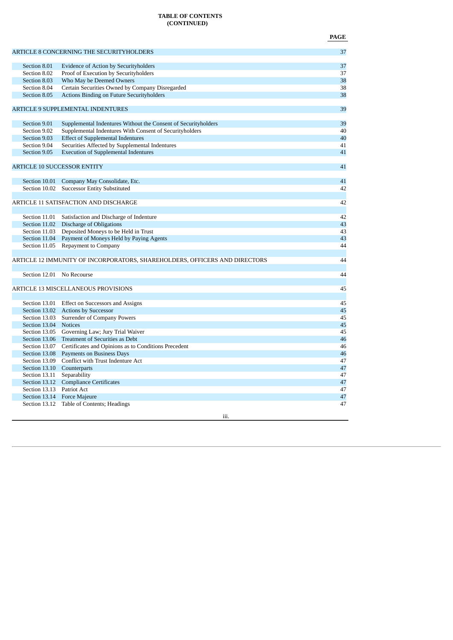#### **TABLE OF CONTENTS (CONTINUED)**

| M.<br>۰. |  |
|----------|--|
|          |  |

|                       | ARTICLE 8 CONCERNING THE SECURITYHOLDERS                                   | 37       |
|-----------------------|----------------------------------------------------------------------------|----------|
| Section 8.01          | <b>Evidence of Action by Securityholders</b>                               | 37       |
| Section 8.02          | Proof of Execution by Securityholders                                      | 37       |
| Section 8.03          | Who May be Deemed Owners                                                   | 38       |
| Section 8.04          | Certain Securities Owned by Company Disregarded                            | 38       |
| Section 8.05          | Actions Binding on Future Securityholders                                  | 38       |
|                       |                                                                            |          |
|                       | <b>ARTICLE 9 SUPPLEMENTAL INDENTURES</b>                                   | 39       |
| Section 9.01          | Supplemental Indentures Without the Consent of Securityholders             | 39       |
| Section 9.02          | Supplemental Indentures With Consent of Securityholders                    | 40       |
| Section 9.03          | <b>Effect of Supplemental Indentures</b>                                   | 40       |
| Section 9.04          | Securities Affected by Supplemental Indentures                             | 41       |
| Section 9.05          | <b>Execution of Supplemental Indentures</b>                                | 41       |
|                       | <b>ARTICLE 10 SUCCESSOR ENTITY</b>                                         | 41       |
|                       |                                                                            |          |
|                       | Section 10.01 Company May Consolidate, Etc.                                | 41       |
|                       | Section 10.02 Successor Entity Substituted                                 | 42       |
|                       |                                                                            |          |
|                       | ARTICLE 11 SATISFACTION AND DISCHARGE                                      | 42       |
|                       |                                                                            |          |
|                       | Section 11.01 Satisfaction and Discharge of Indenture                      | 42       |
|                       | Section 11.02 Discharge of Obligations                                     | 43       |
|                       | Section 11.03 Deposited Moneys to be Held in Trust                         | 43       |
|                       | Section 11.04 Payment of Moneys Held by Paying Agents                      | 43       |
|                       | Section 11.05 Repayment to Company                                         | 44       |
|                       | ARTICLE 12 IMMUNITY OF INCORPORATORS, SHAREHOLDERS, OFFICERS AND DIRECTORS | 44       |
|                       |                                                                            |          |
|                       | Section 12.01 No Recourse                                                  | 44       |
|                       |                                                                            |          |
|                       | <b>ARTICLE 13 MISCELLANEOUS PROVISIONS</b>                                 | 45       |
|                       |                                                                            |          |
|                       | Section 13.01 Effect on Successors and Assigns                             | 45       |
|                       | Section 13.02 Actions by Successor                                         | 45       |
|                       | Section 13.03 Surrender of Company Powers                                  | 45       |
| Section 13.04 Notices |                                                                            | 45       |
|                       | Section 13.05 Governing Law; Jury Trial Waiver                             | 45       |
|                       | Section 13.06 Treatment of Securities as Debt                              | 46       |
|                       | Section 13.07 Certificates and Opinions as to Conditions Precedent         | 46       |
|                       | Section 13.08 Payments on Business Days                                    | 46       |
|                       | Section 13.09 Conflict with Trust Indenture Act                            | 47       |
|                       | Section 13.10 Counterparts                                                 | 47<br>47 |
|                       | Section 13.11 Separability<br>Section 13.12 Compliance Certificates        | 47       |
|                       | Section 13.13 Patriot Act                                                  | 47       |
|                       | Section 13.14 Force Majeure                                                | 47       |
|                       | Section 13.12 Table of Contents; Headings                                  | 47       |
|                       |                                                                            |          |
|                       | iii.                                                                       |          |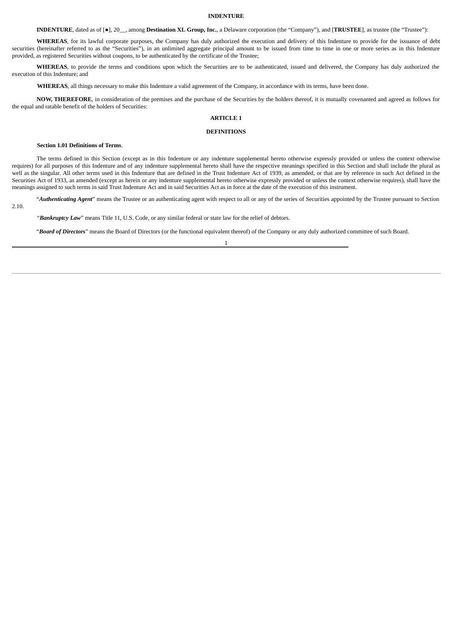### **INDENTURE**

**INDENTURE**, dated as of [●], 20\_\_, among **Destination XL Group, Inc.**, a Delaware corporation (the "Company"), and [**TRUSTEE**], as trustee (the "Trustee"):

**WHEREAS**, for its lawful corporate purposes, the Company has duly authorized the execution and delivery of this Indenture to provide for the issuance of debt securities (hereinafter referred to as the "Securities"), in an unlimited aggregate principal amount to be issued from time to time in one or more series as in this Indenture provided, as registered Securities without coupons, to be authenticated by the certificate of the Trustee;

**WHEREAS**, to provide the terms and conditions upon which the Securities are to be authenticated, issued and delivered, the Company has duly authorized the execution of this Indenture; and

**WHEREAS**, all things necessary to make this Indenture a valid agreement of the Company, in accordance with its terms, have been done.

**NOW, THEREFORE**, in consideration of the premises and the purchase of the Securities by the holders thereof, it is mutually covenanted and agreed as follows for the equal and ratable benefit of the holders of Securities:

#### **ARTICLE 1**

#### **DEFINITIONS**

# **Section 1.01 Definitions of Terms**.

The terms defined in this Section (except as in this Indenture or any indenture supplemental hereto otherwise expressly provided or unless the context otherwise requires) for all purposes of this Indenture and of any indenture supplemental hereto shall have the respective meanings specified in this Section and shall include the plural as well as the singular. All other terms used in this Indenture that are defined in the Trust Indenture Act of 1939, as amended, or that are by reference in such Act defined in the Securities Act of 1933, as amended (except as herein or any indenture supplemental hereto otherwise expressly provided or unless the context otherwise requires), shall have the meanings assigned to such terms in said Trust Indenture Act and in said Securities Act as in force at the date of the execution of this instrument.

"*Authenticating Agent*" means the Trustee or an authenticating agent with respect to all or any of the series of Securities appointed by the Trustee pursuant to Section 2.10.

"*Bankruptcy Law*" means Title 11, U.S. Code, or any similar federal or state law for the relief of debtors.

"*Board of Directors*" means the Board of Directors (or the functional equivalent thereof) of the Company or any duly authorized committee of such Board.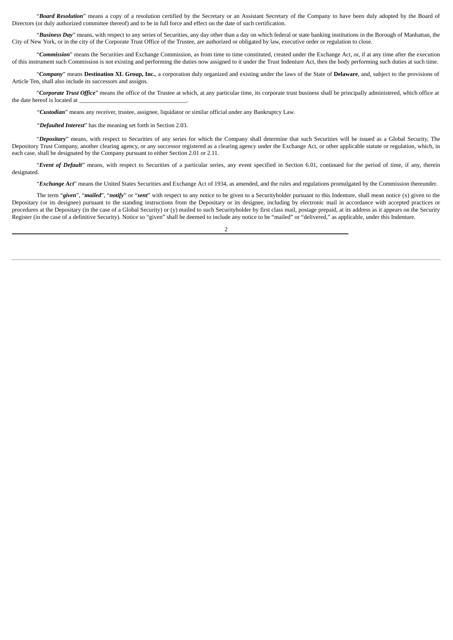"*Board Resolution*" means a copy of a resolution certified by the Secretary or an Assistant Secretary of the Company to have been duly adopted by the Board of Directors (or duly authorized committee thereof) and to be in full force and effect on the date of such certification.

"*Business Day*" means, with respect to any series of Securities, any day other than a day on which federal or state banking institutions in the Borough of Manhattan, the City of New York, or in the city of the Corporate Trust Office of the Trustee, are authorized or obligated by law, executive order or regulation to close.

"*Commission*" means the Securities and Exchange Commission, as from time to time constituted, created under the Exchange Act, or, if at any time after the execution of this instrument such Commission is not existing and performing the duties now assigned to it under the Trust Indenture Act, then the body performing such duties at such time.

"*Company*" means **Destination XL Group, Inc.**, a corporation duly organized and existing under the laws of the State of **Delaware**, and, subject to the provisions of Article Ten, shall also include its successors and assigns.

"*Corporate Trust Office*" means the office of the Trustee at which, at any particular time, its corporate trust business shall be principally administered, which office at the date hereof is located at

"*Custodian*" means any receiver, trustee, assignee, liquidator or similar official under any Bankruptcy Law.

"*Defaulted Interest*" has the meaning set forth in Section 2.03.

"*Depositary*" means, with respect to Securities of any series for which the Company shall determine that such Securities will be issued as a Global Security, The Depository Trust Company, another clearing agency, or any successor registered as a clearing agency under the Exchange Act, or other applicable statute or regulation, which, in each case, shall be designated by the Company pursuant to either Section 2.01 or 2.11.

"*Event of Default*" means, with respect to Securities of a particular series, any event specified in Section 6.01, continued for the period of time, if any, therein designated.

"*Exchange Act*" means the United States Securities and Exchange Act of 1934, as amended, and the rules and regulations promulgated by the Commission thereunder.

The term "given", "mailed", "notify" or "sent" with respect to any notice to be given to a Securityholder pursuant to this Indenture, shall mean notice (x) given to the Depositary (or its designee) pursuant to the standing instructions from the Depositary or its designee, including by electronic mail in accordance with accepted practices or procedures at the Depositary (in the case of a Global Security) or (y) mailed to such Securityholder by first class mail, postage prepaid, at its address as it appears on the Security Register (in the case of a definitive Security). Notice so "given" shall be deemed to include any notice to be "mailed" or "delivered," as applicable, under this Indenture.

 $\overline{2}$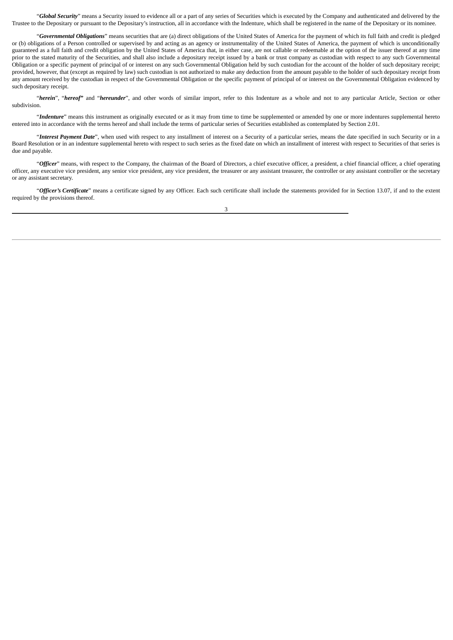"Global Security" means a Security issued to evidence all or a part of any series of Securities which is executed by the Company and authenticated and delivered by the Trustee to the Depositary or pursuant to the Depositary's instruction, all in accordance with the Indenture, which shall be registered in the name of the Depositary or its nominee.

"*Governmental Obligations*" means securities that are (a) direct obligations of the United States of America for the payment of which its full faith and credit is pledged or (b) obligations of a Person controlled or supervised by and acting as an agency or instrumentality of the United States of America, the payment of which is unconditionally guaranteed as a full faith and credit obligation by the United States of America that, in either case, are not callable or redeemable at the option of the issuer thereof at any time prior to the stated maturity of the Securities, and shall also include a depositary receipt issued by a bank or trust company as custodian with respect to any such Governmental Obligation or a specific payment of principal of or interest on any such Governmental Obligation held by such custodian for the account of the holder of such depositary receipt; provided, however, that (except as required by law) such custodian is not authorized to make any deduction from the amount payable to the holder of such depositary receipt from any amount received by the custodian in respect of the Governmental Obligation or the specific payment of principal of or interest on the Governmental Obligation evidenced by such depositary receipt.

"*herein*", "*hereof***"** and "*hereunder*", and other words of similar import, refer to this Indenture as a whole and not to any particular Article, Section or other subdivision.

"*Indenture*" means this instrument as originally executed or as it may from time to time be supplemented or amended by one or more indentures supplemental hereto entered into in accordance with the terms hereof and shall include the terms of particular series of Securities established as contemplated by Section 2.01.

"*Interest Payment Date*", when used with respect to any installment of interest on a Security of a particular series, means the date specified in such Security or in a Board Resolution or in an indenture supplemental hereto with respect to such series as the fixed date on which an installment of interest with respect to Securities of that series is due and payable.

"*Officer*" means, with respect to the Company, the chairman of the Board of Directors, a chief executive officer, a president, a chief financial officer, a chief operating officer, any executive vice president, any senior vice president, any vice president, the treasurer or any assistant treasurer, the controller or any assistant controller or the secretary or any assistant secretary.

"*Officer's Certificate*" means a certificate signed by any Officer. Each such certificate shall include the statements provided for in Section 13.07, if and to the extent required by the provisions thereof.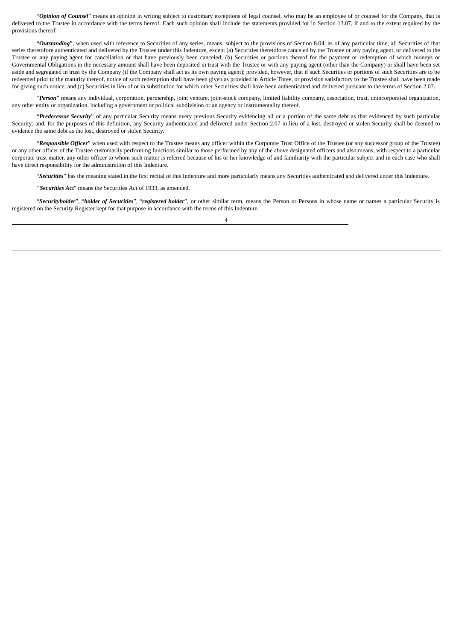"*Opinion of Counsel*" means an opinion in writing subject to customary exceptions of legal counsel, who may be an employee of or counsel for the Company, that is delivered to the Trustee in accordance with the terms hereof. Each such opinion shall include the statements provided for in Section 13.07, if and to the extent required by the provisions thereof.

"*Outstanding*", when used with reference to Securities of any series, means, subject to the provisions of Section 8.04, as of any particular time, all Securities of that series theretofore authenticated and delivered by the Trustee under this Indenture, except (a) Securities theretofore canceled by the Trustee or any paying agent, or delivered to the Trustee or any paying agent for cancellation or that have previously been canceled; (b) Securities or portions thereof for the payment or redemption of which moneys or Governmental Obligations in the necessary amount shall have been deposited in trust with the Trustee or with any paying agent (other than the Company) or shall have been set aside and segregated in trust by the Company (if the Company shall act as its own paying agent); provided, however, that if such Securities or portions of such Securities are to be redeemed prior to the maturity thereof, notice of such redemption shall have been given as provided in Article Three, or provision satisfactory to the Trustee shall have been made for giving such notice; and (c) Securities in lieu of or in substitution for which other Securities shall have been authenticated and delivered pursuant to the terms of Section 2.07.

"*Person*" means any individual, corporation, partnership, joint venture, joint-stock company, limited liability company, association, trust, unincorporated organization, any other entity or organization, including a government or political subdivision or an agency or instrumentality thereof.

"*Predecessor Security*" of any particular Security means every previous Security evidencing all or a portion of the same debt as that evidenced by such particular Security; and, for the purposes of this definition, any Security authenticated and delivered under Section 2.07 in lieu of a lost, destroyed or stolen Security shall be deemed to evidence the same debt as the lost, destroyed or stolen Security.

"*Responsible Officer*" when used with respect to the Trustee means any officer within the Corporate Trust Office of the Trustee (or any successor group of the Trustee) or any other officer of the Trustee customarily performing functions similar to those performed by any of the above designated officers and also means, with respect to a particular corporate trust matter, any other officer to whom such matter is referred because of his or her knowledge of and familiarity with the particular subject and in each case who shall have direct responsibility for the administration of this Indenture.

"*Securities*" has the meaning stated in the first recital of this Indenture and more particularly means any Securities authenticated and delivered under this Indenture.

"*Securities Act*" means the Securities Act of 1933, as amended.

"*Securityholder*", "*holder of Securities*", "*registered holder*", or other similar term, means the Person or Persons in whose name or names a particular Security is registered on the Security Register kept for that purpose in accordance with the terms of this Indenture.

 $\Delta$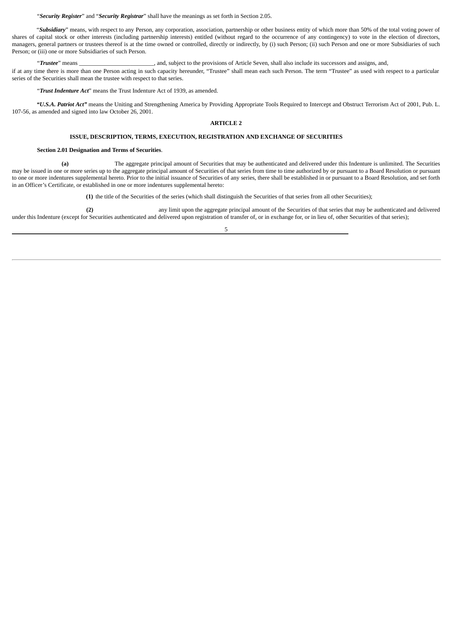"*Security Register*" and "*Security Registrar*" shall have the meanings as set forth in Section 2.05.

"*Subsidiary*" means, with respect to any Person, any corporation, association, partnership or other business entity of which more than 50% of the total voting power of shares of capital stock or other interests (including partnership interests) entitled (without regard to the occurrence of any contingency) to vote in the election of directors, managers, general partners or trustees thereof is at the time owned or controlled, directly or indirectly, by (i) such Person; (ii) such Person and one or more Subsidiaries of such Person; or (iii) one or more Subsidiaries of such Person.

"*Trustee*" means \_\_\_\_\_\_\_\_\_\_\_\_\_\_\_\_\_\_\_\_\_\_\_\_\_, and, subject to the provisions of Article Seven, shall also include its successors and assigns, and,

if at any time there is more than one Person acting in such capacity hereunder, "Trustee" shall mean each such Person. The term "Trustee" as used with respect to a particular series of the Securities shall mean the trustee with respect to that series.

"*Trust Indenture Act*" means the Trust Indenture Act of 1939, as amended.

*"U.S.A. Patriot Act"* means the Uniting and Strengthening America by Providing Appropriate Tools Required to Intercept and Obstruct Terrorism Act of 2001, Pub. L. 107-56, as amended and signed into law October 26, 2001.

### **ARTICLE 2**

## **ISSUE, DESCRIPTION, TERMS, EXECUTION, REGISTRATION AND EXCHANGE OF SECURITIES**

## **Section 2.01 Designation and Terms of Securities**.

**(a)** The aggregate principal amount of Securities that may be authenticated and delivered under this Indenture is unlimited. The Securities may be issued in one or more series up to the aggregate principal amount of Securities of that series from time to time authorized by or pursuant to a Board Resolution or pursuant to one or more indentures supplemental hereto. Prior to the initial issuance of Securities of any series, there shall be established in or pursuant to a Board Resolution, and set forth in an Officer's Certificate, or established in one or more indentures supplemental hereto:

**(1)** the title of the Securities of the series (which shall distinguish the Securities of that series from all other Securities);

**(2)** any limit upon the aggregate principal amount of the Securities of that series that may be authenticated and delivered under this Indenture (except for Securities authenticated and delivered upon registration of transfer of, or in exchange for, or in lieu of, other Securities of that series);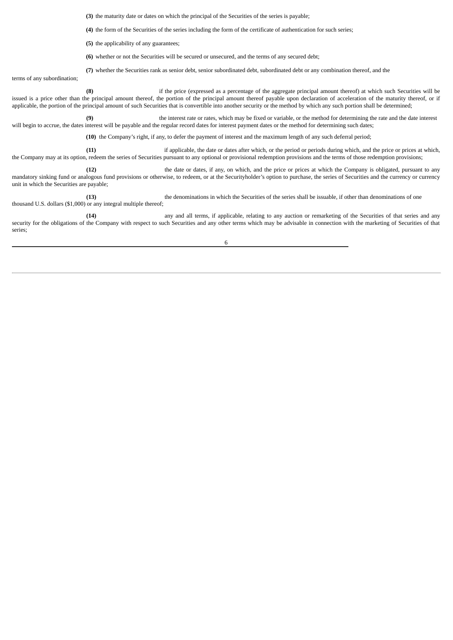**(3)** the maturity date or dates on which the principal of the Securities of the series is payable;

**(4)** the form of the Securities of the series including the form of the certificate of authentication for such series;

**(5)** the applicability of any guarantees;

**(6)** whether or not the Securities will be secured or unsecured, and the terms of any secured debt;

**(7)** whether the Securities rank as senior debt, senior subordinated debt, subordinated debt or any combination thereof, and the

terms of any subordination;

**(8)** if the price (expressed as a percentage of the aggregate principal amount thereof) at which such Securities will be issued is a price other than the principal amount thereof, the portion of the principal amount thereof payable upon declaration of acceleration of the maturity thereof, or if applicable, the portion of the principal amount of such Securities that is convertible into another security or the method by which any such portion shall be determined;

**(9)** the interest rate or rates, which may be fixed or variable, or the method for determining the rate and the date interest will begin to accrue, the dates interest will be payable and the regular record dates for interest payment dates or the method for determining such dates;

**(10)** the Company's right, if any, to defer the payment of interest and the maximum length of any such deferral period;

**(11)** if applicable, the date or dates after which, or the period or periods during which, and the price or prices at which, the Company may at its option, redeem the series of Securities pursuant to any optional or provisional redemption provisions and the terms of those redemption provisions;

**(12)** the date or dates, if any, on which, and the price or prices at which the Company is obligated, pursuant to any mandatory sinking fund or analogous fund provisions or otherwise, to redeem, or at the Securityholder's option to purchase, the series of Securities and the currency or currency unit in which the Securities are payable;

**(13)** the denominations in which the Securities of the series shall be issuable, if other than denominations of one thousand U.S. dollars (\$1,000) or any integral multiple thereof;

**(14)** any and all terms, if applicable, relating to any auction or remarketing of the Securities of that series and any security for the obligations of the Company with respect to such Securities and any other terms which may be advisable in connection with the marketing of Securities of that series;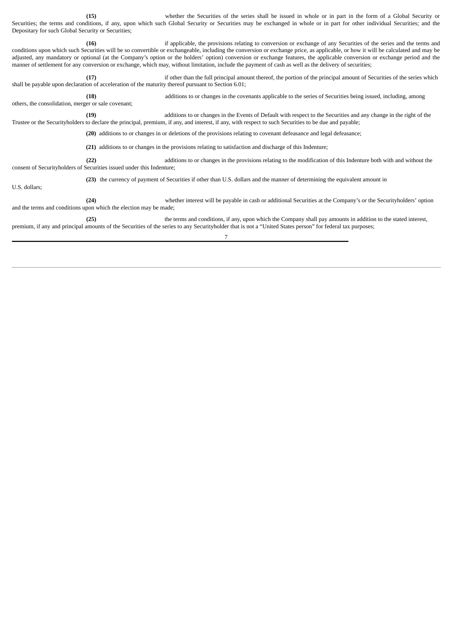**(15)** whether the Securities of the series shall be issued in whole or in part in the form of a Global Security or Securities; the terms and conditions, if any, upon which such Global Security or Securities may be exchanged in whole or in part for other individual Securities; and the Depositary for such Global Security or Securities;

**(16)** if applicable, the provisions relating to conversion or exchange of any Securities of the series and the terms and conditions upon which such Securities will be so convertible or exchangeable, including the conversion or exchange price, as applicable, or how it will be calculated and may be adjusted, any mandatory or optional (at the Company's option or the holders' option) conversion or exchange features, the applicable conversion or exchange period and the manner of settlement for any conversion or exchange, which may, without limitation, include the payment of cash as well as the delivery of securities;

**(17)** if other than the full principal amount thereof, the portion of the principal amount of Securities of the series which shall be payable upon declaration of acceleration of the maturity thereof pursuant to Section 6.01;

**(18)** additions to or changes in the covenants applicable to the series of Securities being issued, including, among others, the consolidation, merger or sale covenant; **(19)** additions to or changes in the Events of Default with respect to the Securities and any change in the right of the Trustee or the Securityholders to declare the principal, premium, if any, and interest, if any, with respect to such Securities to be due and payable; **(20)** additions to or changes in or deletions of the provisions relating to covenant defeasance and legal defeasance; **(21)** additions to or changes in the provisions relating to satisfaction and discharge of this Indenture; **(22)** additions to or changes in the provisions relating to the modification of this Indenture both with and without the consent of Securityholders of Securities issued under this Indenture; **(23)** the currency of payment of Securities if other than U.S. dollars and the manner of determining the equivalent amount in U.S. dollars; **(24)** whether interest will be payable in cash or additional Securities at the Company's or the Securityholders' option and the terms and conditions upon which the election may be made; **(25)** the terms and conditions, if any, upon which the Company shall pay amounts in addition to the stated interest, premium, if any and principal amounts of the Securities of the series to any Securityholder that is not a "United States person" for federal tax purposes;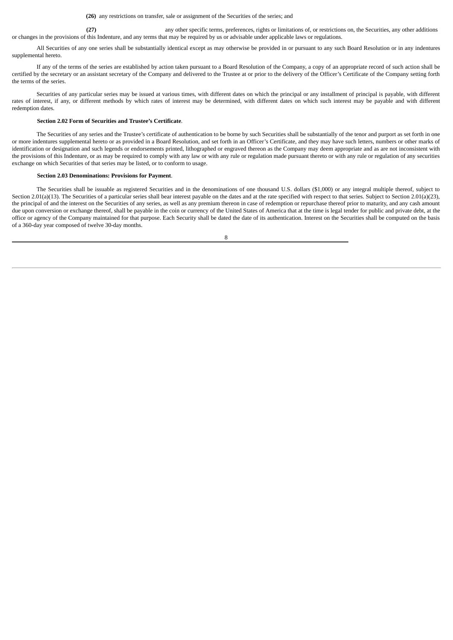**(26)** any restrictions on transfer, sale or assignment of the Securities of the series; and

**(27)** any other specific terms, preferences, rights or limitations of, or restrictions on, the Securities, any other additions or changes in the provisions of this Indenture, and any terms that may be required by us or advisable under applicable laws or regulations.

All Securities of any one series shall be substantially identical except as may otherwise be provided in or pursuant to any such Board Resolution or in any indentures supplemental hereto.

If any of the terms of the series are established by action taken pursuant to a Board Resolution of the Company, a copy of an appropriate record of such action shall be certified by the secretary or an assistant secretary of the Company and delivered to the Trustee at or prior to the delivery of the Officer's Certificate of the Company setting forth the terms of the series.

Securities of any particular series may be issued at various times, with different dates on which the principal or any installment of principal is payable, with different rates of interest, if any, or different methods by which rates of interest may be determined, with different dates on which such interest may be payable and with different redemption dates.

## **Section 2.02 Form of Securities and Trustee's Certificate**.

The Securities of any series and the Trustee's certificate of authentication to be borne by such Securities shall be substantially of the tenor and purport as set forth in one or more indentures supplemental hereto or as provided in a Board Resolution, and set forth in an Officer's Certificate, and they may have such letters, numbers or other marks of identification or designation and such legends or endorsements printed, lithographed or engraved thereon as the Company may deem appropriate and as are not inconsistent with the provisions of this Indenture, or as may be required to comply with any law or with any rule or regulation made pursuant thereto or with any rule or regulation of any securities exchange on which Securities of that series may be listed, or to conform to usage.

### **Section 2.03 Denominations: Provisions for Payment**.

The Securities shall be issuable as registered Securities and in the denominations of one thousand U.S. dollars (\$1,000) or any integral multiple thereof, subject to Section 2.01(a)(13). The Securities of a particular series shall bear interest payable on the dates and at the rate specified with respect to that series. Subject to Section 2.01(a)(23), the principal of and the interest on the Securities of any series, as well as any premium thereon in case of redemption or repurchase thereof prior to maturity, and any cash amount due upon conversion or exchange thereof, shall be payable in the coin or currency of the United States of America that at the time is legal tender for public and private debt, at the office or agency of the Company maintained for that purpose. Each Security shall be dated the date of its authentication. Interest on the Securities shall be computed on the basis of a 360-day year composed of twelve 30-day months.

|  | ×, |        |  |
|--|----|--------|--|
|  | ۰  |        |  |
|  | ×  | I<br>٩ |  |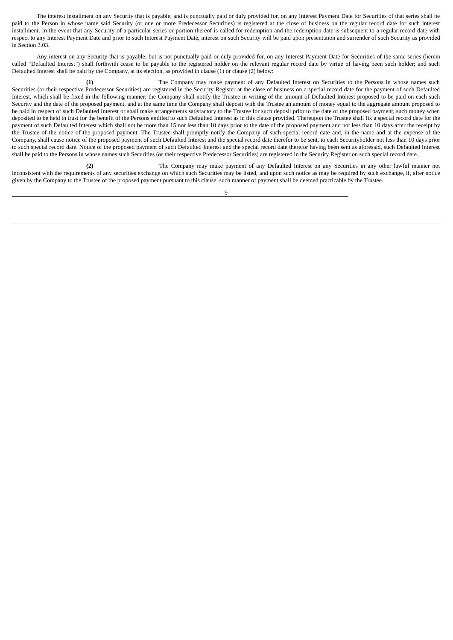The interest installment on any Security that is payable, and is punctually paid or duly provided for, on any Interest Payment Date for Securities of that series shall be paid to the Person in whose name said Security (or one or more Predecessor Securities) is registered at the close of business on the regular record date for such interest installment. In the event that any Security of a particular series or portion thereof is called for redemption and the redemption date is subsequent to a regular record date with respect to any Interest Payment Date and prior to such Interest Payment Date, interest on such Security will be paid upon presentation and surrender of such Security as provided in Section 3.03.

Any interest on any Security that is payable, but is not punctually paid or duly provided for, on any Interest Payment Date for Securities of the same series (herein called "Defaulted Interest") shall forthwith cease to be payable to the registered holder on the relevant regular record date by virtue of having been such holder; and such Defaulted Interest shall be paid by the Company, at its election, as provided in clause (1) or clause (2) below:

**(1)** The Company may make payment of any Defaulted Interest on Securities to the Persons in whose names such Securities (or their respective Predecessor Securities) are registered in the Security Register at the close of business on a special record date for the payment of such Defaulted Interest, which shall be fixed in the following manner: the Company shall notify the Trustee in writing of the amount of Defaulted Interest proposed to be paid on each such Security and the date of the proposed payment, and at the same time the Company shall deposit with the Trustee an amount of money equal to the aggregate amount proposed to be paid in respect of such Defaulted Interest or shall make arrangements satisfactory to the Trustee for such deposit prior to the date of the proposed payment, such money when deposited to be held in trust for the benefit of the Persons entitled to such Defaulted Interest as in this clause provided. Thereupon the Trustee shall fix a special record date for the payment of such Defaulted Interest which shall not be more than 15 nor less than 10 days prior to the date of the proposed payment and not less than 10 days after the receipt by the Trustee of the notice of the proposed payment. The Trustee shall promptly notify the Company of such special record date and, in the name and at the expense of the Company, shall cause notice of the proposed payment of such Defaulted Interest and the special record date therefor to be sent, to each Securityholder not less than 10 days prior to such special record date. Notice of the proposed payment of such Defaulted Interest and the special record date therefor having been sent as aforesaid, such Defaulted Interest shall be paid to the Persons in whose names such Securities (or their respective Predecessor Securities) are registered in the Security Register on such special record date.

**(2)** The Company may make payment of any Defaulted Interest on any Securities in any other lawful manner not inconsistent with the requirements of any securities exchange on which such Securities may be listed, and upon such notice as may be required by such exchange, if, after notice given by the Company to the Trustee of the proposed payment pursuant to this clause, such manner of payment shall be deemed practicable by the Trustee.

 $\overline{q}$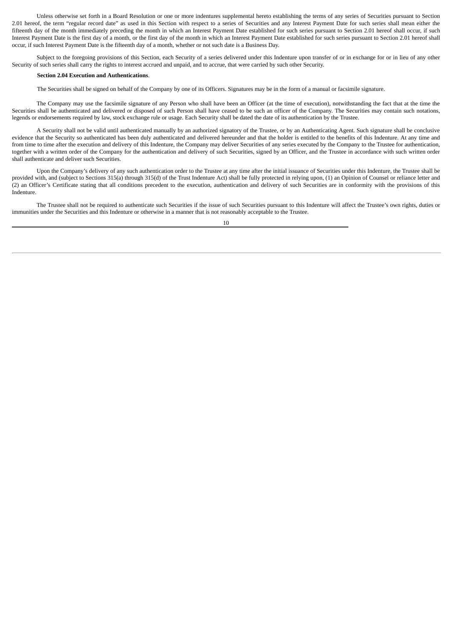Unless otherwise set forth in a Board Resolution or one or more indentures supplemental hereto establishing the terms of any series of Securities pursuant to Section 2.01 hereof, the term "regular record date" as used in this Section with respect to a series of Securities and any Interest Payment Date for such series shall mean either the fifteenth day of the month immediately preceding the month in which an Interest Payment Date established for such series pursuant to Section 2.01 hereof shall occur, if such Interest Payment Date is the first day of a month, or the first day of the month in which an Interest Payment Date established for such series pursuant to Section 2.01 hereof shall occur, if such Interest Payment Date is the fifteenth day of a month, whether or not such date is a Business Day.

Subject to the foregoing provisions of this Section, each Security of a series delivered under this Indenture upon transfer of or in exchange for or in lieu of any other Security of such series shall carry the rights to interest accrued and unpaid, and to accrue, that were carried by such other Security.

# **Section 2.04 Execution and Authentications**.

The Securities shall be signed on behalf of the Company by one of its Officers. Signatures may be in the form of a manual or facsimile signature.

The Company may use the facsimile signature of any Person who shall have been an Officer (at the time of execution), notwithstanding the fact that at the time the Securities shall be authenticated and delivered or disposed of such Person shall have ceased to be such an officer of the Company. The Securities may contain such notations, legends or endorsements required by law, stock exchange rule or usage. Each Security shall be dated the date of its authentication by the Trustee.

A Security shall not be valid until authenticated manually by an authorized signatory of the Trustee, or by an Authenticating Agent. Such signature shall be conclusive evidence that the Security so authenticated has been duly authenticated and delivered hereunder and that the holder is entitled to the benefits of this Indenture. At any time and from time to time after the execution and delivery of this Indenture, the Company may deliver Securities of any series executed by the Company to the Trustee for authentication, together with a written order of the Company for the authentication and delivery of such Securities, signed by an Officer, and the Trustee in accordance with such written order shall authenticate and deliver such Securities.

Upon the Company's delivery of any such authentication order to the Trustee at any time after the initial issuance of Securities under this Indenture, the Trustee shall be provided with, and (subject to Sections 315(a) through 315(d) of the Trust Indenture Act) shall be fully protected in relying upon, (1) an Opinion of Counsel or reliance letter and (2) an Officer's Certificate stating that all conditions precedent to the execution, authentication and delivery of such Securities are in conformity with the provisions of this Indenture.

The Trustee shall not be required to authenticate such Securities if the issue of such Securities pursuant to this Indenture will affect the Trustee's own rights, duties or immunities under the Securities and this Indenture or otherwise in a manner that is not reasonably acceptable to the Trustee.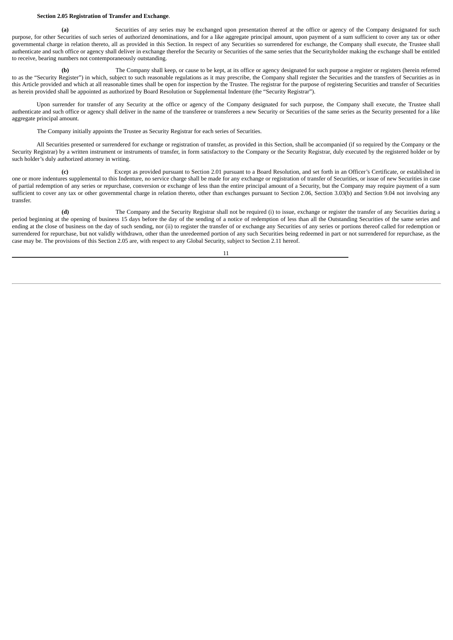#### **Section 2.05 Registration of Transfer and Exchange**.

Securities of any series may be exchanged upon presentation thereof at the office or agency of the Company designated for such purpose, for other Securities of such series of authorized denominations, and for a like aggregate principal amount, upon payment of a sum sufficient to cover any tax or other governmental charge in relation thereto, all as provided in this Section. In respect of any Securities so surrendered for exchange, the Company shall execute, the Trustee shall authenticate and such office or agency shall deliver in exchange therefor the Security or Securities of the same series that the Securityholder making the exchange shall be entitled to receive, bearing numbers not contemporaneously outstanding.

**(b)** The Company shall keep, or cause to be kept, at its office or agency designated for such purpose a register or registers (herein referred to as the "Security Register") in which, subject to such reasonable regulations as it may prescribe, the Company shall register the Securities and the transfers of Securities as in this Article provided and which at all reasonable times shall be open for inspection by the Trustee. The registrar for the purpose of registering Securities and transfer of Securities as herein provided shall be appointed as authorized by Board Resolution or Supplemental Indenture (the "Security Registrar").

Upon surrender for transfer of any Security at the office or agency of the Company designated for such purpose, the Company shall execute, the Trustee shall authenticate and such office or agency shall deliver in the name of the transferee or transferees a new Security or Securities of the same series as the Security presented for a like aggregate principal amount.

The Company initially appoints the Trustee as Security Registrar for each series of Securities.

All Securities presented or surrendered for exchange or registration of transfer, as provided in this Section, shall be accompanied (if so required by the Company or the Security Registrar) by a written instrument or instruments of transfer, in form satisfactory to the Company or the Security Registrar, duly executed by the registered holder or by such holder's duly authorized attorney in writing.

**(c)** Except as provided pursuant to Section 2.01 pursuant to a Board Resolution, and set forth in an Officer's Certificate, or established in one or more indentures supplemental to this Indenture, no service charge shall be made for any exchange or registration of transfer of Securities, or issue of new Securities in case of partial redemption of any series or repurchase, conversion or exchange of less than the entire principal amount of a Security, but the Company may require payment of a sum sufficient to cover any tax or other governmental charge in relation thereto, other than exchanges pursuant to Section 2.06, Section 3.03(b) and Section 9.04 not involving any transfer.

**(d)** The Company and the Security Registrar shall not be required (i) to issue, exchange or register the transfer of any Securities during a period beginning at the opening of business 15 days before the day of the sending of a notice of redemption of less than all the Outstanding Securities of the same series and ending at the close of business on the day of such sending, nor (ii) to register the transfer of or exchange any Securities of any series or portions thereof called for redemption or surrendered for repurchase, but not validly withdrawn, other than the unredeemed portion of any such Securities being redeemed in part or not surrendered for repurchase, as the case may be. The provisions of this Section 2.05 are, with respect to any Global Security, subject to Section 2.11 hereof.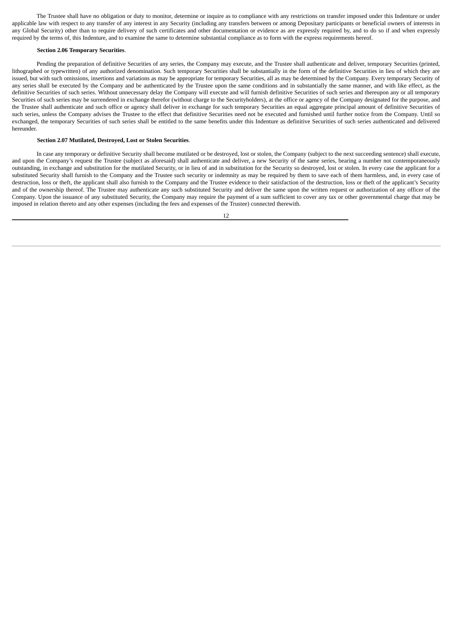The Trustee shall have no obligation or duty to monitor, determine or inquire as to compliance with any restrictions on transfer imposed under this Indenture or under applicable law with respect to any transfer of any interest in any Security (including any transfers between or among Depositary participants or beneficial owners of interests in any Global Security) other than to require delivery of such certificates and other documentation or evidence as are expressly required by, and to do so if and when expressly required by the terms of, this Indenture, and to examine the same to determine substantial compliance as to form with the express requirements hereof.

#### **Section 2.06 Temporary Securities**.

Pending the preparation of definitive Securities of any series, the Company may execute, and the Trustee shall authenticate and deliver, temporary Securities (printed, lithographed or typewritten) of any authorized denomination. Such temporary Securities shall be substantially in the form of the definitive Securities in lieu of which they are issued, but with such omissions, insertions and variations as may be appropriate for temporary Securities, all as may be determined by the Company. Every temporary Security of any series shall be executed by the Company and be authenticated by the Trustee upon the same conditions and in substantially the same manner, and with like effect, as the definitive Securities of such series. Without unnecessary delay the Company will execute and will furnish definitive Securities of such series and thereupon any or all temporary Securities of such series may be surrendered in exchange therefor (without charge to the Securityholders), at the office or agency of the Company designated for the purpose, and the Trustee shall authenticate and such office or agency shall deliver in exchange for such temporary Securities an equal aggregate principal amount of definitive Securities of such series, unless the Company advises the Trustee to the effect that definitive Securities need not be executed and furnished until further notice from the Company. Until so exchanged, the temporary Securities of such series shall be entitled to the same benefits under this Indenture as definitive Securities of such series authenticated and delivered hereunder.

### **Section 2.07 Mutilated, Destroyed, Lost or Stolen Securities**.

In case any temporary or definitive Security shall become mutilated or be destroyed, lost or stolen, the Company (subject to the next succeeding sentence) shall execute, and upon the Company's request the Trustee (subject as aforesaid) shall authenticate and deliver, a new Security of the same series, bearing a number not contemporaneously outstanding, in exchange and substitution for the mutilated Security, or in lieu of and in substitution for the Security so destroyed, lost or stolen. In every case the applicant for a substituted Security shall furnish to the Company and the Trustee such security or indemnity as may be required by them to save each of them harmless, and, in every case of destruction, loss or theft, the applicant shall also furnish to the Company and the Trustee evidence to their satisfaction of the destruction, loss or theft of the applicant's Security and of the ownership thereof. The Trustee may authenticate any such substituted Security and deliver the same upon the written request or authorization of any officer of the Company. Upon the issuance of any substituted Security, the Company may require the payment of a sum sufficient to cover any tax or other governmental charge that may be imposed in relation thereto and any other expenses (including the fees and expenses of the Trustee) connected therewith.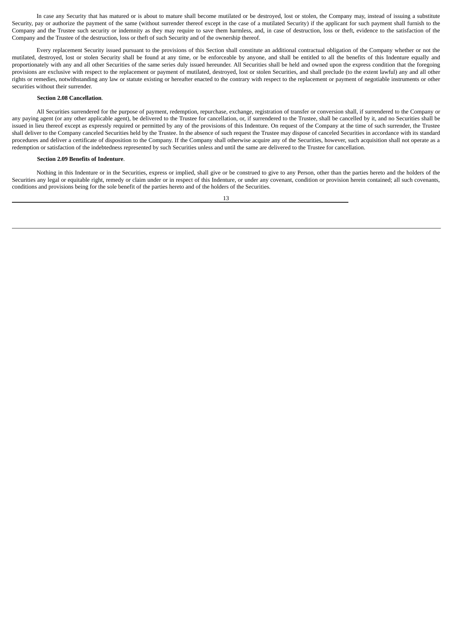In case any Security that has matured or is about to mature shall become mutilated or be destroyed, lost or stolen, the Company may, instead of issuing a substitute Security, pay or authorize the payment of the same (without surrender thereof except in the case of a mutilated Security) if the applicant for such payment shall furnish to the Company and the Trustee such security or indemnity as they may require to save them harmless, and, in case of destruction, loss or theft, evidence to the satisfaction of the Company and the Trustee of the destruction, loss or theft of such Security and of the ownership thereof.

Every replacement Security issued pursuant to the provisions of this Section shall constitute an additional contractual obligation of the Company whether or not the mutilated, destroyed, lost or stolen Security shall be found at any time, or be enforceable by anyone, and shall be entitled to all the benefits of this Indenture equally and proportionately with any and all other Securities of the same series duly issued hereunder. All Securities shall be held and owned upon the express condition that the foregoing provisions are exclusive with respect to the replacement or payment of mutilated, destroyed, lost or stolen Securities, and shall preclude (to the extent lawful) any and all other rights or remedies, notwithstanding any law or statute existing or hereafter enacted to the contrary with respect to the replacement or payment of negotiable instruments or other securities without their surrender.

# **Section 2.08 Cancellation**.

All Securities surrendered for the purpose of payment, redemption, repurchase, exchange, registration of transfer or conversion shall, if surrendered to the Company or any paying agent (or any other applicable agent), be delivered to the Trustee for cancellation, or, if surrendered to the Trustee, shall be cancelled by it, and no Securities shall be issued in lieu thereof except as expressly required or permitted by any of the provisions of this Indenture. On request of the Company at the time of such surrender, the Trustee shall deliver to the Company canceled Securities held by the Trustee. In the absence of such request the Trustee may dispose of canceled Securities in accordance with its standard procedures and deliver a certificate of disposition to the Company. If the Company shall otherwise acquire any of the Securities, however, such acquisition shall not operate as a redemption or satisfaction of the indebtedness represented by such Securities unless and until the same are delivered to the Trustee for cancellation.

#### **Section 2.09 Benefits of Indenture**.

Nothing in this Indenture or in the Securities, express or implied, shall give or be construed to give to any Person, other than the parties hereto and the holders of the Securities any legal or equitable right, remedy or claim under or in respect of this Indenture, or under any covenant, condition or provision herein contained; all such covenants, conditions and provisions being for the sole benefit of the parties hereto and of the holders of the Securities.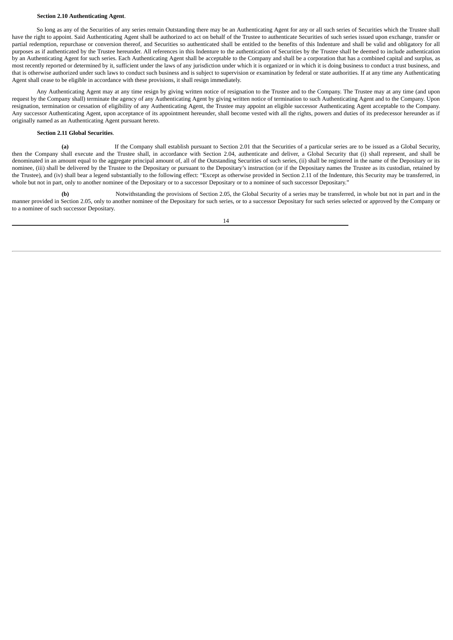#### **Section 2.10 Authenticating Agent**.

So long as any of the Securities of any series remain Outstanding there may be an Authenticating Agent for any or all such series of Securities which the Trustee shall have the right to appoint. Said Authenticating Agent shall be authorized to act on behalf of the Trustee to authenticate Securities of such series issued upon exchange, transfer or partial redemption, repurchase or conversion thereof, and Securities so authenticated shall be entitled to the benefits of this Indenture and shall be valid and obligatory for all purposes as if authenticated by the Trustee hereunder. All references in this Indenture to the authentication of Securities by the Trustee shall be deemed to include authentication by an Authenticating Agent for such series. Each Authenticating Agent shall be acceptable to the Company and shall be a corporation that has a combined capital and surplus, as most recently reported or determined by it, sufficient under the laws of any jurisdiction under which it is organized or in which it is doing business to conduct a trust business, and that is otherwise authorized under such laws to conduct such business and is subject to supervision or examination by federal or state authorities. If at any time any Authenticating Agent shall cease to be eligible in accordance with these provisions, it shall resign immediately.

Any Authenticating Agent may at any time resign by giving written notice of resignation to the Trustee and to the Company. The Trustee may at any time (and upon request by the Company shall) terminate the agency of any Authenticating Agent by giving written notice of termination to such Authenticating Agent and to the Company. Upon resignation, termination or cessation of eligibility of any Authenticating Agent, the Trustee may appoint an eligible successor Authenticating Agent acceptable to the Company. Any successor Authenticating Agent, upon acceptance of its appointment hereunder, shall become vested with all the rights, powers and duties of its predecessor hereunder as if originally named as an Authenticating Agent pursuant hereto.

#### **Section 2.11 Global Securities**.

**(a)** If the Company shall establish pursuant to Section 2.01 that the Securities of a particular series are to be issued as a Global Security, then the Company shall execute and the Trustee shall, in accordance with Section 2.04, authenticate and deliver, a Global Security that (i) shall represent, and shall be denominated in an amount equal to the aggregate principal amount of, all of the Outstanding Securities of such series, (ii) shall be registered in the name of the Depositary or its nominee, (iii) shall be delivered by the Trustee to the Depositary or pursuant to the Depositary's instruction (or if the Depositary names the Trustee as its custodian, retained by the Trustee), and (iv) shall bear a legend substantially to the following effect: "Except as otherwise provided in Section 2.11 of the Indenture, this Security may be transferred, in whole but not in part, only to another nominee of the Depositary or to a successor Depositary or to a nominee of such successor Depositary."

**(b)** Notwithstanding the provisions of Section 2.05, the Global Security of a series may be transferred, in whole but not in part and in the manner provided in Section 2.05, only to another nominee of the Depositary for such series, or to a successor Depositary for such series selected or approved by the Company or to a nominee of such successor Depositary.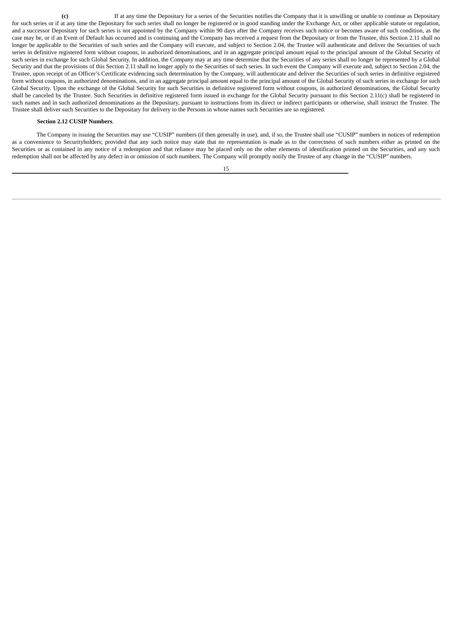**(c)** If at any time the Depositary for a series of the Securities notifies the Company that it is unwilling or unable to continue as Depositary for such series or if at any time the Depositary for such series shall no longer be registered or in good standing under the Exchange Act, or other applicable statute or regulation, and a successor Depositary for such series is not appointed by the Company within 90 days after the Company receives such notice or becomes aware of such condition, as the case may be, or if an Event of Default has occurred and is continuing and the Company has received a request from the Depositary or from the Trustee, this Section 2.11 shall no longer be applicable to the Securities of such series and the Company will execute, and subject to Section 2.04, the Trustee will authenticate and deliver the Securities of such series in definitive registered form without coupons, in authorized denominations, and in an aggregate principal amount equal to the principal amount of the Global Security of such series in exchange for such Global Security. In addition, the Company may at any time determine that the Securities of any series shall no longer be represented by a Global Security and that the provisions of this Section 2.11 shall no longer apply to the Securities of such series. In such event the Company will execute and, subject to Section 2.04, the Trustee, upon receipt of an Officer's Certificate evidencing such determination by the Company, will authenticate and deliver the Securities of such series in definitive registered form without coupons, in authorized denominations, and in an aggregate principal amount equal to the principal amount of the Global Security of such series in exchange for such Global Security. Upon the exchange of the Global Security for such Securities in definitive registered form without coupons, in authorized denominations, the Global Security shall be canceled by the Trustee. Such Securities in definitive registered form issued in exchange for the Global Security pursuant to this Section 2.11(c) shall be registered in such names and in such authorized denominations as the Depositary, pursuant to instructions from its direct or indirect participants or otherwise, shall instruct the Trustee. The Trustee shall deliver such Securities to the Depositary for delivery to the Persons in whose names such Securities are so registered.

# **Section 2.12 CUSIP Numbers**.

The Company in issuing the Securities may use "CUSIP" numbers (if then generally in use), and, if so, the Trustee shall use "CUSIP" numbers in notices of redemption as a convenience to Securityholders; provided that any such notice may state that no representation is made as to the correctness of such numbers either as printed on the Securities or as contained in any notice of a redemption and that reliance may be placed only on the other elements of identification printed on the Securities, and any such redemption shall not be affected by any defect in or omission of such numbers. The Company will promptly notify the Trustee of any change in the "CUSIP" numbers.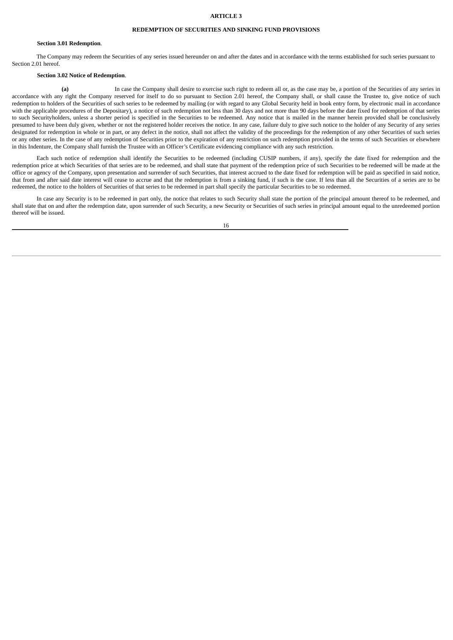### **ARTICLE 3**

## **REDEMPTION OF SECURITIES AND SINKING FUND PROVISIONS**

### **Section 3.01 Redemption**.

The Company may redeem the Securities of any series issued hereunder on and after the dates and in accordance with the terms established for such series pursuant to Section 2.01 hereof.

#### **Section 3.02 Notice of Redemption**.

**(a)** In case the Company shall desire to exercise such right to redeem all or, as the case may be, a portion of the Securities of any series in accordance with any right the Company reserved for itself to do so pursuant to Section 2.01 hereof, the Company shall, or shall cause the Trustee to, give notice of such redemption to holders of the Securities of such series to be redeemed by mailing (or with regard to any Global Security held in book entry form, by electronic mail in accordance with the applicable procedures of the Depositary), a notice of such redemption not less than 30 days and not more than 90 days before the date fixed for redemption of that series to such Securityholders, unless a shorter period is specified in the Securities to be redeemed. Any notice that is mailed in the manner herein provided shall be conclusively presumed to have been duly given, whether or not the registered holder receives the notice. In any case, failure duly to give such notice to the holder of any Security of any series designated for redemption in whole or in part, or any defect in the notice, shall not affect the validity of the proceedings for the redemption of any other Securities of such series or any other series. In the case of any redemption of Securities prior to the expiration of any restriction on such redemption provided in the terms of such Securities or elsewhere in this Indenture, the Company shall furnish the Trustee with an Officer's Certificate evidencing compliance with any such restriction.

Each such notice of redemption shall identify the Securities to be redeemed (including CUSIP numbers, if any), specify the date fixed for redemption and the redemption price at which Securities of that series are to be redeemed, and shall state that payment of the redemption price of such Securities to be redeemed will be made at the office or agency of the Company, upon presentation and surrender of such Securities, that interest accrued to the date fixed for redemption will be paid as specified in said notice, that from and after said date interest will cease to accrue and that the redemption is from a sinking fund, if such is the case. If less than all the Securities of a series are to be redeemed, the notice to the holders of Securities of that series to be redeemed in part shall specify the particular Securities to be so redeemed.

In case any Security is to be redeemed in part only, the notice that relates to such Security shall state the portion of the principal amount thereof to be redeemed, and shall state that on and after the redemption date, upon surrender of such Security, a new Security or Securities of such series in principal amount equal to the unredeemed portion thereof will be issued.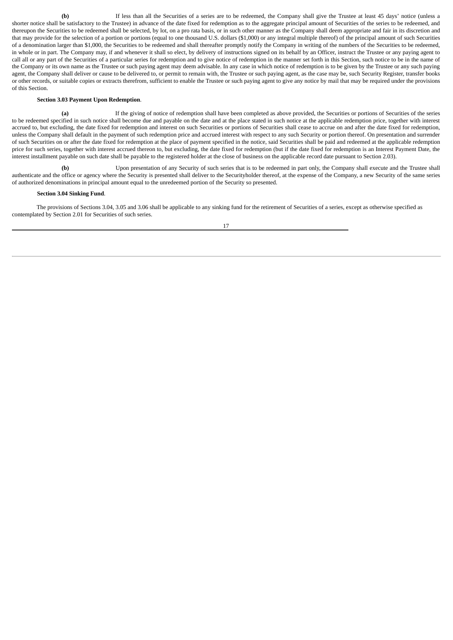**(b)** If less than all the Securities of a series are to be redeemed, the Company shall give the Trustee at least 45 days' notice (unless a shorter notice shall be satisfactory to the Trustee) in advance of the date fixed for redemption as to the aggregate principal amount of Securities of the series to be redeemed, and thereupon the Securities to be redeemed shall be selected, by lot, on a pro rata basis, or in such other manner as the Company shall deem appropriate and fair in its discretion and that may provide for the selection of a portion or portions (equal to one thousand U.S. dollars (\$1,000) or any integral multiple thereof) of the principal amount of such Securities of a denomination larger than \$1,000, the Securities to be redeemed and shall thereafter promptly notify the Company in writing of the numbers of the Securities to be redeemed, in whole or in part. The Company may, if and whenever it shall so elect, by delivery of instructions signed on its behalf by an Officer, instruct the Trustee or any paying agent to call all or any part of the Securities of a particular series for redemption and to give notice of redemption in the manner set forth in this Section, such notice to be in the name of the Company or its own name as the Trustee or such paying agent may deem advisable. In any case in which notice of redemption is to be given by the Trustee or any such paying agent, the Company shall deliver or cause to be delivered to, or permit to remain with, the Trustee or such paying agent, as the case may be, such Security Register, transfer books or other records, or suitable copies or extracts therefrom, sufficient to enable the Trustee or such paying agent to give any notice by mail that may be required under the provisions of this Section.

## **Section 3.03 Payment Upon Redemption**.

**(a)** If the giving of notice of redemption shall have been completed as above provided, the Securities or portions of Securities of the series to be redeemed specified in such notice shall become due and payable on the date and at the place stated in such notice at the applicable redemption price, together with interest accrued to, but excluding, the date fixed for redemption and interest on such Securities or portions of Securities shall cease to accrue on and after the date fixed for redemption, unless the Company shall default in the payment of such redemption price and accrued interest with respect to any such Security or portion thereof. On presentation and surrender of such Securities on or after the date fixed for redemption at the place of payment specified in the notice, said Securities shall be paid and redeemed at the applicable redemption price for such series, together with interest accrued thereon to, but excluding, the date fixed for redemption (but if the date fixed for redemption is an Interest Payment Date, the interest installment payable on such date shall be payable to the registered holder at the close of business on the applicable record date pursuant to Section 2.03).

**(b)** Upon presentation of any Security of such series that is to be redeemed in part only, the Company shall execute and the Trustee shall authenticate and the office or agency where the Security is presented shall deliver to the Securityholder thereof, at the expense of the Company, a new Security of the same series of authorized denominations in principal amount equal to the unredeemed portion of the Security so presented.

### **Section 3.04 Sinking Fund**.

The provisions of Sections 3.04, 3.05 and 3.06 shall be applicable to any sinking fund for the retirement of Securities of a series, except as otherwise specified as contemplated by Section 2.01 for Securities of such series.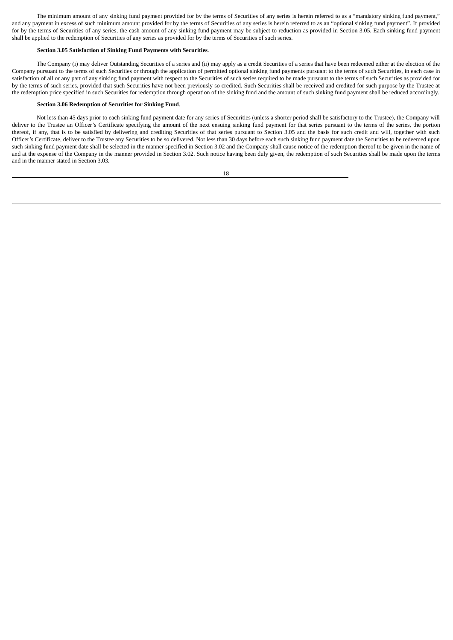The minimum amount of any sinking fund payment provided for by the terms of Securities of any series is herein referred to as a "mandatory sinking fund payment," and any payment in excess of such minimum amount provided for by the terms of Securities of any series is herein referred to as an "optional sinking fund payment". If provided for by the terms of Securities of any series, the cash amount of any sinking fund payment may be subject to reduction as provided in Section 3.05. Each sinking fund payment shall be applied to the redemption of Securities of any series as provided for by the terms of Securities of such series.

#### **Section 3.05 Satisfaction of Sinking Fund Payments with Securities**.

The Company (i) may deliver Outstanding Securities of a series and (ii) may apply as a credit Securities of a series that have been redeemed either at the election of the Company pursuant to the terms of such Securities or through the application of permitted optional sinking fund payments pursuant to the terms of such Securities, in each case in satisfaction of all or any part of any sinking fund payment with respect to the Securities of such series required to be made pursuant to the terms of such Securities as provided for by the terms of such series, provided that such Securities have not been previously so credited. Such Securities shall be received and credited for such purpose by the Trustee at the redemption price specified in such Securities for redemption through operation of the sinking fund and the amount of such sinking fund payment shall be reduced accordingly.

## **Section 3.06 Redemption of Securities for Sinking Fund**.

Not less than 45 days prior to each sinking fund payment date for any series of Securities (unless a shorter period shall be satisfactory to the Trustee), the Company will deliver to the Trustee an Officer's Certificate specifying the amount of the next ensuing sinking fund payment for that series pursuant to the terms of the series, the portion thereof, if any, that is to be satisfied by delivering and crediting Securities of that series pursuant to Section 3.05 and the basis for such credit and will, together with such Officer's Certificate, deliver to the Trustee any Securities to be so delivered. Not less than 30 days before each such sinking fund payment date the Securities to be redeemed upon such sinking fund payment date shall be selected in the manner specified in Section 3.02 and the Company shall cause notice of the redemption thereof to be given in the name of and at the expense of the Company in the manner provided in Section 3.02. Such notice having been duly given, the redemption of such Securities shall be made upon the terms and in the manner stated in Section 3.03.

| ٠ |         |         |
|---|---------|---------|
|   | I<br>M. | ٦<br>۰, |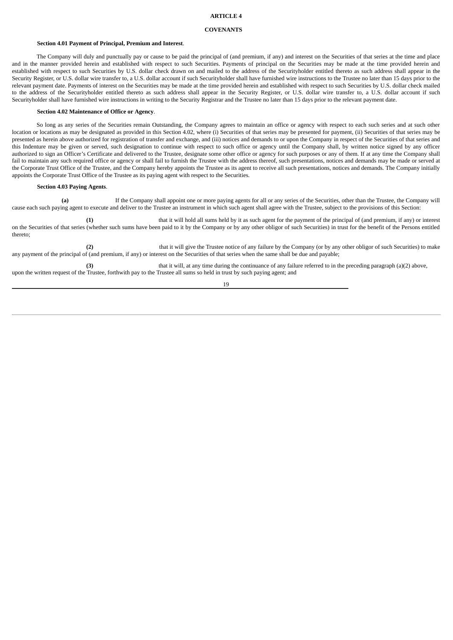### **ARTICLE 4**

### **COVENANTS**

#### **Section 4.01 Payment of Principal, Premium and Interest**.

The Company will duly and punctually pay or cause to be paid the principal of (and premium, if any) and interest on the Securities of that series at the time and place and in the manner provided herein and established with respect to such Securities. Payments of principal on the Securities may be made at the time provided herein and established with respect to such Securities by U.S. dollar check drawn on and mailed to the address of the Securityholder entitled thereto as such address shall appear in the Security Register, or U.S. dollar wire transfer to, a U.S. dollar account if such Securityholder shall have furnished wire instructions to the Trustee no later than 15 days prior to the relevant payment date. Payments of interest on the Securities may be made at the time provided herein and established with respect to such Securities by U.S. dollar check mailed to the address of the Securityholder entitled thereto as such address shall appear in the Security Register, or U.S. dollar wire transfer to, a U.S. dollar account if such Securityholder shall have furnished wire instructions in writing to the Security Registrar and the Trustee no later than 15 days prior to the relevant payment date.

# **Section 4.02 Maintenance of Office or Agency**.

So long as any series of the Securities remain Outstanding, the Company agrees to maintain an office or agency with respect to each such series and at such other location or locations as may be designated as provided in this Section 4.02, where (i) Securities of that series may be presented for payment, (ii) Securities of that series may be presented as herein above authorized for registration of transfer and exchange, and (iii) notices and demands to or upon the Company in respect of the Securities of that series and this Indenture may be given or served, such designation to continue with respect to such office or agency until the Company shall, by written notice signed by any officer authorized to sign an Officer's Certificate and delivered to the Trustee, designate some other office or agency for such purposes or any of them. If at any time the Company shall fail to maintain any such required office or agency or shall fail to furnish the Trustee with the address thereof, such presentations, notices and demands may be made or served at the Corporate Trust Office of the Trustee, and the Company hereby appoints the Trustee as its agent to receive all such presentations, notices and demands. The Company initially appoints the Corporate Trust Office of the Trustee as its paying agent with respect to the Securities.

### **Section 4.03 Paying Agents**.

**(a)** If the Company shall appoint one or more paying agents for all or any series of the Securities, other than the Trustee, the Company will cause each such paying agent to execute and deliver to the Trustee an instrument in which such agent shall agree with the Trustee, subject to the provisions of this Section:

**(1)** that it will hold all sums held by it as such agent for the payment of the principal of (and premium, if any) or interest on the Securities of that series (whether such sums have been paid to it by the Company or by any other obligor of such Securities) in trust for the benefit of the Persons entitled thereto;

**(2)** that it will give the Trustee notice of any failure by the Company (or by any other obligor of such Securities) to make any payment of the principal of (and premium, if any) or interest on the Securities of that series when the same shall be due and payable;

**(3)** that it will, at any time during the continuance of any failure referred to in the preceding paragraph (a)(2) above, upon the written request of the Trustee, forthwith pay to the Trustee all sums so held in trust by such paying agent; and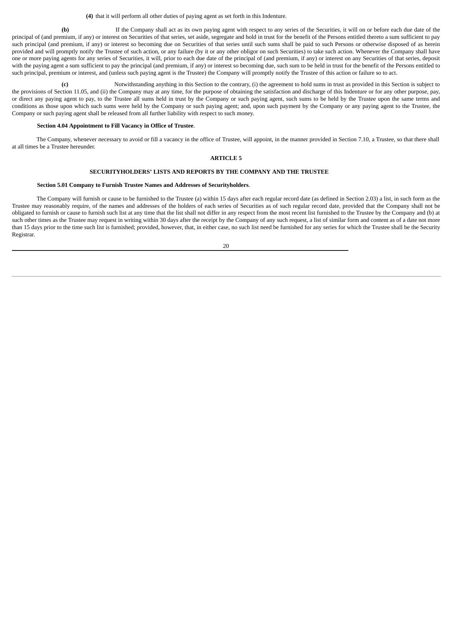**(4)** that it will perform all other duties of paying agent as set forth in this Indenture.

**(b)** If the Company shall act as its own paying agent with respect to any series of the Securities, it will on or before each due date of the principal of (and premium, if any) or interest on Securities of that series, set aside, segregate and hold in trust for the benefit of the Persons entitled thereto a sum sufficient to pay such principal (and premium, if any) or interest so becoming due on Securities of that series until such sums shall be paid to such Persons or otherwise disposed of as herein provided and will promptly notify the Trustee of such action, or any failure (by it or any other obligor on such Securities) to take such action. Whenever the Company shall have one or more paying agents for any series of Securities, it will, prior to each due date of the principal of (and premium, if any) or interest on any Securities of that series, deposit with the paying agent a sum sufficient to pay the principal (and premium, if any) or interest so becoming due, such sum to be held in trust for the benefit of the Persons entitled to such principal, premium or interest, and (unless such paying agent is the Trustee) the Company will promptly notify the Trustee of this action or failure so to act.

**(c)** Notwithstanding anything in this Section to the contrary, (i) the agreement to hold sums in trust as provided in this Section is subject to the provisions of Section 11.05, and (ii) the Company may at any time, for the purpose of obtaining the satisfaction and discharge of this Indenture or for any other purpose, pay, or direct any paying agent to pay, to the Trustee all sums held in trust by the Company or such paying agent, such sums to be held by the Trustee upon the same terms and conditions as those upon which such sums were held by the Company or such paying agent; and, upon such payment by the Company or any paying agent to the Trustee, the Company or such paying agent shall be released from all further liability with respect to such money.

#### **Section 4.04 Appointment to Fill Vacancy in Office of Trustee**.

The Company, whenever necessary to avoid or fill a vacancy in the office of Trustee, will appoint, in the manner provided in Section 7.10, a Trustee, so that there shall at all times be a Trustee hereunder.

#### **ARTICLE 5**

### **SECURITYHOLDERS' LISTS AND REPORTS BY THE COMPANY AND THE TRUSTEE**

#### **Section 5.01 Company to Furnish Trustee Names and Addresses of Securityholders**.

The Company will furnish or cause to be furnished to the Trustee (a) within 15 days after each regular record date (as defined in Section 2.03) a list, in such form as the Trustee may reasonably require, of the names and addresses of the holders of each series of Securities as of such regular record date, provided that the Company shall not be obligated to furnish or cause to furnish such list at any time that the list shall not differ in any respect from the most recent list furnished to the Trustee by the Company and (b) at such other times as the Trustee may request in writing within 30 days after the receipt by the Company of any such request, a list of similar form and content as of a date not more than 15 days prior to the time such list is furnished; provided, however, that, in either case, no such list need be furnished for any series for which the Trustee shall be the Security Registrar.

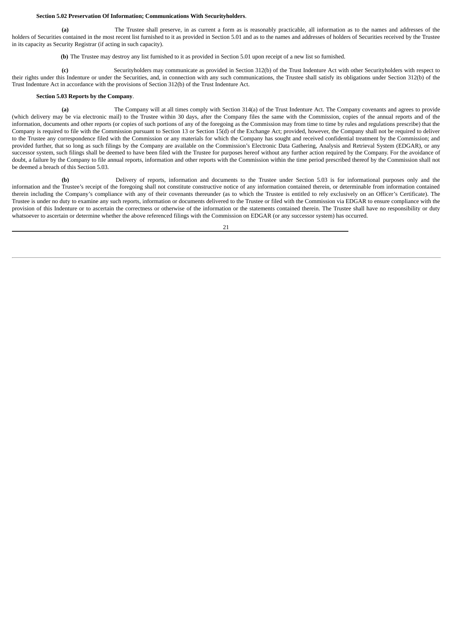#### **Section 5.02 Preservation Of Information; Communications With Securityholders**.

**(a)** The Trustee shall preserve, in as current a form as is reasonably practicable, all information as to the names and addresses of the holders of Securities contained in the most recent list furnished to it as provided in Section 5.01 and as to the names and addresses of holders of Securities received by the Trustee in its capacity as Security Registrar (if acting in such capacity).

**(b)** The Trustee may destroy any list furnished to it as provided in Section 5.01 upon receipt of a new list so furnished.

**(c)** Securityholders may communicate as provided in Section 312(b) of the Trust Indenture Act with other Securityholders with respect to their rights under this Indenture or under the Securities, and, in connection with any such communications, the Trustee shall satisfy its obligations under Section 312(b) of the Trust Indenture Act in accordance with the provisions of Section 312(b) of the Trust Indenture Act.

### **Section 5.03 Reports by the Company**.

**(a)** The Company will at all times comply with Section 314(a) of the Trust Indenture Act. The Company covenants and agrees to provide (which delivery may be via electronic mail) to the Trustee within 30 days, after the Company files the same with the Commission, copies of the annual reports and of the information, documents and other reports (or copies of such portions of any of the foregoing as the Commission may from time to time by rules and regulations prescribe) that the Company is required to file with the Commission pursuant to Section 13 or Section 15(d) of the Exchange Act; provided, however, the Company shall not be required to deliver to the Trustee any correspondence filed with the Commission or any materials for which the Company has sought and received confidential treatment by the Commission; and provided further, that so long as such filings by the Company are available on the Commission's Electronic Data Gathering, Analysis and Retrieval System (EDGAR), or any successor system, such filings shall be deemed to have been filed with the Trustee for purposes hereof without any further action required by the Company. For the avoidance of doubt, a failure by the Company to file annual reports, information and other reports with the Commission within the time period prescribed thereof by the Commission shall not be deemed a breach of this Section 5.03.

**(b)** Delivery of reports, information and documents to the Trustee under Section 5.03 is for informational purposes only and the information and the Trustee's receipt of the foregoing shall not constitute constructive notice of any information contained therein, or determinable from information contained therein including the Company's compliance with any of their covenants thereunder (as to which the Trustee is entitled to rely exclusively on an Officer's Certificate). The Trustee is under no duty to examine any such reports, information or documents delivered to the Trustee or filed with the Commission via EDGAR to ensure compliance with the provision of this Indenture or to ascertain the correctness or otherwise of the information or the statements contained therein. The Trustee shall have no responsibility or duty whatsoever to ascertain or determine whether the above referenced filings with the Commission on EDGAR (or any successor system) has occurred.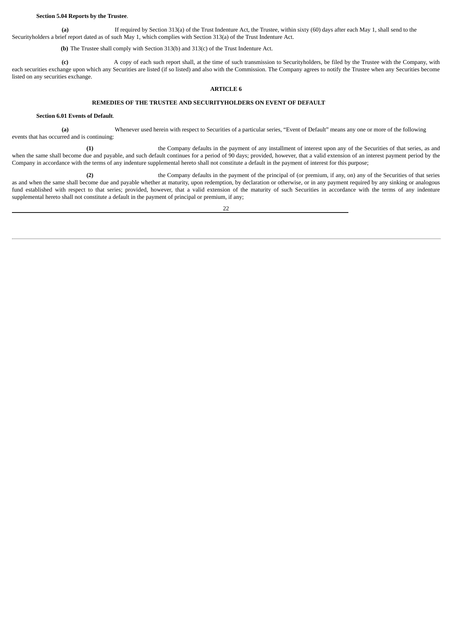### **Section 5.04 Reports by the Trustee**.

**(a)** If required by Section 313(a) of the Trust Indenture Act, the Trustee, within sixty (60) days after each May 1, shall send to the Securityholders a brief report dated as of such May 1, which complies with Section 313(a) of the Trust Indenture Act.

**(b)** The Trustee shall comply with Section 313(b) and 313(c) of the Trust Indenture Act.

**(c)** A copy of each such report shall, at the time of such transmission to Securityholders, be filed by the Trustee with the Company, with each securities exchange upon which any Securities are listed (if so listed) and also with the Commission. The Company agrees to notify the Trustee when any Securities become listed on any securities exchange.

### **ARTICLE 6**

#### **REMEDIES OF THE TRUSTEE AND SECURITYHOLDERS ON EVENT OF DEFAULT**

#### **Section 6.01 Events of Default**.

**(a)** Whenever used herein with respect to Securities of a particular series, "Event of Default" means any one or more of the following events that has occurred and is continuing:

**(1)** the Company defaults in the payment of any installment of interest upon any of the Securities of that series, as and when the same shall become due and payable, and such default continues for a period of 90 days; provided, however, that a valid extension of an interest payment period by the Company in accordance with the terms of any indenture supplemental hereto shall not constitute a default in the payment of interest for this purpose;

**(2)** the Company defaults in the payment of the principal of (or premium, if any, on) any of the Securities of that series as and when the same shall become due and payable whether at maturity, upon redemption, by declaration or otherwise, or in any payment required by any sinking or analogous fund established with respect to that series; provided, however, that a valid extension of the maturity of such Securities in accordance with the terms of any indenture supplemental hereto shall not constitute a default in the payment of principal or premium, if any;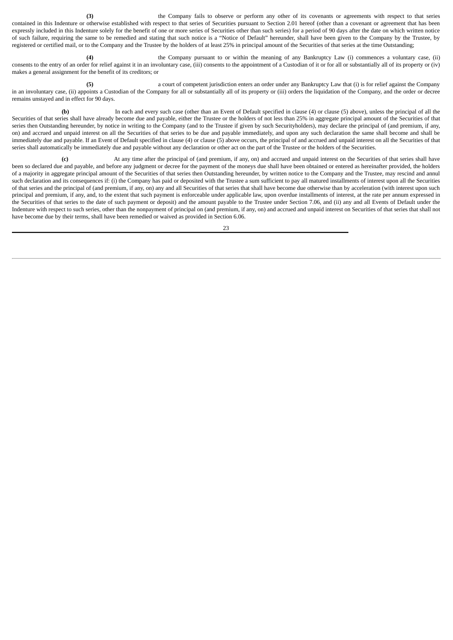**(3)** the Company fails to observe or perform any other of its covenants or agreements with respect to that series contained in this Indenture or otherwise established with respect to that series of Securities pursuant to Section 2.01 hereof (other than a covenant or agreement that has been expressly included in this Indenture solely for the benefit of one or more series of Securities other than such series) for a period of 90 days after the date on which written notice of such failure, requiring the same to be remedied and stating that such notice is a "Notice of Default" hereunder, shall have been given to the Company by the Trustee, by registered or certified mail, or to the Company and the Trustee by the holders of at least 25% in principal amount of the Securities of that series at the time Outstanding;

**(4)** the Company pursuant to or within the meaning of any Bankruptcy Law (i) commences a voluntary case, (ii) consents to the entry of an order for relief against it in an involuntary case, (iii) consents to the appointment of a Custodian of it or for all or substantially all of its property or (iv) makes a general assignment for the benefit of its creditors; or

**(5)** a court of competent jurisdiction enters an order under any Bankruptcy Law that (i) is for relief against the Company in an involuntary case, (ii) appoints a Custodian of the Company for all or substantially all of its property or (iii) orders the liquidation of the Company, and the order or decree remains unstayed and in effect for 90 days.

**(b)** In each and every such case (other than an Event of Default specified in clause (4) or clause (5) above), unless the principal of all the Securities of that series shall have already become due and payable, either the Trustee or the holders of not less than 25% in aggregate principal amount of the Securities of that series then Outstanding hereunder, by notice in writing to the Company (and to the Trustee if given by such Securityholders), may declare the principal of (and premium, if any, on) and accrued and unpaid interest on all the Securities of that series to be due and payable immediately, and upon any such declaration the same shall become and shall be immediately due and payable. If an Event of Default specified in clause (4) or clause (5) above occurs, the principal of and accrued and unpaid interest on all the Securities of that series shall automatically be immediately due and payable without any declaration or other act on the part of the Trustee or the holders of the Securities.

**(c)** At any time after the principal of (and premium, if any, on) and accrued and unpaid interest on the Securities of that series shall have been so declared due and payable, and before any judgment or decree for the payment of the moneys due shall have been obtained or entered as hereinafter provided, the holders of a majority in aggregate principal amount of the Securities of that series then Outstanding hereunder, by written notice to the Company and the Trustee, may rescind and annul such declaration and its consequences if: (i) the Company has paid or deposited with the Trustee a sum sufficient to pay all matured installments of interest upon all the Securities of that series and the principal of (and premium, if any, on) any and all Securities of that series that shall have become due otherwise than by acceleration (with interest upon such principal and premium, if any, and, to the extent that such payment is enforceable under applicable law, upon overdue installments of interest, at the rate per annum expressed in the Securities of that series to the date of such payment or deposit) and the amount payable to the Trustee under Section 7.06, and (ii) any and all Events of Default under the Indenture with respect to such series, other than the nonpayment of principal on (and premium, if any, on) and accrued and unpaid interest on Securities of that series that shall not have become due by their terms, shall have been remedied or waived as provided in Section 6.06.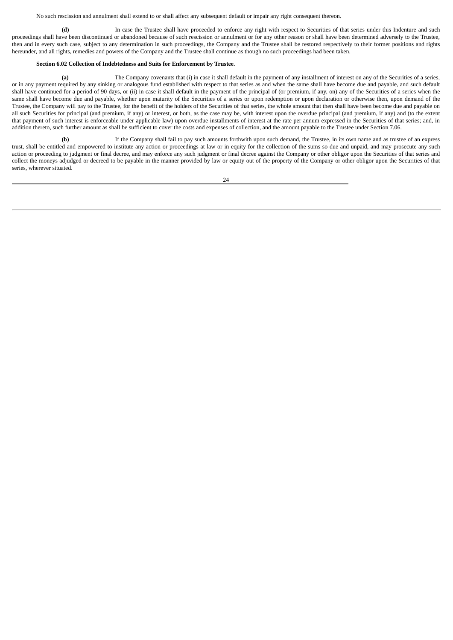No such rescission and annulment shall extend to or shall affect any subsequent default or impair any right consequent thereon.

**(d)** In case the Trustee shall have proceeded to enforce any right with respect to Securities of that series under this Indenture and such proceedings shall have been discontinued or abandoned because of such rescission or annulment or for any other reason or shall have been determined adversely to the Trustee, then and in every such case, subject to any determination in such proceedings, the Company and the Trustee shall be restored respectively to their former positions and rights hereunder, and all rights, remedies and powers of the Company and the Trustee shall continue as though no such proceedings had been taken.

#### **Section 6.02 Collection of Indebtedness and Suits for Enforcement by Trustee**.

**(a)** The Company covenants that (i) in case it shall default in the payment of any installment of interest on any of the Securities of a series, or in any payment required by any sinking or analogous fund established with respect to that series as and when the same shall have become due and payable, and such default shall have continued for a period of 90 days, or (ii) in case it shall default in the payment of the principal of (or premium, if any, on) any of the Securities of a series when the same shall have become due and payable, whether upon maturity of the Securities of a series or upon redemption or upon declaration or otherwise then, upon demand of the Trustee, the Company will pay to the Trustee, for the benefit of the holders of the Securities of that series, the whole amount that then shall have been become due and payable on all such Securities for principal (and premium, if any) or interest, or both, as the case may be, with interest upon the overdue principal (and premium, if any) and (to the extent that payment of such interest is enforceable under applicable law) upon overdue installments of interest at the rate per annum expressed in the Securities of that series; and, in addition thereto, such further amount as shall be sufficient to cover the costs and expenses of collection, and the amount payable to the Trustee under Section 7.06.

**(b)** If the Company shall fail to pay such amounts forthwith upon such demand, the Trustee, in its own name and as trustee of an express trust, shall be entitled and empowered to institute any action or proceedings at law or in equity for the collection of the sums so due and unpaid, and may prosecute any such action or proceeding to judgment or final decree, and may enforce any such judgment or final decree against the Company or other obligor upon the Securities of that series and collect the moneys adjudged or decreed to be payable in the manner provided by law or equity out of the property of the Company or other obligor upon the Securities of that series, wherever situated.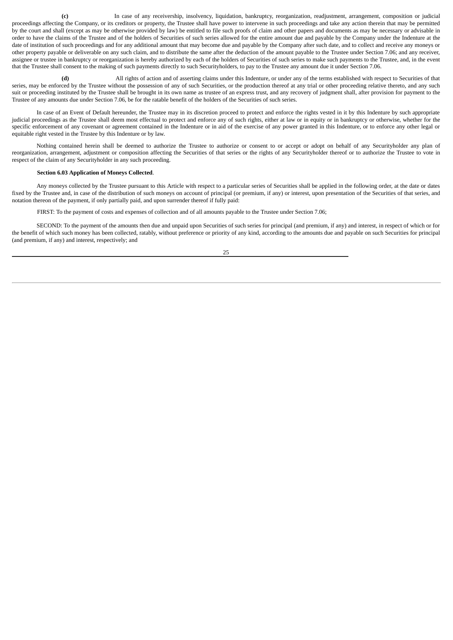**(c)** In case of any receivership, insolvency, liquidation, bankruptcy, reorganization, readjustment, arrangement, composition or judicial proceedings affecting the Company, or its creditors or property, the Trustee shall have power to intervene in such proceedings and take any action therein that may be permitted by the court and shall (except as may be otherwise provided by law) be entitled to file such proofs of claim and other papers and documents as may be necessary or advisable in order to have the claims of the Trustee and of the holders of Securities of such series allowed for the entire amount due and payable by the Company under the Indenture at the date of institution of such proceedings and for any additional amount that may become due and payable by the Company after such date, and to collect and receive any moneys or other property payable or deliverable on any such claim, and to distribute the same after the deduction of the amount payable to the Trustee under Section 7.06; and any receiver, assignee or trustee in bankruptcy or reorganization is hereby authorized by each of the holders of Securities of such series to make such payments to the Trustee, and, in the event that the Trustee shall consent to the making of such payments directly to such Securityholders, to pay to the Trustee any amount due it under Section 7.06.

**(d)** All rights of action and of asserting claims under this Indenture, or under any of the terms established with respect to Securities of that series, may be enforced by the Trustee without the possession of any of such Securities, or the production thereof at any trial or other proceeding relative thereto, and any such suit or proceeding instituted by the Trustee shall be brought in its own name as trustee of an express trust, and any recovery of judgment shall, after provision for payment to the Trustee of any amounts due under Section 7.06, be for the ratable benefit of the holders of the Securities of such series.

In case of an Event of Default hereunder, the Trustee may in its discretion proceed to protect and enforce the rights vested in it by this Indenture by such appropriate judicial proceedings as the Trustee shall deem most effectual to protect and enforce any of such rights, either at law or in equity or in bankruptcy or otherwise, whether for the specific enforcement of any covenant or agreement contained in the Indenture or in aid of the exercise of any power granted in this Indenture, or to enforce any other legal or equitable right vested in the Trustee by this Indenture or by law.

Nothing contained herein shall be deemed to authorize the Trustee to authorize or consent to or accept or adopt on behalf of any Securityholder any plan of reorganization, arrangement, adjustment or composition affecting the Securities of that series or the rights of any Securityholder thereof or to authorize the Trustee to vote in respect of the claim of any Securityholder in any such proceeding.

### **Section 6.03 Application of Moneys Collected**.

Any moneys collected by the Trustee pursuant to this Article with respect to a particular series of Securities shall be applied in the following order, at the date or dates fixed by the Trustee and, in case of the distribution of such moneys on account of principal (or premium, if any) or interest, upon presentation of the Securities of that series, and notation thereon of the payment, if only partially paid, and upon surrender thereof if fully paid:

FIRST: To the payment of costs and expenses of collection and of all amounts payable to the Trustee under Section 7.06;

SECOND: To the payment of the amounts then due and unpaid upon Securities of such series for principal (and premium, if any) and interest, in respect of which or for the benefit of which such money has been collected, ratably, without preference or priority of any kind, according to the amounts due and payable on such Securities for principal (and premium, if any) and interest, respectively; and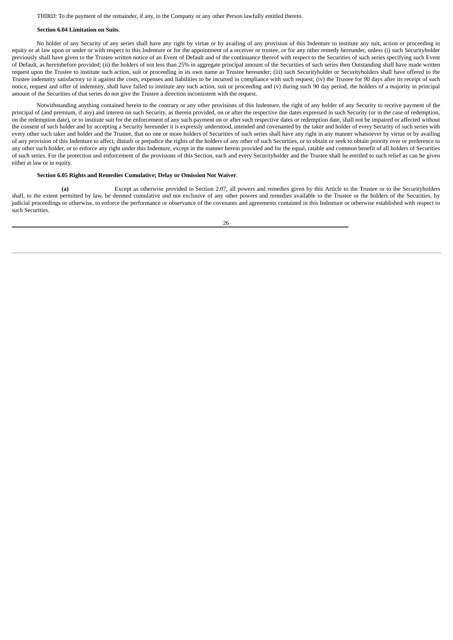THIRD: To the payment of the remainder, if any, to the Company or any other Person lawfully entitled thereto.

### **Section 6.04 Limitation on Suits**.

No holder of any Security of any series shall have any right by virtue or by availing of any provision of this Indenture to institute any suit, action or proceeding in equity or at law upon or under or with respect to this Indenture or for the appointment of a receiver or trustee, or for any other remedy hereunder, unless (i) such Securityholder previously shall have given to the Trustee written notice of an Event of Default and of the continuance thereof with respect to the Securities of such series specifying such Event of Default, as hereinbefore provided; (ii) the holders of not less than 25% in aggregate principal amount of the Securities of such series then Outstanding shall have made written request upon the Trustee to institute such action, suit or proceeding in its own name as Trustee hereunder; (iii) such Securityholder or Securityholders shall have offered to the Trustee indemnity satisfactory to it against the costs, expenses and liabilities to be incurred in compliance with such request; (iv) the Trustee for 90 days after its receipt of such notice, request and offer of indemnity, shall have failed to institute any such action, suit or proceeding and (v) during such 90 day period, the holders of a majority in principal amount of the Securities of that series do not give the Trustee a direction inconsistent with the request.

Notwithstanding anything contained herein to the contrary or any other provisions of this Indenture, the right of any holder of any Security to receive payment of the principal of (and premium, if any) and interest on such Security, as therein provided, on or after the respective due dates expressed in such Security (or in the case of redemption, on the redemption date), or to institute suit for the enforcement of any such payment on or after such respective dates or redemption date, shall not be impaired or affected without the consent of such holder and by accepting a Security hereunder it is expressly understood, intended and covenanted by the taker and holder of every Security of such series with every other such taker and holder and the Trustee, that no one or more holders of Securities of such series shall have any right in any manner whatsoever by virtue or by availing of any provision of this Indenture to affect, disturb or prejudice the rights of the holders of any other of such Securities, or to obtain or seek to obtain priority over or preference to any other such holder, or to enforce any right under this Indenture, except in the manner herein provided and for the equal, ratable and common benefit of all holders of Securities of such series. For the protection and enforcement of the provisions of this Section, each and every Securityholder and the Trustee shall be entitled to such relief as can be given either at law or in equity.

## **Section 6.05 Rights and Remedies Cumulative; Delay or Omission Not Waiver**.

**(a)** Except as otherwise provided in Section 2.07, all powers and remedies given by this Article to the Trustee or to the Securityholders shall, to the extent permitted by law, be deemed cumulative and not exclusive of any other powers and remedies available to the Trustee or the holders of the Securities, by judicial proceedings or otherwise, to enforce the performance or observance of the covenants and agreements contained in this Indenture or otherwise established with respect to such Securities.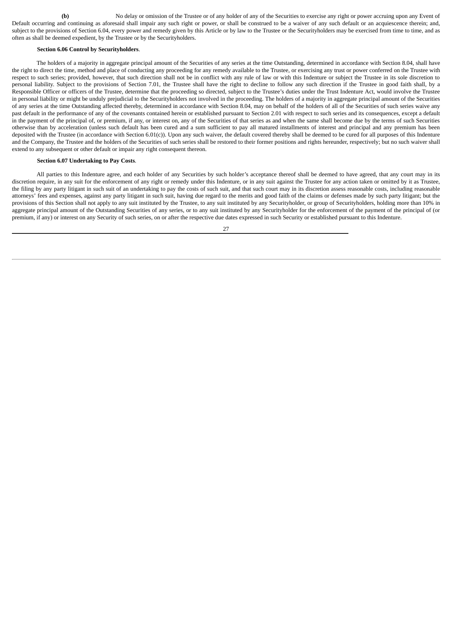**(b)** No delay or omission of the Trustee or of any holder of any of the Securities to exercise any right or power accruing upon any Event of Default occurring and continuing as aforesaid shall impair any such right or power, or shall be construed to be a waiver of any such default or an acquiescence therein; and, subject to the provisions of Section 6.04, every power and remedy given by this Article or by law to the Trustee or the Securityholders may be exercised from time to time, and as often as shall be deemed expedient, by the Trustee or by the Securityholders.

## **Section 6.06 Control by Securityholders**.

The holders of a majority in aggregate principal amount of the Securities of any series at the time Outstanding, determined in accordance with Section 8.04, shall have the right to direct the time, method and place of conducting any proceeding for any remedy available to the Trustee, or exercising any trust or power conferred on the Trustee with respect to such series; provided, however, that such direction shall not be in conflict with any rule of law or with this Indenture or subject the Trustee in its sole discretion to personal liability. Subject to the provisions of Section 7.01, the Trustee shall have the right to decline to follow any such direction if the Trustee in good faith shall, by a Responsible Officer or officers of the Trustee, determine that the proceeding so directed, subject to the Trustee's duties under the Trust Indenture Act, would involve the Trustee in personal liability or might be unduly prejudicial to the Securityholders not involved in the proceeding. The holders of a majority in aggregate principal amount of the Securities of any series at the time Outstanding affected thereby, determined in accordance with Section 8.04, may on behalf of the holders of all of the Securities of such series waive any past default in the performance of any of the covenants contained herein or established pursuant to Section 2.01 with respect to such series and its consequences, except a default in the payment of the principal of, or premium, if any, or interest on, any of the Securities of that series as and when the same shall become due by the terms of such Securities otherwise than by acceleration (unless such default has been cured and a sum sufficient to pay all matured installments of interest and principal and any premium has been deposited with the Trustee (in accordance with Section 6.01(c)). Upon any such waiver, the default covered thereby shall be deemed to be cured for all purposes of this Indenture and the Company, the Trustee and the holders of the Securities of such series shall be restored to their former positions and rights hereunder, respectively; but no such waiver shall extend to any subsequent or other default or impair any right consequent thereon.

### **Section 6.07 Undertaking to Pay Costs**.

All parties to this Indenture agree, and each holder of any Securities by such holder's acceptance thereof shall be deemed to have agreed, that any court may in its discretion require, in any suit for the enforcement of any right or remedy under this Indenture, or in any suit against the Trustee for any action taken or omitted by it as Trustee, the filing by any party litigant in such suit of an undertaking to pay the costs of such suit, and that such court may in its discretion assess reasonable costs, including reasonable attorneys' fees and expenses, against any party litigant in such suit, having due regard to the merits and good faith of the claims or defenses made by such party litigant; but the provisions of this Section shall not apply to any suit instituted by the Trustee, to any suit instituted by any Securityholder, or group of Securityholders, holding more than 10% in aggregate principal amount of the Outstanding Securities of any series, or to any suit instituted by any Securityholder for the enforcement of the payment of the principal of (or premium, if any) or interest on any Security of such series, on or after the respective due dates expressed in such Security or established pursuant to this Indenture.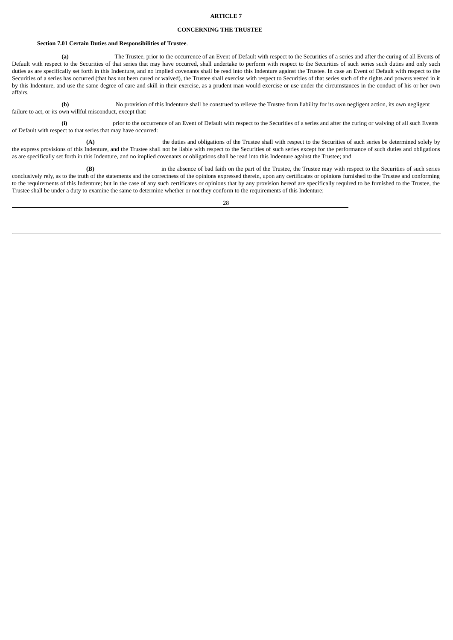### **ARTICLE 7**

## **CONCERNING THE TRUSTEE**

## **Section 7.01 Certain Duties and Responsibilities of Trustee**.

**(a)** The Trustee, prior to the occurrence of an Event of Default with respect to the Securities of a series and after the curing of all Events of Default with respect to the Securities of that series that may have occurred, shall undertake to perform with respect to the Securities of such series such duties and only such duties as are specifically set forth in this Indenture, and no implied covenants shall be read into this Indenture against the Trustee. In case an Event of Default with respect to the Securities of a series has occurred (that has not been cured or waived), the Trustee shall exercise with respect to Securities of that series such of the rights and powers vested in it by this Indenture, and use the same degree of care and skill in their exercise, as a prudent man would exercise or use under the circumstances in the conduct of his or her own affairs.

**(b)** No provision of this Indenture shall be construed to relieve the Trustee from liability for its own negligent action, its own negligent failure to act, or its own willful misconduct, except that:

**(i)** prior to the occurrence of an Event of Default with respect to the Securities of a series and after the curing or waiving of all such Events of Default with respect to that series that may have occurred:

**(A)** the duties and obligations of the Trustee shall with respect to the Securities of such series be determined solely by the express provisions of this Indenture, and the Trustee shall not be liable with respect to the Securities of such series except for the performance of such duties and obligations as are specifically set forth in this Indenture, and no implied covenants or obligations shall be read into this Indenture against the Trustee; and

**(B)** in the absence of bad faith on the part of the Trustee, the Trustee may with respect to the Securities of such series conclusively rely, as to the truth of the statements and the correctness of the opinions expressed therein, upon any certificates or opinions furnished to the Trustee and conforming to the requirements of this Indenture; but in the case of any such certificates or opinions that by any provision hereof are specifically required to be furnished to the Trustee, the Trustee shall be under a duty to examine the same to determine whether or not they conform to the requirements of this Indenture;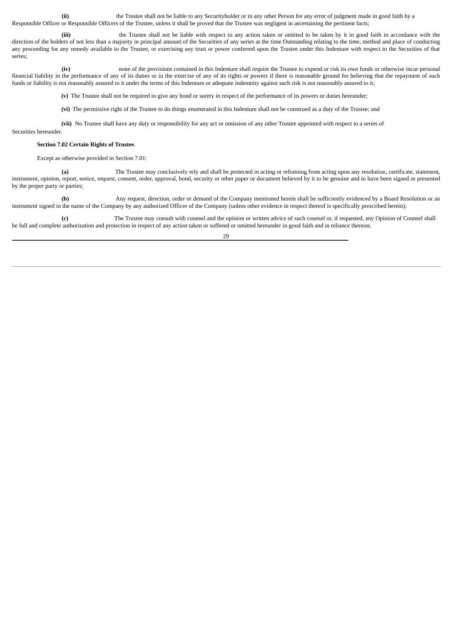**(ii)** the Trustee shall not be liable to any Securityholder or to any other Person for any error of judgment made in good faith by a Responsible Officer or Responsible Officers of the Trustee, unless it shall be proved that the Trustee was negligent in ascertaining the pertinent facts;

**(iii)** the Trustee shall not be liable with respect to any action taken or omitted to be taken by it in good faith in accordance with the direction of the holders of not less than a majority in principal amount of the Securities of any series at the time Outstanding relating to the time, method and place of conducting any proceeding for any remedy available to the Trustee, or exercising any trust or power conferred upon the Trustee under this Indenture with respect to the Securities of that series;

**(iv)** none of the provisions contained in this Indenture shall require the Trustee to expend or risk its own funds or otherwise incur personal financial liability in the performance of any of its duties or in the exercise of any of its rights or powers if there is reasonable ground for believing that the repayment of such funds or liability is not reasonably assured to it under the terms of this Indenture or adequate indemnity against such risk is not reasonably assured to it;

**(v)** The Trustee shall not be required to give any bond or surety in respect of the performance of its powers or duties hereunder;

**(vi)** The permissive right of the Trustee to do things enumerated in this Indenture shall not be construed as a duty of the Trustee; and

**(vii)** No Trustee shall have any duty or responsibility for any act or omission of any other Trustee appointed with respect to a series of Securities hereunder.

## **Section 7.02 Certain Rights of Trustee**.

Except as otherwise provided in Section 7.01:

**(a)** The Trustee may conclusively rely and shall be protected in acting or refraining from acting upon any resolution, certificate, statement, instrument, opinion, report, notice, request, consent, order, approval, bond, security or other paper or document believed by it to be genuine and to have been signed or presented by the proper party or parties;

**(b)** Any request, direction, order or demand of the Company mentioned herein shall be sufficiently evidenced by a Board Resolution or an instrument signed in the name of the Company by any authorized Officer of the Company (unless other evidence in respect thereof is specifically prescribed herein);

**(c)** The Trustee may consult with counsel and the opinion or written advice of such counsel or, if requested, any Opinion of Counsel shall be full and complete authorization and protection in respect of any action taken or suffered or omitted hereunder in good faith and in reliance thereon;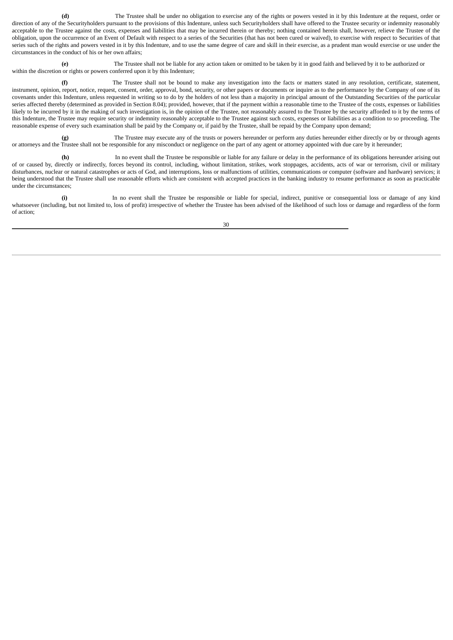**(d)** The Trustee shall be under no obligation to exercise any of the rights or powers vested in it by this Indenture at the request, order or direction of any of the Securityholders pursuant to the provisions of this Indenture, unless such Securityholders shall have offered to the Trustee security or indemnity reasonably acceptable to the Trustee against the costs, expenses and liabilities that may be incurred therein or thereby; nothing contained herein shall, however, relieve the Trustee of the obligation, upon the occurrence of an Event of Default with respect to a series of the Securities (that has not been cured or waived), to exercise with respect to Securities of that series such of the rights and powers vested in it by this Indenture, and to use the same degree of care and skill in their exercise, as a prudent man would exercise or use under the circumstances in the conduct of his or her own affairs;

**(e)** The Trustee shall not be liable for any action taken or omitted to be taken by it in good faith and believed by it to be authorized or within the discretion or rights or powers conferred upon it by this Indenture;

**(f)** The Trustee shall not be bound to make any investigation into the facts or matters stated in any resolution, certificate, statement, instrument, opinion, report, notice, request, consent, order, approval, bond, security, or other papers or documents or inquire as to the performance by the Company of one of its covenants under this Indenture, unless requested in writing so to do by the holders of not less than a majority in principal amount of the Outstanding Securities of the particular series affected thereby (determined as provided in Section 8.04); provided, however, that if the payment within a reasonable time to the Trustee of the costs, expenses or liabilities likely to be incurred by it in the making of such investigation is, in the opinion of the Trustee, not reasonably assured to the Trustee by the security afforded to it by the terms of this Indenture, the Trustee may require security or indemnity reasonably acceptable to the Trustee against such costs, expenses or liabilities as a condition to so proceeding. The reasonable expense of every such examination shall be paid by the Company or, if paid by the Trustee, shall be repaid by the Company upon demand;

**(g)** The Trustee may execute any of the trusts or powers hereunder or perform any duties hereunder either directly or by or through agents or attorneys and the Trustee shall not be responsible for any misconduct or negligence on the part of any agent or attorney appointed with due care by it hereunder;

**(h)** In no event shall the Trustee be responsible or liable for any failure or delay in the performance of its obligations hereunder arising out of or caused by, directly or indirectly, forces beyond its control, including, without limitation, strikes, work stoppages, accidents, acts of war or terrorism, civil or military disturbances, nuclear or natural catastrophes or acts of God, and interruptions, loss or malfunctions of utilities, communications or computer (software and hardware) services; it being understood that the Trustee shall use reasonable efforts which are consistent with accepted practices in the banking industry to resume performance as soon as practicable under the circumstances;

**(i)** In no event shall the Trustee be responsible or liable for special, indirect, punitive or consequential loss or damage of any kind whatsoever (including, but not limited to, loss of profit) irrespective of whether the Trustee has been advised of the likelihood of such loss or damage and regardless of the form of action;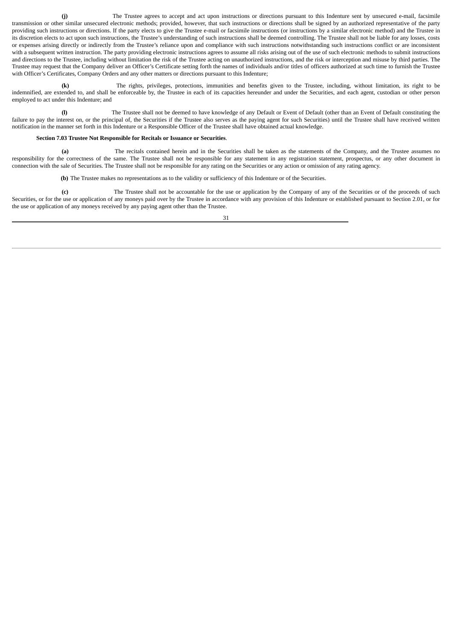**(j)** The Trustee agrees to accept and act upon instructions or directions pursuant to this Indenture sent by unsecured e-mail, facsimile transmission or other similar unsecured electronic methods; provided, however, that such instructions or directions shall be signed by an authorized representative of the party providing such instructions or directions. If the party elects to give the Trustee e-mail or facsimile instructions (or instructions by a similar electronic method) and the Trustee in its discretion elects to act upon such instructions, the Trustee's understanding of such instructions shall be deemed controlling. The Trustee shall not be liable for any losses, costs or expenses arising directly or indirectly from the Trustee's reliance upon and compliance with such instructions notwithstanding such instructions conflict or are inconsistent with a subsequent written instruction. The party providing electronic instructions agrees to assume all risks arising out of the use of such electronic methods to submit instructions and directions to the Trustee, including without limitation the risk of the Trustee acting on unauthorized instructions, and the risk or interception and misuse by third parties. The Trustee may request that the Company deliver an Officer's Certificate setting forth the names of individuals and/or titles of officers authorized at such time to furnish the Trustee with Officer's Certificates, Company Orders and any other matters or directions pursuant to this Indenture;

**(k)** The rights, privileges, protections, immunities and benefits given to the Trustee, including, without limitation, its right to be indemnified, are extended to, and shall be enforceable by, the Trustee in each of its capacities hereunder and under the Securities, and each agent, custodian or other person employed to act under this Indenture; and

**(l)** The Trustee shall not be deemed to have knowledge of any Default or Event of Default (other than an Event of Default constituting the failure to pay the interest on, or the principal of, the Securities if the Trustee also serves as the paying agent for such Securities) until the Trustee shall have received written notification in the manner set forth in this Indenture or a Responsible Officer of the Trustee shall have obtained actual knowledge.

## **Section 7.03 Trustee Not Responsible for Recitals or Issuance or Securities**.

**(a)** The recitals contained herein and in the Securities shall be taken as the statements of the Company, and the Trustee assumes no responsibility for the correctness of the same. The Trustee shall not be responsible for any statement in any registration statement, prospectus, or any other document in connection with the sale of Securities. The Trustee shall not be responsible for any rating on the Securities or any action or omission of any rating agency.

**(b)** The Trustee makes no representations as to the validity or sufficiency of this Indenture or of the Securities.

**(c)** The Trustee shall not be accountable for the use or application by the Company of any of the Securities or of the proceeds of such Securities, or for the use or application of any moneys paid over by the Trustee in accordance with any provision of this Indenture or established pursuant to Section 2.01, or for the use or application of any moneys received by any paying agent other than the Trustee.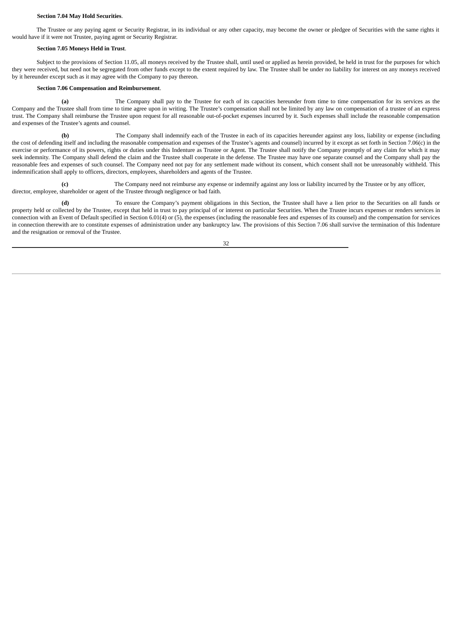### **Section 7.04 May Hold Securities**.

The Trustee or any paying agent or Security Registrar, in its individual or any other capacity, may become the owner or pledgee of Securities with the same rights it would have if it were not Trustee, paying agent or Security Registrar.

## **Section 7.05 Moneys Held in Trust**.

Subject to the provisions of Section 11.05, all moneys received by the Trustee shall, until used or applied as herein provided, be held in trust for the purposes for which they were received, but need not be segregated from other funds except to the extent required by law. The Trustee shall be under no liability for interest on any moneys received by it hereunder except such as it may agree with the Company to pay thereon.

# **Section 7.06 Compensation and Reimbursement**.

**(a)** The Company shall pay to the Trustee for each of its capacities hereunder from time to time compensation for its services as the Company and the Trustee shall from time to time agree upon in writing. The Trustee's compensation shall not be limited by any law on compensation of a trustee of an express trust. The Company shall reimburse the Trustee upon request for all reasonable out-of-pocket expenses incurred by it. Such expenses shall include the reasonable compensation and expenses of the Trustee's agents and counsel.

**(b)** The Company shall indemnify each of the Trustee in each of its capacities hereunder against any loss, liability or expense (including the cost of defending itself and including the reasonable compensation and expenses of the Trustee's agents and counsel) incurred by it except as set forth in Section 7.06(c) in the exercise or performance of its powers, rights or duties under this Indenture as Trustee or Agent. The Trustee shall notify the Company promptly of any claim for which it may seek indemnity. The Company shall defend the claim and the Trustee shall cooperate in the defense. The Trustee may have one separate counsel and the Company shall pay the reasonable fees and expenses of such counsel. The Company need not pay for any settlement made without its consent, which consent shall not be unreasonably withheld. This indemnification shall apply to officers, directors, employees, shareholders and agents of the Trustee.

**(c)** The Company need not reimburse any expense or indemnify against any loss or liability incurred by the Trustee or by any officer, director, employee, shareholder or agent of the Trustee through negligence or bad faith.

**(d)** To ensure the Company's payment obligations in this Section, the Trustee shall have a lien prior to the Securities on all funds or property held or collected by the Trustee, except that held in trust to pay principal of or interest on particular Securities. When the Trustee incurs expenses or renders services in connection with an Event of Default specified in Section 6.01(4) or (5), the expenses (including the reasonable fees and expenses of its counsel) and the compensation for services in connection therewith are to constitute expenses of administration under any bankruptcy law. The provisions of this Section 7.06 shall survive the termination of this Indenture and the resignation or removal of the Trustee.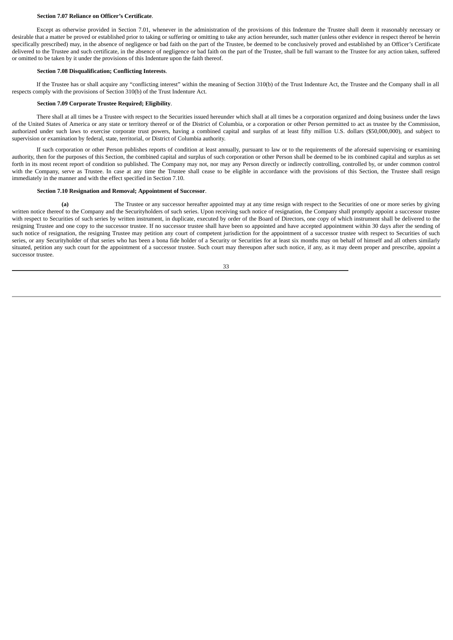#### **Section 7.07 Reliance on Officer's Certificate**.

Except as otherwise provided in Section 7.01, whenever in the administration of the provisions of this Indenture the Trustee shall deem it reasonably necessary or desirable that a matter be proved or established prior to taking or suffering or omitting to take any action hereunder, such matter (unless other evidence in respect thereof be herein specifically prescribed) may, in the absence of negligence or bad faith on the part of the Trustee, be deemed to be conclusively proved and established by an Officer's Certificate delivered to the Trustee and such certificate, in the absence of negligence or bad faith on the part of the Trustee, shall be full warrant to the Trustee for any action taken, suffered or omitted to be taken by it under the provisions of this Indenture upon the faith thereof.

# **Section 7.08 Disqualification; Conflicting Interests**.

If the Trustee has or shall acquire any "conflicting interest" within the meaning of Section 310(b) of the Trust Indenture Act, the Trustee and the Company shall in all respects comply with the provisions of Section 310(b) of the Trust Indenture Act.

### **Section 7.09 Corporate Trustee Required; Eligibility**.

There shall at all times be a Trustee with respect to the Securities issued hereunder which shall at all times be a corporation organized and doing business under the laws of the United States of America or any state or territory thereof or of the District of Columbia, or a corporation or other Person permitted to act as trustee by the Commission, authorized under such laws to exercise corporate trust powers, having a combined capital and surplus of at least fifty million U.S. dollars (\$50,000,000), and subject to supervision or examination by federal, state, territorial, or District of Columbia authority.

If such corporation or other Person publishes reports of condition at least annually, pursuant to law or to the requirements of the aforesaid supervising or examining authority, then for the purposes of this Section, the combined capital and surplus of such corporation or other Person shall be deemed to be its combined capital and surplus as set forth in its most recent report of condition so published. The Company may not, nor may any Person directly or indirectly controlling, controlled by, or under common control with the Company, serve as Trustee. In case at any time the Trustee shall cease to be eligible in accordance with the provisions of this Section, the Trustee shall resign immediately in the manner and with the effect specified in Section 7.10.

#### **Section 7.10 Resignation and Removal; Appointment of Successor**.

**(a)** The Trustee or any successor hereafter appointed may at any time resign with respect to the Securities of one or more series by giving written notice thereof to the Company and the Securityholders of such series. Upon receiving such notice of resignation, the Company shall promptly appoint a successor trustee with respect to Securities of such series by written instrument, in duplicate, executed by order of the Board of Directors, one copy of which instrument shall be delivered to the resigning Trustee and one copy to the successor trustee. If no successor trustee shall have been so appointed and have accepted appointment within 30 days after the sending of such notice of resignation, the resigning Trustee may petition any court of competent jurisdiction for the appointment of a successor trustee with respect to Securities of such series, or any Securityholder of that series who has been a bona fide holder of a Security or Securities for at least six months may on behalf of himself and all others similarly situated, petition any such court for the appointment of a successor trustee. Such court may thereupon after such notice, if any, as it may deem proper and prescribe, appoint a successor trustee.

|              | ٠                |
|--------------|------------------|
| ۰.<br>٠<br>v | I<br>$\sim$<br>٧ |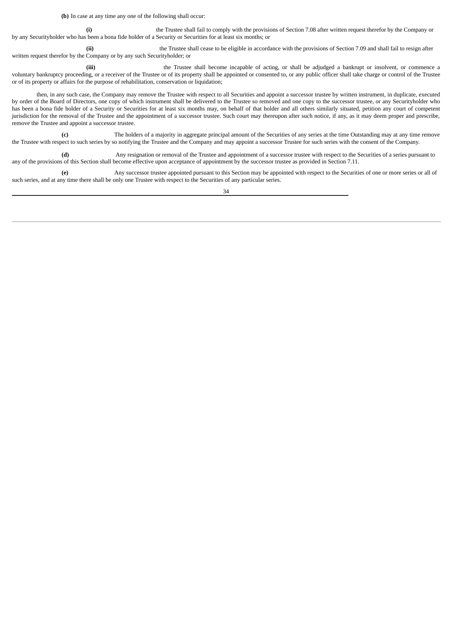**(b)** In case at any time any one of the following shall occur:

**(i)** the Trustee shall fail to comply with the provisions of Section 7.08 after written request therefor by the Company or by any Securityholder who has been a bona fide holder of a Security or Securities for at least six months; or

**(ii)** the Trustee shall cease to be eligible in accordance with the provisions of Section 7.09 and shall fail to resign after written request therefor by the Company or by any such Securityholder; or

**(iii)** the Trustee shall become incapable of acting, or shall be adjudged a bankrupt or insolvent, or commence a voluntary bankruptcy proceeding, or a receiver of the Trustee or of its property shall be appointed or consented to, or any public officer shall take charge or control of the Trustee or of its property or affairs for the purpose of rehabilitation, conservation or liquidation;

then, in any such case, the Company may remove the Trustee with respect to all Securities and appoint a successor trustee by written instrument, in duplicate, executed by order of the Board of Directors, one copy of which instrument shall be delivered to the Trustee so removed and one copy to the successor trustee, or any Securityholder who has been a bona fide holder of a Security or Securities for at least six months may, on behalf of that holder and all others similarly situated, petition any court of competent jurisdiction for the removal of the Trustee and the appointment of a successor trustee. Such court may thereupon after such notice, if any, as it may deem proper and prescribe, remove the Trustee and appoint a successor trustee.

**(c)** The holders of a majority in aggregate principal amount of the Securities of any series at the time Outstanding may at any time remove the Trustee with respect to such series by so notifying the Trustee and the Company and may appoint a successor Trustee for such series with the consent of the Company.

**(d)** Any resignation or removal of the Trustee and appointment of a successor trustee with respect to the Securities of a series pursuant to any of the provisions of this Section shall become effective upon acceptance of appointment by the successor trustee as provided in Section 7.11.

**(e)** Any successor trustee appointed pursuant to this Section may be appointed with respect to the Securities of one or more series or all of such series, and at any time there shall be only one Trustee with respect to the Securities of any particular series.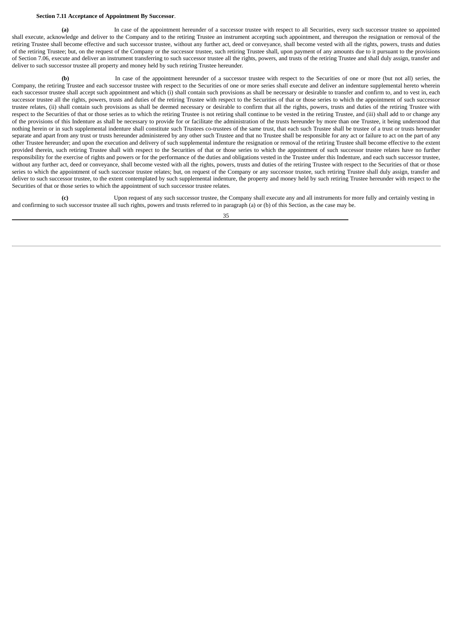#### **Section 7.11 Acceptance of Appointment By Successor**.

**(a)** In case of the appointment hereunder of a successor trustee with respect to all Securities, every such successor trustee so appointed shall execute, acknowledge and deliver to the Company and to the retiring Trustee an instrument accepting such appointment, and thereupon the resignation or removal of the retiring Trustee shall become effective and such successor trustee, without any further act, deed or conveyance, shall become vested with all the rights, powers, trusts and duties of the retiring Trustee; but, on the request of the Company or the successor trustee, such retiring Trustee shall, upon payment of any amounts due to it pursuant to the provisions of Section 7.06, execute and deliver an instrument transferring to such successor trustee all the rights, powers, and trusts of the retiring Trustee and shall duly assign, transfer and deliver to such successor trustee all property and money held by such retiring Trustee hereunder.

**(b)** In case of the appointment hereunder of a successor trustee with respect to the Securities of one or more (but not all) series, the Company, the retiring Trustee and each successor trustee with respect to the Securities of one or more series shall execute and deliver an indenture supplemental hereto wherein each successor trustee shall accept such appointment and which (i) shall contain such provisions as shall be necessary or desirable to transfer and confirm to, and to vest in, each successor trustee all the rights, powers, trusts and duties of the retiring Trustee with respect to the Securities of that or those series to which the appointment of such successor trustee relates, (ii) shall contain such provisions as shall be deemed necessary or desirable to confirm that all the rights, powers, trusts and duties of the retiring Trustee with respect to the Securities of that or those series as to which the retiring Trustee is not retiring shall continue to be vested in the retiring Trustee, and (iii) shall add to or change any of the provisions of this Indenture as shall be necessary to provide for or facilitate the administration of the trusts hereunder by more than one Trustee, it being understood that nothing herein or in such supplemental indenture shall constitute such Trustees co-trustees of the same trust, that each such Trustee shall be trustee of a trust or trusts hereunder separate and apart from any trust or trusts hereunder administered by any other such Trustee and that no Trustee shall be responsible for any act or failure to act on the part of any other Trustee hereunder; and upon the execution and delivery of such supplemental indenture the resignation or removal of the retiring Trustee shall become effective to the extent provided therein, such retiring Trustee shall with respect to the Securities of that or those series to which the appointment of such successor trustee relates have no further responsibility for the exercise of rights and powers or for the performance of the duties and obligations vested in the Trustee under this Indenture, and each such successor trustee, without any further act, deed or conveyance, shall become vested with all the rights, powers, trusts and duties of the retiring Trustee with respect to the Securities of that or those series to which the appointment of such successor trustee relates; but, on request of the Company or any successor trustee, such retiring Trustee shall duly assign, transfer and deliver to such successor trustee, to the extent contemplated by such supplemental indenture, the property and money held by such retiring Trustee hereunder with respect to the Securities of that or those series to which the appointment of such successor trustee relates.

**(c)** Upon request of any such successor trustee, the Company shall execute any and all instruments for more fully and certainly vesting in and confirming to such successor trustee all such rights, powers and trusts referred to in paragraph (a) or (b) of this Section, as the case may be.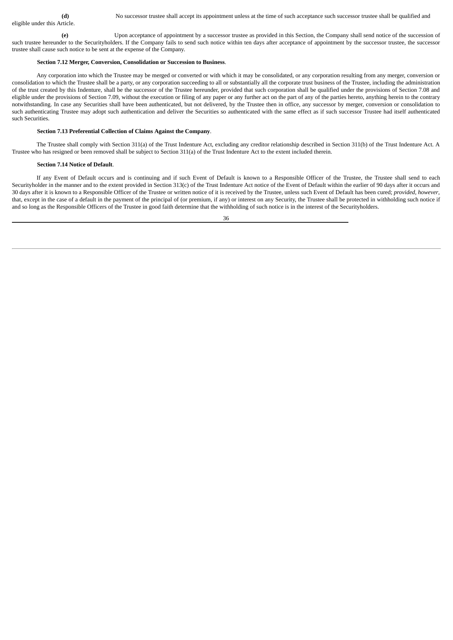**(d)** No successor trustee shall accept its appointment unless at the time of such acceptance such successor trustee shall be qualified and

**(e)** Upon acceptance of appointment by a successor trustee as provided in this Section, the Company shall send notice of the succession of such trustee hereunder to the Securityholders. If the Company fails to send such notice within ten days after acceptance of appointment by the successor trustee, the successor trustee shall cause such notice to be sent at the expense of the Company.

### **Section 7.12 Merger, Conversion, Consolidation or Succession to Business**.

Any corporation into which the Trustee may be merged or converted or with which it may be consolidated, or any corporation resulting from any merger, conversion or consolidation to which the Trustee shall be a party, or any corporation succeeding to all or substantially all the corporate trust business of the Trustee, including the administration of the trust created by this Indenture, shall be the successor of the Trustee hereunder, provided that such corporation shall be qualified under the provisions of Section 7.08 and eligible under the provisions of Section 7.09, without the execution or filing of any paper or any further act on the part of any of the parties hereto, anything herein to the contrary notwithstanding. In case any Securities shall have been authenticated, but not delivered, by the Trustee then in office, any successor by merger, conversion or consolidation to such authenticating Trustee may adopt such authentication and deliver the Securities so authenticated with the same effect as if such successor Trustee had itself authenticated such Securities.

### **Section 7.13 Preferential Collection of Claims Against the Company**.

The Trustee shall comply with Section 311(a) of the Trust Indenture Act, excluding any creditor relationship described in Section 311(b) of the Trust Indenture Act. A Trustee who has resigned or been removed shall be subject to Section 311(a) of the Trust Indenture Act to the extent included therein.

### **Section 7.14 Notice of Default**.

If any Event of Default occurs and is continuing and if such Event of Default is known to a Responsible Officer of the Trustee, the Trustee shall send to each Securityholder in the manner and to the extent provided in Section 313(c) of the Trust Indenture Act notice of the Event of Default within the earlier of 90 days after it occurs and 30 days after it is known to a Responsible Officer of the Trustee or written notice of it is received by the Trustee, unless such Event of Default has been cured; *provided, however*, that, except in the case of a default in the payment of the principal of (or premium, if any) or interest on any Security, the Trustee shall be protected in withholding such notice if and so long as the Responsible Officers of the Trustee in good faith determine that the withholding of such notice is in the interest of the Securityholders.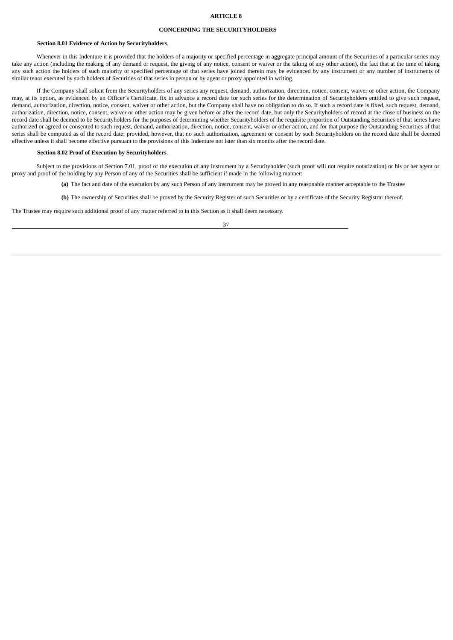## **ARTICLE 8**

# **CONCERNING THE SECURITYHOLDERS**

### **Section 8.01 Evidence of Action by Securityholders**.

Whenever in this Indenture it is provided that the holders of a majority or specified percentage in aggregate principal amount of the Securities of a particular series may take any action (including the making of any demand or request, the giving of any notice, consent or waiver or the taking of any other action), the fact that at the time of taking any such action the holders of such majority or specified percentage of that series have joined therein may be evidenced by any instrument or any number of instruments of similar tenor executed by such holders of Securities of that series in person or by agent or proxy appointed in writing.

If the Company shall solicit from the Securityholders of any series any request, demand, authorization, direction, notice, consent, waiver or other action, the Company may, at its option, as evidenced by an Officer's Certificate, fix in advance a record date for such series for the determination of Securityholders entitled to give such request, demand, authorization, direction, notice, consent, waiver or other action, but the Company shall have no obligation to do so. If such a record date is fixed, such request, demand, authorization, direction, notice, consent, waiver or other action may be given before or after the record date, but only the Securityholders of record at the close of business on the record date shall be deemed to be Securityholders for the purposes of determining whether Securityholders of the requisite proportion of Outstanding Securities of that series have authorized or agreed or consented to such request, demand, authorization, direction, notice, consent, waiver or other action, and for that purpose the Outstanding Securities of that series shall be computed as of the record date; provided, however, that no such authorization, agreement or consent by such Securityholders on the record date shall be deemed effective unless it shall become effective pursuant to the provisions of this Indenture not later than six months after the record date.

### **Section 8.02 Proof of Execution by Securityholders**.

Subject to the provisions of Section 7.01, proof of the execution of any instrument by a Securityholder (such proof will not require notarization) or his or her agent or proxy and proof of the holding by any Person of any of the Securities shall be sufficient if made in the following manner:

**(a)** The fact and date of the execution by any such Person of any instrument may be proved in any reasonable manner acceptable to the Trustee

**(b)** The ownership of Securities shall be proved by the Security Register of such Securities or by a certificate of the Security Registrar thereof.

The Trustee may require such additional proof of any matter referred to in this Section as it shall deem necessary.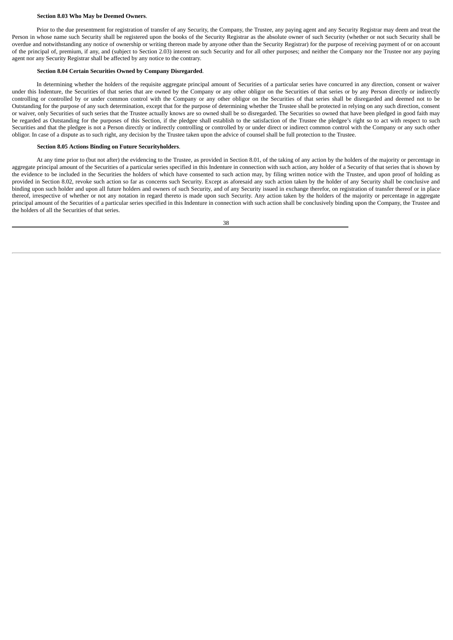### **Section 8.03 Who May be Deemed Owners**.

Prior to the due presentment for registration of transfer of any Security, the Company, the Trustee, any paying agent and any Security Registrar may deem and treat the Person in whose name such Security shall be registered upon the books of the Security Registrar as the absolute owner of such Security (whether or not such Security shall be overdue and notwithstanding any notice of ownership or writing thereon made by anyone other than the Security Registrar) for the purpose of receiving payment of or on account of the principal of, premium, if any, and (subject to Section 2.03) interest on such Security and for all other purposes; and neither the Company nor the Trustee nor any paying agent nor any Security Registrar shall be affected by any notice to the contrary.

# **Section 8.04 Certain Securities Owned by Company Disregarded**.

In determining whether the holders of the requisite aggregate principal amount of Securities of a particular series have concurred in any direction, consent or waiver under this Indenture, the Securities of that series that are owned by the Company or any other obligor on the Securities of that series or by any Person directly or indirectly controlling or controlled by or under common control with the Company or any other obligor on the Securities of that series shall be disregarded and deemed not to be Outstanding for the purpose of any such determination, except that for the purpose of determining whether the Trustee shall be protected in relying on any such direction, consent or waiver, only Securities of such series that the Trustee actually knows are so owned shall be so disregarded. The Securities so owned that have been pledged in good faith may be regarded as Outstanding for the purposes of this Section, if the pledgee shall establish to the satisfaction of the Trustee the pledgee's right so to act with respect to such Securities and that the pledgee is not a Person directly or indirectly controlling or controlled by or under direct or indirect common control with the Company or any such other obligor. In case of a dispute as to such right, any decision by the Trustee taken upon the advice of counsel shall be full protection to the Trustee.

## **Section 8.05 Actions Binding on Future Securityholders**.

At any time prior to (but not after) the evidencing to the Trustee, as provided in Section 8.01, of the taking of any action by the holders of the majority or percentage in aggregate principal amount of the Securities of a particular series specified in this Indenture in connection with such action, any holder of a Security of that series that is shown by the evidence to be included in the Securities the holders of which have consented to such action may, by filing written notice with the Trustee, and upon proof of holding as provided in Section 8.02, revoke such action so far as concerns such Security. Except as aforesaid any such action taken by the holder of any Security shall be conclusive and binding upon such holder and upon all future holders and owners of such Security, and of any Security issued in exchange therefor, on registration of transfer thereof or in place thereof, irrespective of whether or not any notation in regard thereto is made upon such Security. Any action taken by the holders of the majority or percentage in aggregate principal amount of the Securities of a particular series specified in this Indenture in connection with such action shall be conclusively binding upon the Company, the Trustee and the holders of all the Securities of that series.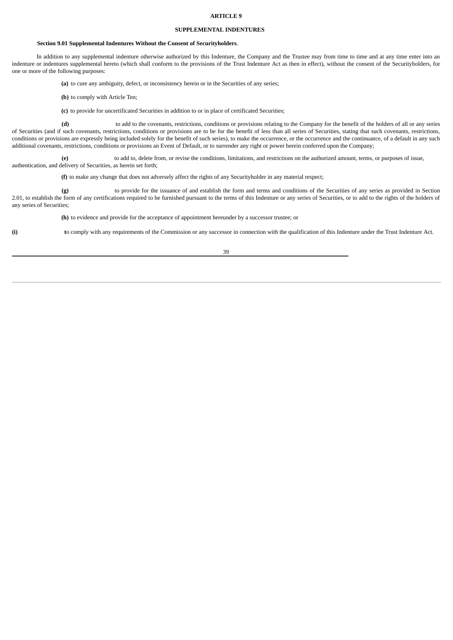## **ARTICLE 9**

# **SUPPLEMENTAL INDENTURES**

### **Section 9.01 Supplemental Indentures Without the Consent of Securityholders**.

In addition to any supplemental indenture otherwise authorized by this Indenture, the Company and the Trustee may from time to time and at any time enter into an indenture or indentures supplemental hereto (which shall conform to the provisions of the Trust Indenture Act as then in effect), without the consent of the Securityholders, for one or more of the following purposes:

- **(a)** to cure any ambiguity, defect, or inconsistency herein or in the Securities of any series;
- **(b)** to comply with Article Ten;
- **(c)** to provide for uncertificated Securities in addition to or in place of certificated Securities;

**(d)** to add to the covenants, restrictions, conditions or provisions relating to the Company for the benefit of the holders of all or any series of Securities (and if such covenants, restrictions, conditions or provisions are to be for the benefit of less than all series of Securities, stating that such covenants, restrictions, conditions or provisions are expressly being included solely for the benefit of such series), to make the occurrence, or the occurrence and the continuance, of a default in any such additional covenants, restrictions, conditions or provisions an Event of Default, or to surrender any right or power herein conferred upon the Company;

**(e)** to add to, delete from, or revise the conditions, limitations, and restrictions on the authorized amount, terms, or purposes of issue, authentication, and delivery of Securities, as herein set forth;

**(f)** to make any change that does not adversely affect the rights of any Securityholder in any material respect;

**(g)** to provide for the issuance of and establish the form and terms and conditions of the Securities of any series as provided in Section 2.01, to establish the form of any certifications required to be furnished pursuant to the terms of this Indenture or any series of Securities, or to add to the rights of the holders of any series of Securities;

**(h)** to evidence and provide for the acceptance of appointment hereunder by a successor trustee; or

**(i) t**o comply with any requirements of the Commission or any successor in connection with the qualification of this Indenture under the Trust Indenture Act.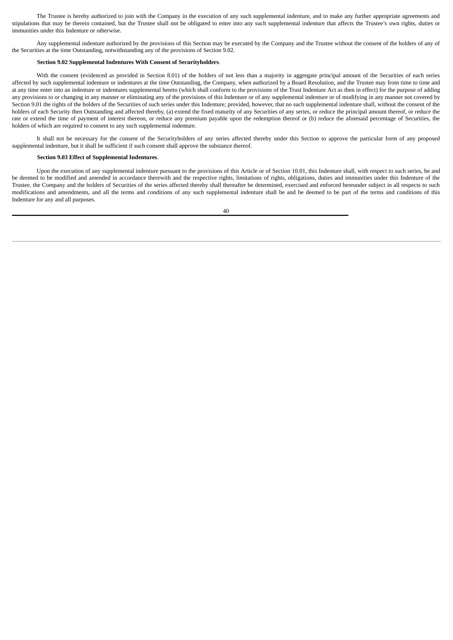The Trustee is hereby authorized to join with the Company in the execution of any such supplemental indenture, and to make any further appropriate agreements and stipulations that may be therein contained, but the Trustee shall not be obligated to enter into any such supplemental indenture that affects the Trustee's own rights, duties or immunities under this Indenture or otherwise.

Any supplemental indenture authorized by the provisions of this Section may be executed by the Company and the Trustee without the consent of the holders of any of the Securities at the time Outstanding, notwithstanding any of the provisions of Section 9.02.

# **Section 9.02 Supplemental Indentures With Consent of Securityholders**.

With the consent (evidenced as provided in Section 8.01) of the holders of not less than a majority in aggregate principal amount of the Securities of each series affected by such supplemental indenture or indentures at the time Outstanding, the Company, when authorized by a Board Resolution, and the Trustee may from time to time and at any time enter into an indenture or indentures supplemental hereto (which shall conform to the provisions of the Trust Indenture Act as then in effect) for the purpose of adding any provisions to or changing in any manner or eliminating any of the provisions of this Indenture or of any supplemental indenture or of modifying in any manner not covered by Section 9.01 the rights of the holders of the Securities of such series under this Indenture; provided, however, that no such supplemental indenture shall, without the consent of the holders of each Security then Outstanding and affected thereby, (a) extend the fixed maturity of any Securities of any series, or reduce the principal amount thereof, or reduce the rate or extend the time of payment of interest thereon, or reduce any premium payable upon the redemption thereof or (b) reduce the aforesaid percentage of Securities, the holders of which are required to consent to any such supplemental indenture.

It shall not be necessary for the consent of the Securityholders of any series affected thereby under this Section to approve the particular form of any proposed supplemental indenture, but it shall be sufficient if such consent shall approve the substance thereof.

### **Section 9.03 Effect of Supplemental Indentures**.

Upon the execution of any supplemental indenture pursuant to the provisions of this Article or of Section 10.01, this Indenture shall, with respect to such series, be and be deemed to be modified and amended in accordance therewith and the respective rights, limitations of rights, obligations, duties and immunities under this Indenture of the Trustee, the Company and the holders of Securities of the series affected thereby shall thereafter be determined, exercised and enforced hereunder subject in all respects to such modifications and amendments, and all the terms and conditions of any such supplemental indenture shall be and be deemed to be part of the terms and conditions of this Indenture for any and all purposes.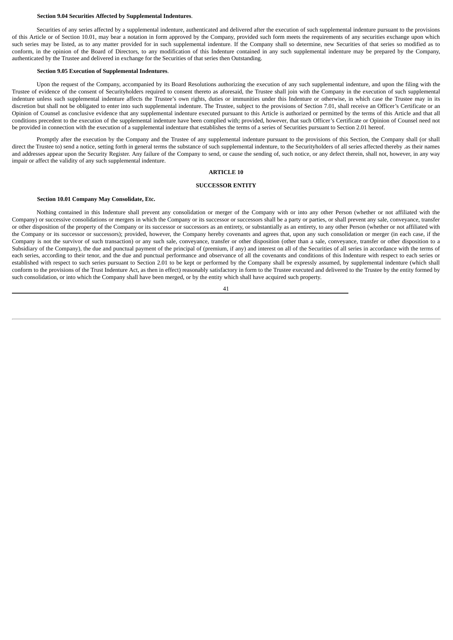### **Section 9.04 Securities Affected by Supplemental Indentures**.

Securities of any series affected by a supplemental indenture, authenticated and delivered after the execution of such supplemental indenture pursuant to the provisions of this Article or of Section 10.01, may bear a notation in form approved by the Company, provided such form meets the requirements of any securities exchange upon which such series may be listed, as to any matter provided for in such supplemental indenture. If the Company shall so determine, new Securities of that series so modified as to conform, in the opinion of the Board of Directors, to any modification of this Indenture contained in any such supplemental indenture may be prepared by the Company, authenticated by the Trustee and delivered in exchange for the Securities of that series then Outstanding.

## **Section 9.05 Execution of Supplemental Indentures**.

Upon the request of the Company, accompanied by its Board Resolutions authorizing the execution of any such supplemental indenture, and upon the filing with the Trustee of evidence of the consent of Securityholders required to consent thereto as aforesaid, the Trustee shall join with the Company in the execution of such supplemental indenture unless such supplemental indenture affects the Trustee's own rights, duties or immunities under this Indenture or otherwise, in which case the Trustee may in its discretion but shall not be obligated to enter into such supplemental indenture. The Trustee, subject to the provisions of Section 7.01, shall receive an Officer's Certificate or an Opinion of Counsel as conclusive evidence that any supplemental indenture executed pursuant to this Article is authorized or permitted by the terms of this Article and that all conditions precedent to the execution of the supplemental indenture have been complied with; provided, however, that such Officer's Certificate or Opinion of Counsel need not be provided in connection with the execution of a supplemental indenture that establishes the terms of a series of Securities pursuant to Section 2.01 hereof.

Promptly after the execution by the Company and the Trustee of any supplemental indenture pursuant to the provisions of this Section, the Company shall (or shall direct the Trustee to) send a notice, setting forth in general terms the substance of such supplemental indenture, to the Securityholders of all series affected thereby .as their names and addresses appear upon the Security Register. Any failure of the Company to send, or cause the sending of, such notice, or any defect therein, shall not, however, in any way impair or affect the validity of any such supplemental indenture.

### **ARTICLE 10**

### **SUCCESSOR ENTITY**

### **Section 10.01 Company May Consolidate, Etc.**

Nothing contained in this Indenture shall prevent any consolidation or merger of the Company with or into any other Person (whether or not affiliated with the Company) or successive consolidations or mergers in which the Company or its successor or successors shall be a party or parties, or shall prevent any sale, conveyance, transfer or other disposition of the property of the Company or its successor or successors as an entirety, or substantially as an entirety, to any other Person (whether or not affiliated with the Company or its successor or successors); provided, however, the Company hereby covenants and agrees that, upon any such consolidation or merger (in each case, if the Company is not the survivor of such transaction) or any such sale, conveyance, transfer or other disposition (other than a sale, conveyance, transfer or other disposition to a Subsidiary of the Company), the due and punctual payment of the principal of (premium, if any) and interest on all of the Securities of all series in accordance with the terms of each series, according to their tenor, and the due and punctual performance and observance of all the covenants and conditions of this Indenture with respect to each series or established with respect to such series pursuant to Section 2.01 to be kept or performed by the Company shall be expressly assumed, by supplemental indenture (which shall conform to the provisions of the Trust Indenture Act, as then in effect) reasonably satisfactory in form to the Trustee executed and delivered to the Trustee by the entity formed by such consolidation, or into which the Company shall have been merged, or by the entity which shall have acquired such property.

<sup>41</sup>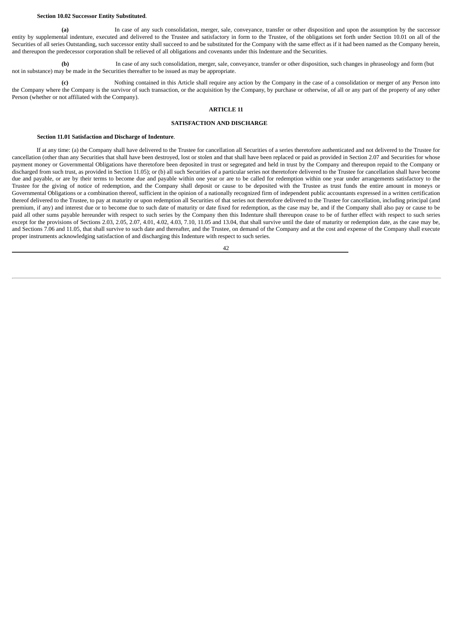### **Section 10.02 Successor Entity Substituted**.

**(a)** In case of any such consolidation, merger, sale, conveyance, transfer or other disposition and upon the assumption by the successor entity by supplemental indenture, executed and delivered to the Trustee and satisfactory in form to the Trustee, of the obligations set forth under Section 10.01 on all of the Securities of all series Outstanding, such successor entity shall succeed to and be substituted for the Company with the same effect as if it had been named as the Company herein, and thereupon the predecessor corporation shall be relieved of all obligations and covenants under this Indenture and the Securities.

**(b)** In case of any such consolidation, merger, sale, conveyance, transfer or other disposition, such changes in phraseology and form (but not in substance) may be made in the Securities thereafter to be issued as may be appropriate.

**(c)** Nothing contained in this Article shall require any action by the Company in the case of a consolidation or merger of any Person into the Company where the Company is the survivor of such transaction, or the acquisition by the Company, by purchase or otherwise, of all or any part of the property of any other Person (whether or not affiliated with the Company).

# **ARTICLE 11**

## **SATISFACTION AND DISCHARGE**

# **Section 11.01 Satisfaction and Discharge of Indenture**.

If at any time: (a) the Company shall have delivered to the Trustee for cancellation all Securities of a series theretofore authenticated and not delivered to the Trustee for cancellation (other than any Securities that shall have been destroyed, lost or stolen and that shall have been replaced or paid as provided in Section 2.07 and Securities for whose payment money or Governmental Obligations have theretofore been deposited in trust or segregated and held in trust by the Company and thereupon repaid to the Company or discharged from such trust, as provided in Section 11.05); or (b) all such Securities of a particular series not theretofore delivered to the Trustee for cancellation shall have become due and payable, or are by their terms to become due and payable within one year or are to be called for redemption within one year under arrangements satisfactory to the Trustee for the giving of notice of redemption, and the Company shall deposit or cause to be deposited with the Trustee as trust funds the entire amount in moneys or Governmental Obligations or a combination thereof, sufficient in the opinion of a nationally recognized firm of independent public accountants expressed in a written certification thereof delivered to the Trustee, to pay at maturity or upon redemption all Securities of that series not theretofore delivered to the Trustee for cancellation, including principal (and premium, if any) and interest due or to become due to such date of maturity or date fixed for redemption, as the case may be, and if the Company shall also pay or cause to be paid all other sums payable hereunder with respect to such series by the Company then this Indenture shall thereupon cease to be of further effect with respect to such series except for the provisions of Sections 2.03, 2.05, 2.07, 4.01, 4.02, 4.03, 7.10, 11.05 and 13.04, that shall survive until the date of maturity or redemption date, as the case may be, and Sections 7.06 and 11.05, that shall survive to such date and thereafter, and the Trustee, on demand of the Company and at the cost and expense of the Company shall execute proper instruments acknowledging satisfaction of and discharging this Indenture with respect to such series.

 $\overline{A}$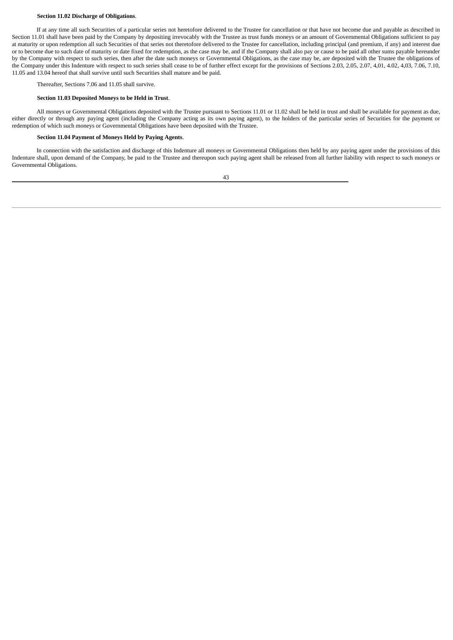### **Section 11.02 Discharge of Obligations**.

If at any time all such Securities of a particular series not heretofore delivered to the Trustee for cancellation or that have not become due and payable as described in Section 11.01 shall have been paid by the Company by depositing irrevocably with the Trustee as trust funds moneys or an amount of Governmental Obligations sufficient to pay at maturity or upon redemption all such Securities of that series not theretofore delivered to the Trustee for cancellation, including principal (and premium, if any) and interest due or to become due to such date of maturity or date fixed for redemption, as the case may be, and if the Company shall also pay or cause to be paid all other sums payable hereunder by the Company with respect to such series, then after the date such moneys or Governmental Obligations, as the case may be, are deposited with the Trustee the obligations of the Company under this Indenture with respect to such series shall cease to be of further effect except for the provisions of Sections 2.03, 2.05, 2.07, 4,01, 4.02, 4,03, 7.06, 7.10, 11.05 and 13.04 hereof that shall survive until such Securities shall mature and be paid.

### Thereafter, Sections 7.06 and 11.05 shall survive.

# **Section 11.03 Deposited Moneys to be Held in Trust**.

All moneys or Governmental Obligations deposited with the Trustee pursuant to Sections 11.01 or 11.02 shall be held in trust and shall be available for payment as due, either directly or through any paying agent (including the Company acting as its own paying agent), to the holders of the particular series of Securities for the payment or redemption of which such moneys or Governmental Obligations have been deposited with the Trustee.

# **Section 11.04 Payment of Moneys Held by Paying Agents**.

In connection with the satisfaction and discharge of this Indenture all moneys or Governmental Obligations then held by any paying agent under the provisions of this Indenture shall, upon demand of the Company, be paid to the Trustee and thereupon such paying agent shall be released from all further liability with respect to such moneys or Governmental Obligations.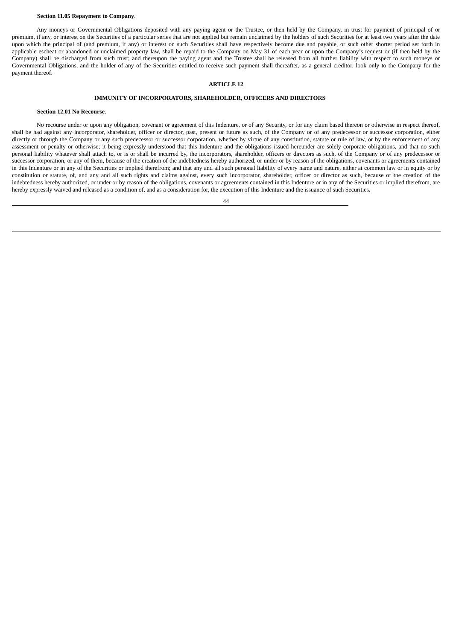### **Section 11.05 Repayment to Company**.

Any moneys or Governmental Obligations deposited with any paying agent or the Trustee, or then held by the Company, in trust for payment of principal of or premium, if any, or interest on the Securities of a particular series that are not applied but remain unclaimed by the holders of such Securities for at least two years after the date upon which the principal of (and premium, if any) or interest on such Securities shall have respectively become due and payable, or such other shorter period set forth in applicable escheat or abandoned or unclaimed property law, shall be repaid to the Company on May 31 of each year or upon the Company's request or (if then held by the Company) shall be discharged from such trust; and thereupon the paying agent and the Trustee shall be released from all further liability with respect to such moneys or Governmental Obligations, and the holder of any of the Securities entitled to receive such payment shall thereafter, as a general creditor, look only to the Company for the payment thereof.

## **ARTICLE 12**

# **IMMUNITY OF INCORPORATORS, SHAREHOLDER, OFFICERS AND DIRECTORS**

# **Section 12.01 No Recourse**.

No recourse under or upon any obligation, covenant or agreement of this Indenture, or of any Security, or for any claim based thereon or otherwise in respect thereof, shall be had against any incorporator, shareholder, officer or director, past, present or future as such, of the Company or of any predecessor or successor corporation, either directly or through the Company or any such predecessor or successor corporation, whether by virtue of any constitution, statute or rule of law, or by the enforcement of any assessment or penalty or otherwise; it being expressly understood that this Indenture and the obligations issued hereunder are solely corporate obligations, and that no such personal liability whatever shall attach to, or is or shall be incurred by, the incorporators, shareholder, officers or directors as such, of the Company or of any predecessor or successor corporation, or any of them, because of the creation of the indebtedness hereby authorized, or under or by reason of the obligations, covenants or agreements contained in this Indenture or in any of the Securities or implied therefrom; and that any and all such personal liability of every name and nature, either at common law or in equity or by constitution or statute, of, and any and all such rights and claims against, every such incorporator, shareholder, officer or director as such, because of the creation of the indebtedness hereby authorized, or under or by reason of the obligations, covenants or agreements contained in this Indenture or in any of the Securities or implied therefrom, are hereby expressly waived and released as a condition of, and as a consideration for, the execution of this Indenture and the issuance of such Securities.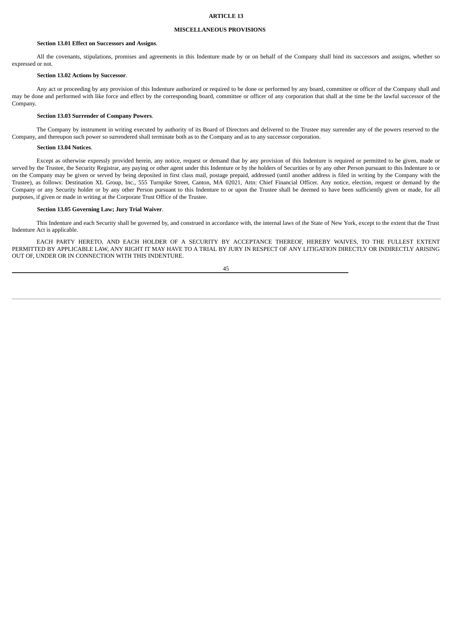### **ARTICLE 13**

# **MISCELLANEOUS PROVISIONS**

### **Section 13.01 Effect on Successors and Assigns**.

All the covenants, stipulations, promises and agreements in this Indenture made by or on behalf of the Company shall bind its successors and assigns, whether so expressed or not.

### **Section 13.02 Actions by Successor**.

Any act or proceeding by any provision of this Indenture authorized or required to be done or performed by any board, committee or officer of the Company shall and may be done and performed with like force and effect by the corresponding board, committee or officer of any corporation that shall at the time be the lawful successor of the Company.

### **Section 13.03 Surrender of Company Powers**.

The Company by instrument in writing executed by authority of its Board of Directors and delivered to the Trustee may surrender any of the powers reserved to the Company, and thereupon such power so surrendered shall terminate both as to the Company and as to any successor corporation.

### **Section 13.04 Notices**.

Except as otherwise expressly provided herein, any notice, request or demand that by any provision of this Indenture is required or permitted to be given, made or served by the Trustee, the Security Registrar, any paying or other agent under this Indenture or by the holders of Securities or by any other Person pursuant to this Indenture to or on the Company may be given or served by being deposited in first class mail, postage prepaid, addressed (until another address is filed in writing by the Company with the Trustee), as follows: Destination XL Group, Inc., 555 Turnpike Street, Canton, MA 02021, Attn: Chief Financial Officer. Any notice, election, request or demand by the Company or any Security holder or by any other Person pursuant to this Indenture to or upon the Trustee shall be deemed to have been sufficiently given or made, for all purposes, if given or made in writing at the Corporate Trust Office of the Trustee.

### **Section 13.05 Governing Law; Jury Trial Waiver**.

This Indenture and each Security shall be governed by, and construed in accordance with, the internal laws of the State of New York, except to the extent that the Trust Indenture Act is applicable.

EACH PARTY HERETO, AND EACH HOLDER OF A SECURITY BY ACCEPTANCE THEREOF, HEREBY WAIVES, TO THE FULLEST EXTENT PERMITTED BY APPLICABLE LAW, ANY RIGHT IT MAY HAVE TO A TRIAL BY JURY IN RESPECT OF ANY LITIGATION DIRECTLY OR INDIRECTLY ARISING OUT OF, UNDER OR IN CONNECTION WITH THIS INDENTURE.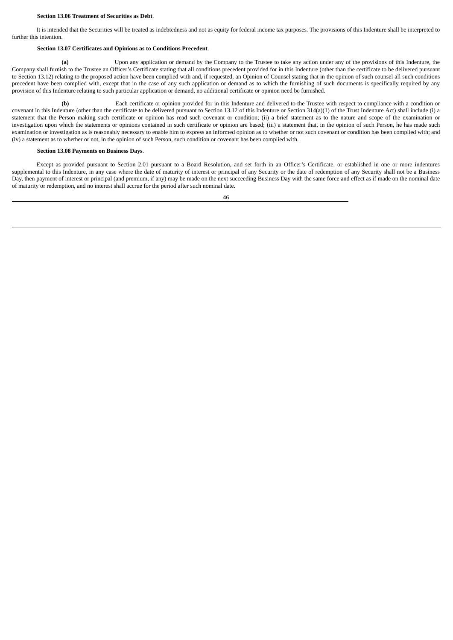### **Section 13.06 Treatment of Securities as Debt**.

It is intended that the Securities will be treated as indebtedness and not as equity for federal income tax purposes. The provisions of this Indenture shall be interpreted to further this intention.

# **Section 13.07 Certificates and Opinions as to Conditions Precedent**.

**(a)** Upon any application or demand by the Company to the Trustee to take any action under any of the provisions of this Indenture, the Company shall furnish to the Trustee an Officer's Certificate stating that all conditions precedent provided for in this Indenture (other than the certificate to be delivered pursuant to Section 13.12) relating to the proposed action have been complied with and, if requested, an Opinion of Counsel stating that in the opinion of such counsel all such conditions precedent have been complied with, except that in the case of any such application or demand as to which the furnishing of such documents is specifically required by any provision of this Indenture relating to such particular application or demand, no additional certificate or opinion need be furnished.

**(b)** Each certificate or opinion provided for in this Indenture and delivered to the Trustee with respect to compliance with a condition or covenant in this Indenture (other than the certificate to be delivered pursuant to Section 13.12 of this Indenture or Section 314(a)(1) of the Trust Indenture Act) shall include (i) a statement that the Person making such certificate or opinion has read such covenant or condition; (ii) a brief statement as to the nature and scope of the examination or investigation upon which the statements or opinions contained in such certificate or opinion are based; (iii) a statement that, in the opinion of such Person, he has made such examination or investigation as is reasonably necessary to enable him to express an informed opinion as to whether or not such covenant or condition has been complied with; and (iv) a statement as to whether or not, in the opinion of such Person, such condition or covenant has been complied with.

# **Section 13.08 Payments on Business Days**.

Except as provided pursuant to Section 2.01 pursuant to a Board Resolution, and set forth in an Officer's Certificate, or established in one or more indentures supplemental to this Indenture, in any case where the date of maturity of interest or principal of any Security or the date of redemption of any Security shall not be a Business Day, then payment of interest or principal (and premium, if any) may be made on the next succeeding Business Day with the same force and effect as if made on the nominal date of maturity or redemption, and no interest shall accrue for the period after such nominal date.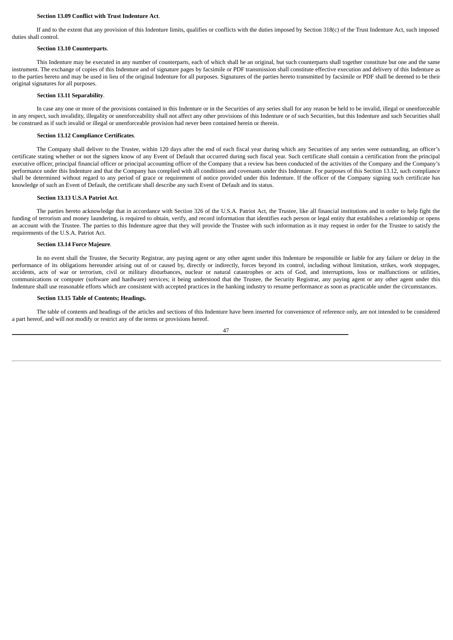## **Section 13.09 Conflict with Trust Indenture Act**.

If and to the extent that any provision of this Indenture limits, qualifies or conflicts with the duties imposed by Section 318(c) of the Trust Indenture Act, such imposed duties shall control.

# **Section 13.10 Counterparts**.

This Indenture may be executed in any number of counterparts, each of which shall be an original, but such counterparts shall together constitute but one and the same instrument. The exchange of copies of this Indenture and of signature pages by facsimile or PDF transmission shall constitute effective execution and delivery of this Indenture as to the parties hereto and may be used in lieu of the original Indenture for all purposes. Signatures of the parties hereto transmitted by facsimile or PDF shall be deemed to be their original signatures for all purposes.

### **Section 13.11 Separability**.

In case any one or more of the provisions contained in this Indenture or in the Securities of any series shall for any reason be held to be invalid, illegal or unenforceable in any respect, such invalidity, illegality or unenforceability shall not affect any other provisions of this Indenture or of such Securities, but this Indenture and such Securities shall be construed as if such invalid or illegal or unenforceable provision had never been contained herein or therein.

### **Section 13.12 Compliance Certificates**.

The Company shall deliver to the Trustee, within 120 days after the end of each fiscal year during which any Securities of any series were outstanding, an officer's certificate stating whether or not the signers know of any Event of Default that occurred during such fiscal year. Such certificate shall contain a certification from the principal executive officer, principal financial officer or principal accounting officer of the Company that a review has been conducted of the activities of the Company and the Company's performance under this Indenture and that the Company has complied with all conditions and covenants under this Indenture. For purposes of this Section 13.12, such compliance shall be determined without regard to any period of grace or requirement of notice provided under this Indenture. If the officer of the Company signing such certificate has knowledge of such an Event of Default, the certificate shall describe any such Event of Default and its status.

### **Section 13.13 U.S.A Patriot Act**.

The parties hereto acknowledge that in accordance with Section 326 of the U.S.A. Patriot Act, the Trustee, like all financial institutions and in order to help fight the funding of terrorism and money laundering, is required to obtain, verify, and record information that identifies each person or legal entity that establishes a relationship or opens an account with the Trustee. The parties to this Indenture agree that they will provide the Trustee with such information as it may request in order for the Trustee to satisfy the requirements of the U.S.A. Patriot Act.

### **Section 13.14 Force Majeure**.

In no event shall the Trustee, the Security Registrar, any paying agent or any other agent under this Indenture be responsible or liable for any failure or delay in the performance of its obligations hereunder arising out of or caused by, directly or indirectly, forces beyond its control, including without limitation, strikes, work stoppages, accidents, acts of war or terrorism, civil or military disturbances, nuclear or natural catastrophes or acts of God, and interruptions, loss or malfunctions or utilities, communications or computer (software and hardware) services; it being understood that the Trustee, the Security Registrar, any paying agent or any other agent under this Indenture shall use reasonable efforts which are consistent with accepted practices in the banking industry to resume performance as soon as practicable under the circumstances.

# **Section 13.15 Table of Contents; Headings.**

The table of contents and headings of the articles and sections of this Indenture have been inserted for convenience of reference only, are not intended to be considered a part hereof, and will not modify or restrict any of the terms or provisions hereof.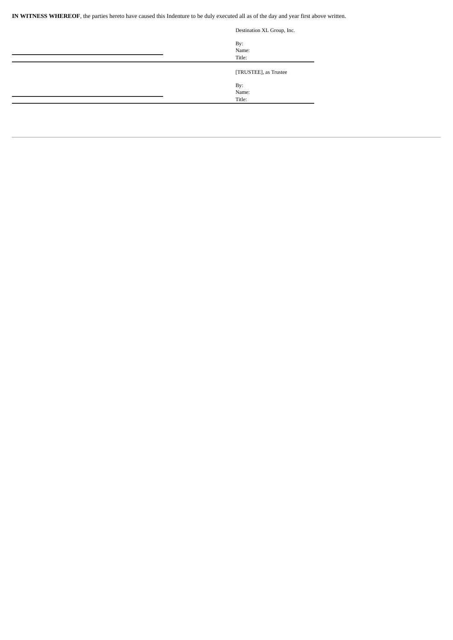**IN WITNESS WHEREOF**, the parties hereto have caused this Indenture to be duly executed all as of the day and year first above written.

| Destination XL Group, Inc. |
|----------------------------|
| By:                        |
| Name:                      |
| Title:                     |
| [TRUSTEE], as Trustee      |
| By:                        |
| Name:                      |
| Title:                     |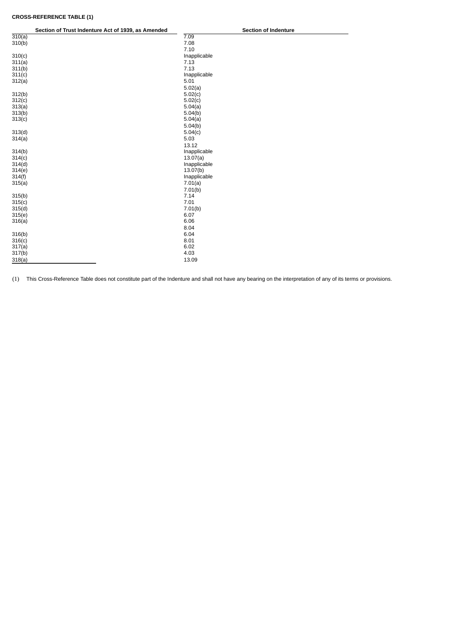# **CROSS-REFERENCE TABLE (1)**

|        | Section of Trust Indenture Act of 1939, as Amended | <b>Section of Indenture</b> |
|--------|----------------------------------------------------|-----------------------------|
| 310(a) |                                                    | 7.09                        |
| 310(b) |                                                    | 7.08                        |
|        |                                                    | 7.10                        |
| 310(c) |                                                    | Inapplicable                |
| 311(a) |                                                    | 7.13                        |
| 311(b) |                                                    | 7.13                        |
| 311(c) |                                                    | Inapplicable                |
| 312(a) |                                                    | 5.01                        |
|        |                                                    | 5.02(a)                     |
| 312(b) |                                                    | 5.02(c)                     |
| 312(c) |                                                    | 5.02(c)                     |
| 313(a) |                                                    | 5.04(a)                     |
| 313(b) |                                                    | 5.04(b)                     |
| 313(c) |                                                    | 5.04(a)                     |
|        |                                                    | 5.04(b)                     |
| 313(d) |                                                    | 5.04(c)                     |
| 314(a) |                                                    | 5.03                        |
|        |                                                    | 13.12                       |
| 314(b) |                                                    | Inapplicable                |
| 314(c) |                                                    | 13.07(a)                    |
| 314(d) |                                                    | Inapplicable                |
| 314(e) |                                                    | 13.07(b)                    |
| 314(f) |                                                    | Inapplicable                |
| 315(a) |                                                    | 7.01(a)                     |
|        |                                                    | 7.01(b)                     |
| 315(b) |                                                    | 7.14                        |
| 315(c) |                                                    | 7.01                        |
| 315(d) |                                                    | 7.01(b)                     |
| 315(e) |                                                    | 6.07                        |
| 316(a) |                                                    | 6.06                        |
|        |                                                    | 8.04                        |
| 316(b) |                                                    | 6.04                        |
| 316(c) |                                                    | 8.01                        |
| 317(a) |                                                    | 6.02                        |
| 317(b) |                                                    | 4.03                        |
| 318(a) |                                                    | 13.09                       |

(1) This Cross-Reference Table does not constitute part of the Indenture and shall not have any bearing on the interpretation of any of its terms or provisions.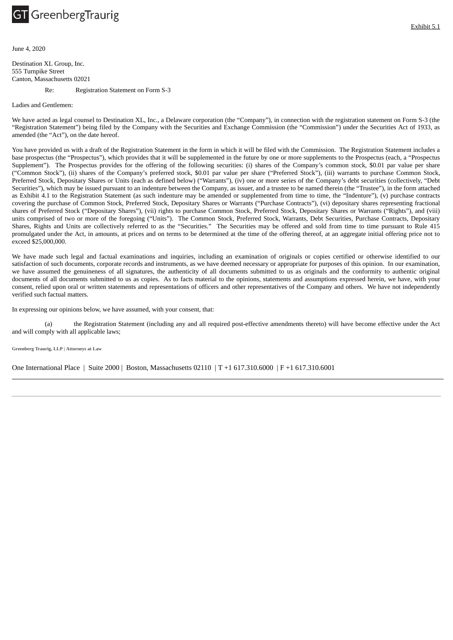

June 4, 2020

Destination XL Group, Inc. 555 Turnpike Street Canton, Massachusetts 02021

Re: Registration Statement on Form S-3

Ladies and Gentlemen:

We have acted as legal counsel to Destination XL, Inc., a Delaware corporation (the "Company"), in connection with the registration statement on Form S-3 (the "Registration Statement") being filed by the Company with the Securities and Exchange Commission (the "Commission") under the Securities Act of 1933, as amended (the "Act"), on the date hereof.

You have provided us with a draft of the Registration Statement in the form in which it will be filed with the Commission. The Registration Statement includes a base prospectus (the "Prospectus"), which provides that it will be supplemented in the future by one or more supplements to the Prospectus (each, a "Prospectus Supplement"). The Prospectus provides for the offering of the following securities: (i) shares of the Company's common stock, \$0.01 par value per share ("Common Stock"), (ii) shares of the Company's preferred stock, \$0.01 par value per share ("Preferred Stock"), (iii) warrants to purchase Common Stock, Preferred Stock, Depositary Shares or Units (each as defined below) ("Warrants"), (iv) one or more series of the Company's debt securities (collectively, "Debt Securities"), which may be issued pursuant to an indenture between the Company, as issuer, and a trustee to be named therein (the "Trustee"), in the form attached as Exhibit 4.1 to the Registration Statement (as such indenture may be amended or supplemented from time to time, the "Indenture"), (v) purchase contracts covering the purchase of Common Stock, Preferred Stock, Depositary Shares or Warrants ("Purchase Contracts"), (vi) depositary shares representing fractional shares of Preferred Stock ("Depositary Shares"), (vii) rights to purchase Common Stock, Preferred Stock, Depositary Shares or Warrants ("Rights"), and (viii) units comprised of two or more of the foregoing ("Units"). The Common Stock, Preferred Stock, Warrants, Debt Securities, Purchase Contracts, Depositary Shares, Rights and Units are collectively referred to as the "Securities." The Securities may be offered and sold from time to time pursuant to Rule 415 promulgated under the Act, in amounts, at prices and on terms to be determined at the time of the offering thereof, at an aggregate initial offering price not to exceed \$25,000,000.

We have made such legal and factual examinations and inquiries, including an examination of originals or copies certified or otherwise identified to our satisfaction of such documents, corporate records and instruments, as we have deemed necessary or appropriate for purposes of this opinion. In our examination, we have assumed the genuineness of all signatures, the authenticity of all documents submitted to us as originals and the conformity to authentic original documents of all documents submitted to us as copies. As to facts material to the opinions, statements and assumptions expressed herein, we have, with your consent, relied upon oral or written statements and representations of officers and other representatives of the Company and others. We have not independently verified such factual matters.

In expressing our opinions below, we have assumed, with your consent, that:

(a) the Registration Statement (including any and all required post-effective amendments thereto) will have become effective under the Act and will comply with all applicable laws;

One International Place | Suite 2000 | Boston, Massachusetts 02110 | T +1 617.310.6000 | F +1 617.310.6001

**Greenberg Traurig, LLP | Attorneys at Law**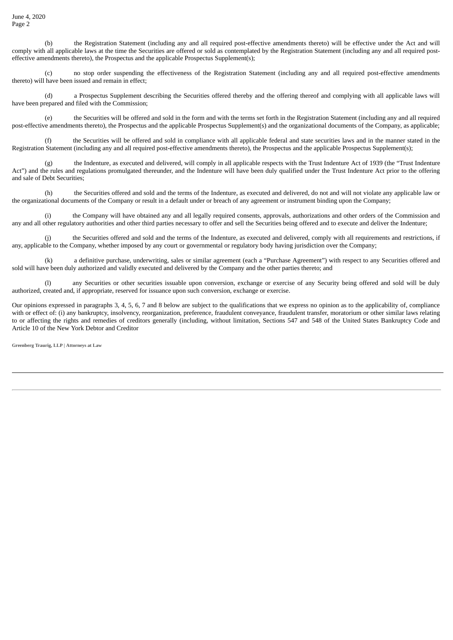(b) the Registration Statement (including any and all required post-effective amendments thereto) will be effective under the Act and will comply with all applicable laws at the time the Securities are offered or sold as contemplated by the Registration Statement (including any and all required posteffective amendments thereto), the Prospectus and the applicable Prospectus Supplement(s);

(c) no stop order suspending the effectiveness of the Registration Statement (including any and all required post-effective amendments thereto) will have been issued and remain in effect;

(d) a Prospectus Supplement describing the Securities offered thereby and the offering thereof and complying with all applicable laws will have been prepared and filed with the Commission;

(e) the Securities will be offered and sold in the form and with the terms set forth in the Registration Statement (including any and all required post-effective amendments thereto), the Prospectus and the applicable Prospectus Supplement(s) and the organizational documents of the Company, as applicable;

(f) the Securities will be offered and sold in compliance with all applicable federal and state securities laws and in the manner stated in the Registration Statement (including any and all required post-effective amendments thereto), the Prospectus and the applicable Prospectus Supplement(s);

(g) the Indenture, as executed and delivered, will comply in all applicable respects with the Trust Indenture Act of 1939 (the "Trust Indenture Act") and the rules and regulations promulgated thereunder, and the Indenture will have been duly qualified under the Trust Indenture Act prior to the offering and sale of Debt Securities;

(h) the Securities offered and sold and the terms of the Indenture, as executed and delivered, do not and will not violate any applicable law or the organizational documents of the Company or result in a default under or breach of any agreement or instrument binding upon the Company;

the Company will have obtained any and all legally required consents, approvals, authorizations and other orders of the Commission and any and all other regulatory authorities and other third parties necessary to offer and sell the Securities being offered and to execute and deliver the Indenture;

(j) the Securities offered and sold and the terms of the Indenture, as executed and delivered, comply with all requirements and restrictions, if any, applicable to the Company, whether imposed by any court or governmental or regulatory body having jurisdiction over the Company;

(k) a definitive purchase, underwriting, sales or similar agreement (each a "Purchase Agreement") with respect to any Securities offered and sold will have been duly authorized and validly executed and delivered by the Company and the other parties thereto; and

(l) any Securities or other securities issuable upon conversion, exchange or exercise of any Security being offered and sold will be duly authorized, created and, if appropriate, reserved for issuance upon such conversion, exchange or exercise.

Our opinions expressed in paragraphs 3, 4, 5, 6, 7 and 8 below are subject to the qualifications that we express no opinion as to the applicability of, compliance with or effect of: (i) any bankruptcy, insolvency, reorganization, preference, fraudulent conveyance, fraudulent transfer, moratorium or other similar laws relating to or affecting the rights and remedies of creditors generally (including, without limitation, Sections 547 and 548 of the United States Bankruptcy Code and Article 10 of the New York Debtor and Creditor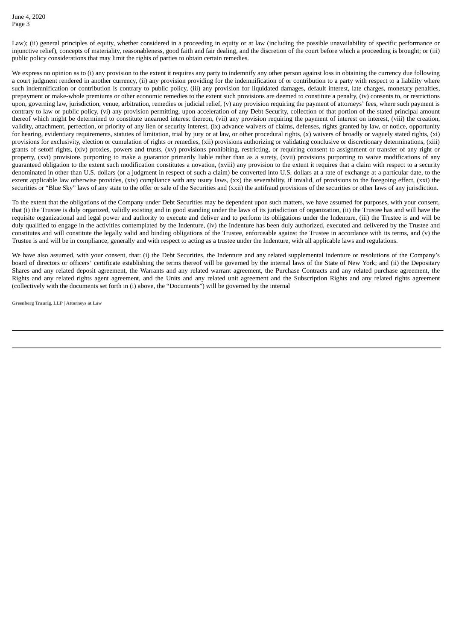Law); (ii) general principles of equity, whether considered in a proceeding in equity or at law (including the possible unavailability of specific performance or injunctive relief), concepts of materiality, reasonableness, good faith and fair dealing, and the discretion of the court before which a proceeding is brought; or (iii) public policy considerations that may limit the rights of parties to obtain certain remedies.

We express no opinion as to (i) any provision to the extent it requires any party to indemnify any other person against loss in obtaining the currency due following a court judgment rendered in another currency, (ii) any provision providing for the indemnification of or contribution to a party with respect to a liability where such indemnification or contribution is contrary to public policy, (iii) any provision for liquidated damages, default interest, late charges, monetary penalties, prepayment or make-whole premiums or other economic remedies to the extent such provisions are deemed to constitute a penalty, (iv) consents to, or restrictions upon, governing law, jurisdiction, venue, arbitration, remedies or judicial relief, (v) any provision requiring the payment of attorneys' fees, where such payment is contrary to law or public policy, (vi) any provision permitting, upon acceleration of any Debt Security, collection of that portion of the stated principal amount thereof which might be determined to constitute unearned interest thereon, (vii) any provision requiring the payment of interest on interest, (viii) the creation, validity, attachment, perfection, or priority of any lien or security interest, (ix) advance waivers of claims, defenses, rights granted by law, or notice, opportunity for hearing, evidentiary requirements, statutes of limitation, trial by jury or at law, or other procedural rights, (x) waivers of broadly or vaguely stated rights, (xi) provisions for exclusivity, election or cumulation of rights or remedies, (xii) provisions authorizing or validating conclusive or discretionary determinations, (xiii) grants of setoff rights, (xiv) proxies, powers and trusts, (xv) provisions prohibiting, restricting, or requiring consent to assignment or transfer of any right or property, (xvi) provisions purporting to make a guarantor primarily liable rather than as a surety, (xvii) provisions purporting to waive modifications of any guaranteed obligation to the extent such modification constitutes a novation, (xviii) any provision to the extent it requires that a claim with respect to a security denominated in other than U.S. dollars (or a judgment in respect of such a claim) be converted into U.S. dollars at a rate of exchange at a particular date, to the extent applicable law otherwise provides, (xiv) compliance with any usury laws, (xx) the severability, if invalid, of provisions to the foregoing effect, (xxi) the securities or "Blue Sky" laws of any state to the offer or sale of the Securities and (xxii) the antifraud provisions of the securities or other laws of any jurisdiction.

To the extent that the obligations of the Company under Debt Securities may be dependent upon such matters, we have assumed for purposes, with your consent, that (i) the Trustee is duly organized, validly existing and in good standing under the laws of its jurisdiction of organization, (ii) the Trustee has and will have the requisite organizational and legal power and authority to execute and deliver and to perform its obligations under the Indenture, (iii) the Trustee is and will be duly qualified to engage in the activities contemplated by the Indenture, (iv) the Indenture has been duly authorized, executed and delivered by the Trustee and constitutes and will constitute the legally valid and binding obligations of the Trustee, enforceable against the Trustee in accordance with its terms, and (v) the Trustee is and will be in compliance, generally and with respect to acting as a trustee under the Indenture, with all applicable laws and regulations.

We have also assumed, with your consent, that: (i) the Debt Securities, the Indenture and any related supplemental indenture or resolutions of the Company's board of directors or officers' certificate establishing the terms thereof will be governed by the internal laws of the State of New York; and (ii) the Depositary Shares and any related deposit agreement, the Warrants and any related warrant agreement, the Purchase Contracts and any related purchase agreement, the Rights and any related rights agent agreement, and the Units and any related unit agreement and the Subscription Rights and any related rights agreement (collectively with the documents set forth in (i) above, the "Documents") will be governed by the internal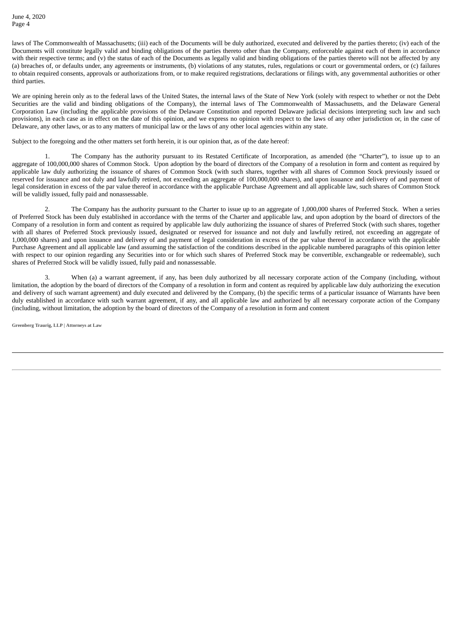June 4, 2020 Page 4

laws of The Commonwealth of Massachusetts; (iii) each of the Documents will be duly authorized, executed and delivered by the parties thereto; (iv) each of the Documents will constitute legally valid and binding obligations of the parties thereto other than the Company, enforceable against each of them in accordance with their respective terms; and (v) the status of each of the Documents as legally valid and binding obligations of the parties thereto will not be affected by any (a) breaches of, or defaults under, any agreements or instruments, (b) violations of any statutes, rules, regulations or court or governmental orders, or (c) failures to obtain required consents, approvals or authorizations from, or to make required registrations, declarations or filings with, any governmental authorities or other third parties.

We are opining herein only as to the federal laws of the United States, the internal laws of the State of New York (solely with respect to whether or not the Debt Securities are the valid and binding obligations of the Company), the internal laws of The Commonwealth of Massachusetts, and the Delaware General Corporation Law (including the applicable provisions of the Delaware Constitution and reported Delaware judicial decisions interpreting such law and such provisions), in each case as in effect on the date of this opinion, and we express no opinion with respect to the laws of any other jurisdiction or, in the case of Delaware, any other laws, or as to any matters of municipal law or the laws of any other local agencies within any state.

Subject to the foregoing and the other matters set forth herein, it is our opinion that, as of the date hereof:

1. The Company has the authority pursuant to its Restated Certificate of Incorporation, as amended (the "Charter"), to issue up to an aggregate of 100,000,000 shares of Common Stock. Upon adoption by the board of directors of the Company of a resolution in form and content as required by applicable law duly authorizing the issuance of shares of Common Stock (with such shares, together with all shares of Common Stock previously issued or reserved for issuance and not duly and lawfully retired, not exceeding an aggregate of 100,000,000 shares), and upon issuance and delivery of and payment of legal consideration in excess of the par value thereof in accordance with the applicable Purchase Agreement and all applicable law, such shares of Common Stock will be validly issued, fully paid and nonassessable.

2. The Company has the authority pursuant to the Charter to issue up to an aggregate of 1,000,000 shares of Preferred Stock. When a series of Preferred Stock has been duly established in accordance with the terms of the Charter and applicable law, and upon adoption by the board of directors of the Company of a resolution in form and content as required by applicable law duly authorizing the issuance of shares of Preferred Stock (with such shares, together with all shares of Preferred Stock previously issued, designated or reserved for issuance and not duly and lawfully retired, not exceeding an aggregate of 1,000,000 shares) and upon issuance and delivery of and payment of legal consideration in excess of the par value thereof in accordance with the applicable Purchase Agreement and all applicable law (and assuming the satisfaction of the conditions described in the applicable numbered paragraphs of this opinion letter with respect to our opinion regarding any Securities into or for which such shares of Preferred Stock may be convertible, exchangeable or redeemable), such shares of Preferred Stock will be validly issued, fully paid and nonassessable.

3. When (a) a warrant agreement, if any, has been duly authorized by all necessary corporate action of the Company (including, without limitation, the adoption by the board of directors of the Company of a resolution in form and content as required by applicable law duly authorizing the execution and delivery of such warrant agreement) and duly executed and delivered by the Company, (b) the specific terms of a particular issuance of Warrants have been duly established in accordance with such warrant agreement, if any, and all applicable law and authorized by all necessary corporate action of the Company (including, without limitation, the adoption by the board of directors of the Company of a resolution in form and content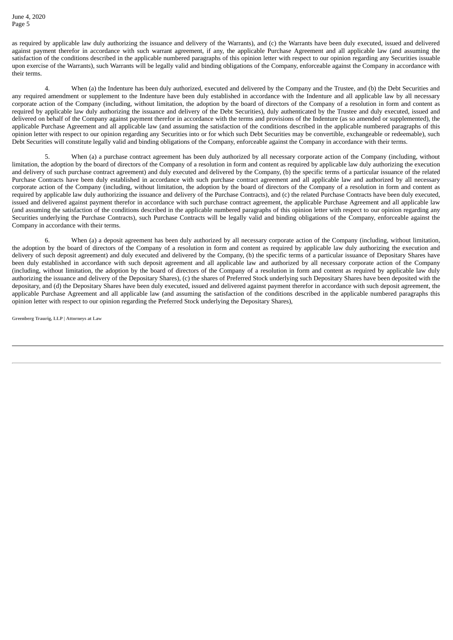as required by applicable law duly authorizing the issuance and delivery of the Warrants), and (c) the Warrants have been duly executed, issued and delivered against payment therefor in accordance with such warrant agreement, if any, the applicable Purchase Agreement and all applicable law (and assuming the satisfaction of the conditions described in the applicable numbered paragraphs of this opinion letter with respect to our opinion regarding any Securities issuable upon exercise of the Warrants), such Warrants will be legally valid and binding obligations of the Company, enforceable against the Company in accordance with their terms.

4. When (a) the Indenture has been duly authorized, executed and delivered by the Company and the Trustee, and (b) the Debt Securities and any required amendment or supplement to the Indenture have been duly established in accordance with the Indenture and all applicable law by all necessary corporate action of the Company (including, without limitation, the adoption by the board of directors of the Company of a resolution in form and content as required by applicable law duly authorizing the issuance and delivery of the Debt Securities), duly authenticated by the Trustee and duly executed, issued and delivered on behalf of the Company against payment therefor in accordance with the terms and provisions of the Indenture (as so amended or supplemented), the applicable Purchase Agreement and all applicable law (and assuming the satisfaction of the conditions described in the applicable numbered paragraphs of this opinion letter with respect to our opinion regarding any Securities into or for which such Debt Securities may be convertible, exchangeable or redeemable), such Debt Securities will constitute legally valid and binding obligations of the Company, enforceable against the Company in accordance with their terms.

5. When (a) a purchase contract agreement has been duly authorized by all necessary corporate action of the Company (including, without limitation, the adoption by the board of directors of the Company of a resolution in form and content as required by applicable law duly authorizing the execution and delivery of such purchase contract agreement) and duly executed and delivered by the Company, (b) the specific terms of a particular issuance of the related Purchase Contracts have been duly established in accordance with such purchase contract agreement and all applicable law and authorized by all necessary corporate action of the Company (including, without limitation, the adoption by the board of directors of the Company of a resolution in form and content as required by applicable law duly authorizing the issuance and delivery of the Purchase Contracts), and (c) the related Purchase Contracts have been duly executed, issued and delivered against payment therefor in accordance with such purchase contract agreement, the applicable Purchase Agreement and all applicable law (and assuming the satisfaction of the conditions described in the applicable numbered paragraphs of this opinion letter with respect to our opinion regarding any Securities underlying the Purchase Contracts), such Purchase Contracts will be legally valid and binding obligations of the Company, enforceable against the Company in accordance with their terms.

6. When (a) a deposit agreement has been duly authorized by all necessary corporate action of the Company (including, without limitation, the adoption by the board of directors of the Company of a resolution in form and content as required by applicable law duly authorizing the execution and delivery of such deposit agreement) and duly executed and delivered by the Company, (b) the specific terms of a particular issuance of Depositary Shares have been duly established in accordance with such deposit agreement and all applicable law and authorized by all necessary corporate action of the Company (including, without limitation, the adoption by the board of directors of the Company of a resolution in form and content as required by applicable law duly authorizing the issuance and delivery of the Depositary Shares), (c) the shares of Preferred Stock underlying such Depositary Shares have been deposited with the depositary, and (d) the Depositary Shares have been duly executed, issued and delivered against payment therefor in accordance with such deposit agreement, the applicable Purchase Agreement and all applicable law (and assuming the satisfaction of the conditions described in the applicable numbered paragraphs this opinion letter with respect to our opinion regarding the Preferred Stock underlying the Depositary Shares),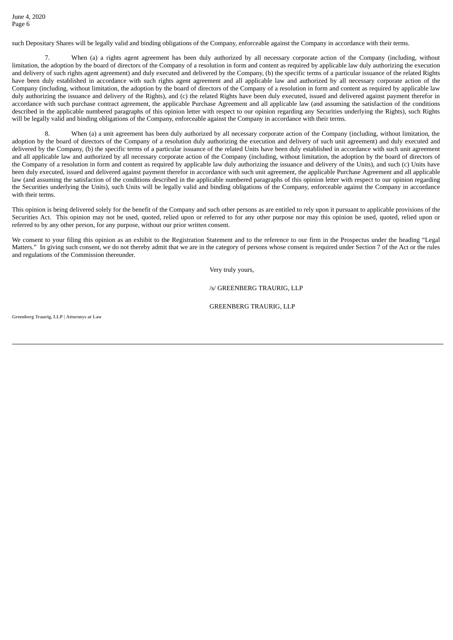such Depositary Shares will be legally valid and binding obligations of the Company, enforceable against the Company in accordance with their terms.

7. When (a) a rights agent agreement has been duly authorized by all necessary corporate action of the Company (including, without limitation, the adoption by the board of directors of the Company of a resolution in form and content as required by applicable law duly authorizing the execution and delivery of such rights agent agreement) and duly executed and delivered by the Company, (b) the specific terms of a particular issuance of the related Rights have been duly established in accordance with such rights agent agreement and all applicable law and authorized by all necessary corporate action of the Company (including, without limitation, the adoption by the board of directors of the Company of a resolution in form and content as required by applicable law duly authorizing the issuance and delivery of the Rights), and (c) the related Rights have been duly executed, issued and delivered against payment therefor in accordance with such purchase contract agreement, the applicable Purchase Agreement and all applicable law (and assuming the satisfaction of the conditions described in the applicable numbered paragraphs of this opinion letter with respect to our opinion regarding any Securities underlying the Rights), such Rights will be legally valid and binding obligations of the Company, enforceable against the Company in accordance with their terms.

8. When (a) a unit agreement has been duly authorized by all necessary corporate action of the Company (including, without limitation, the adoption by the board of directors of the Company of a resolution duly authorizing the execution and delivery of such unit agreement) and duly executed and delivered by the Company, (b) the specific terms of a particular issuance of the related Units have been duly established in accordance with such unit agreement and all applicable law and authorized by all necessary corporate action of the Company (including, without limitation, the adoption by the board of directors of the Company of a resolution in form and content as required by applicable law duly authorizing the issuance and delivery of the Units), and such (c) Units have been duly executed, issued and delivered against payment therefor in accordance with such unit agreement, the applicable Purchase Agreement and all applicable law (and assuming the satisfaction of the conditions described in the applicable numbered paragraphs of this opinion letter with respect to our opinion regarding the Securities underlying the Units), such Units will be legally valid and binding obligations of the Company, enforceable against the Company in accordance with their terms.

This opinion is being delivered solely for the benefit of the Company and such other persons as are entitled to rely upon it pursuant to applicable provisions of the Securities Act. This opinion may not be used, quoted, relied upon or referred to for any other purpose nor may this opinion be used, quoted, relied upon or referred to by any other person, for any purpose, without our prior written consent.

We consent to your filing this opinion as an exhibit to the Registration Statement and to the reference to our firm in the Prospectus under the heading "Legal Matters." In giving such consent, we do not thereby admit that we are in the category of persons whose consent is required under Section 7 of the Act or the rules and regulations of the Commission thereunder.

Very truly yours,

/s/ GREENBERG TRAURIG, LLP

GREENBERG TRAURIG, LLP